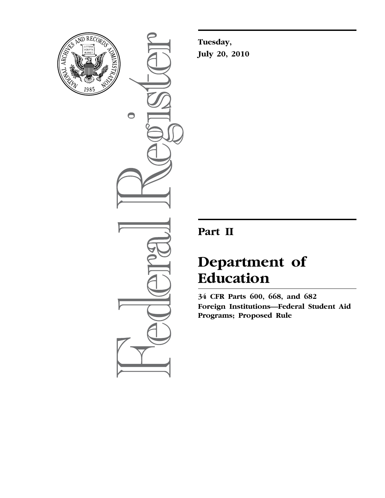

 $\bullet$ 

**Tuesday, July 20, 2010** 

## **Part II**

# **Department of Education**

**34 CFR Parts 600, 668, and 682 Foreign Institutions—Federal Student Aid Programs; Proposed Rule**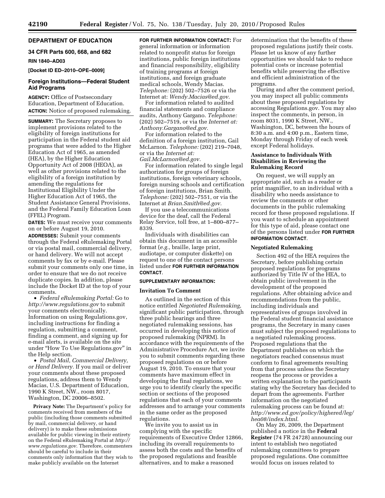## **DEPARTMENT OF EDUCATION**

## **34 CFR Parts 600, 668, and 682**

## **RIN 1840–AD03**

## **[Docket ID ED–2010–OPE–0009]**

## **Foreign Institutions—Federal Student Aid Programs**

**AGENCY:** Office of Postsecondary Education, Department of Education. **ACTION:** Notice of proposed rulemaking.

**SUMMARY:** The Secretary proposes to implement provisions related to the eligibility of foreign institutions for participation in the Federal student aid programs that were added to the Higher Education Act of 1965, as amended (HEA), by the Higher Education Opportunity Act of 2008 (HEOA), as well as other provisions related to the eligibility of a foreign institution by amending the regulations for Institutional Eligibility Under the Higher Education Act of 1965, the Student Assistance General Provisions, and the Federal Family Education Loan (FFEL) Program.

**DATES:** We must receive your comments on or before August 19, 2010. **ADDRESSES:** Submit your comments through the Federal eRulemaking Portal or via postal mail, commercial delivery, or hand delivery. We will not accept comments by fax or by e-mail. Please submit your comments only one time, in order to ensure that we do not receive duplicate copies. In addition, please include the Docket ID at the top of your comments.

• *Federal eRulemaking Portal:* Go to *<http://www.regulations.gov>* to submit your comments electronically. Information on using Regulations.gov, including instructions for finding a regulation, submitting a comment, finding a comment, and signing up for e-mail alerts, is available on the site under ''How To Use Regulations.gov'' in the Help section.

• *Postal Mail, Commercial Delivery, or Hand Delivery.* If you mail or deliver your comments about these proposed regulations, address them to Wendy Macias, U.S. Department of Education, 1990 K Street, NW., room 8017, Washington, DC 20006–8502.

**Privacy Note:** The Department's policy for comments received from members of the public (including those comments submitted by mail, commercial delivery, or hand delivery) is to make these submissions available for public viewing in their entirety on the Federal eRulemaking Portal at *[http://](http://www.regulations.gov)  [www.regulations.gov.](http://www.regulations.gov)* Therefore, commenters should be careful to include in their comments only information that they wish to make publicly available on the Internet

## **FOR FURTHER INFORMATION CONTACT:** For

general information or information related to nonprofit status for foreign institutions, public foreign institutions and financial responsibility, eligibility of training programs at foreign institutions, and foreign graduate medical schools, Wendy Macias. *Telephone:* (202) 502–7526 or via the Internet at: *[Wendy.Macias@ed.gov.](mailto:Wendy.Macias@ed.gov)* 

For information related to audited financial statements and compliance audits, Anthony Gargano. *Telephone:*  (202) 502–7519, or via the *Internet at: [Anthony.Gargano@ed.gov.](mailto:Anthony.Gargano@ed.gov)* 

For information related to the definition of a foreign institution, Gail McLarnon. *Telephone:* (202) 219–7048, or via the *Internet at: [Gail.McLarnon@ed.gov.](mailto:Gail.McLarnon@ed.gov)* 

For information related to single legal authorization for groups of foreign institutions, foreign veterinary schools, foreign nursing schools and certification of foreign institutions, Brian Smith. *Telephone:* (202) 502–7551, or via the Internet at *[Brian.Smith@ed.gov.](mailto:Brian.Smith@ed.gov)* 

If you use a telecommunications device for the deaf, call the Federal Relay Service, toll free, at 1–800–877– 8339.

Individuals with disabilities can obtain this document in an accessible format (*e.g.,* braille, large print, audiotape, or computer diskette) on request to one of the contact persons listed under **FOR FURTHER INFORMATION CONTACT**.

#### **SUPPLEMENTARY INFORMATION:**

#### **Invitation To Comment**

As outlined in the section of this notice entitled *Negotiated Rulemaking,*  significant public participation, through three public hearings and three negotiated rulemaking sessions, has occurred in developing this notice of proposed rulemaking (NPRM). In accordance with the requirements of the Administrative Procedure Act, we invite you to submit comments regarding these proposed regulations on or before August 19, 2010. To ensure that your comments have maximum effect in developing the final regulations, we urge you to identify clearly the specific section or sections of the proposed regulations that each of your comments addresses and to arrange your comments in the same order as the proposed regulations.

We invite you to assist us in complying with the specific requirements of Executive Order 12866, including its overall requirements to assess both the costs and the benefits of the proposed regulations and feasible alternatives, and to make a reasoned

determination that the benefits of these proposed regulations justify their costs. Please let us know of any further opportunities we should take to reduce potential costs or increase potential benefits while preserving the effective and efficient administration of the programs.

During and after the comment period, you may inspect all public comments about these proposed regulations by accessing Regulations.gov. You may also inspect the comments, in person, in room 8031, 1990 K Street, NW., Washington, DC, between the hours of 8:30 a.m. and 4:00 p.m., Eastern time, Monday through Friday of each week except Federal holidays.

## **Assistance to Individuals With Disabilities in Reviewing the Rulemaking Record**

On request, we will supply an appropriate aid, such as a reader or print magnifier, to an individual with a disability who needs assistance to review the comments or other documents in the public rulemaking record for these proposed regulations. If you want to schedule an appointment for this type of aid, please contact one of the persons listed under **FOR FURTHER INFORMATION CONTACT**.

#### **Negotiated Rulemaking**

Section 492 of the HEA requires the Secretary, before publishing certain proposed regulations for programs authorized by Title IV of the HEA, to obtain public involvement in the development of the proposed regulations. After obtaining advice and recommendations from the public, including individuals and representatives of groups involved in the Federal student financial assistance programs, the Secretary in many cases must subject the proposed regulations to a negotiated rulemaking process. Proposed regulations that the Department publishes on which the negotiators reached consensus must conform to final agreements resulting from that process unless the Secretary reopens the process or provides a written explanation to the participants stating why the Secretary has decided to depart from the agreements. Further information on the negotiated rulemaking process can be found at: *[http://www.ed.gov/policy/highered/leg/](http://www.ed.gov/policy/highered/leg/hea08/index.html)  [hea08/index.html.](http://www.ed.gov/policy/highered/leg/hea08/index.html)* 

On May 26, 2009, the Department published a notice in the **Federal Register** (74 FR 24728) announcing our intent to establish two negotiated rulemaking committees to prepare proposed regulations. One committee would focus on issues related to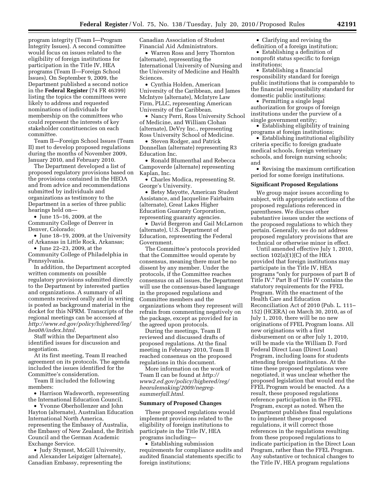program integrity (Team I—Program Integrity Issues). A second committee would focus on issues related to the eligibility of foreign institutions for participation in the Title IV, HEA programs (Team II—Foreign School Issues). On September 9, 2009, the Department published a second notice in the **Federal Register** (74 FR 46399) listing the topics the committees were likely to address and requested nominations of individuals for membership on the committees who could represent the interests of key stakeholder constituencies on each committee.

Team II—Foreign School Issues (Team II) met to develop proposed regulations during the months of November 2009, January 2010, and February 2010.

The Department developed a list of proposed regulatory provisions based on the provisions contained in the HEOA and from advice and recommendations submitted by individuals and organizations as testimony to the Department in a series of three public hearings held on—

• June 15–16, 2009, at the

Community College of Denver in Denver, Colorado;

• June 18–19, 2009, at the University of Arkansas in Little Rock, Arkansas;

• June 22–23, 2009, at the Community College of Philadelphia in Pennsylvania.

In addition, the Department accepted written comments on possible regulatory provisions submitted directly to the Department by interested parties and organizations. A summary of all comments received orally and in writing is posted as background material in the docket for this NPRM. Transcripts of the regional meetings can be accessed at *[http://www.ed.gov/policy/highered/leg/](http://www.ed.gov/policy/highered/leg/hea08/index.html)  [hea08/index.html.](http://www.ed.gov/policy/highered/leg/hea08/index.html)* 

Staff within the Department also identified issues for discussion and negotiation.

At its first meeting, Team II reached agreement on its protocols. The agenda included the issues identified for the Committee's consideration.

Team II included the following members:

• Harrison Wadsworth, representing the International Education Council.

• Yvonne Oberhollenzer and John Hayton (alternate), Australian Education International North America, representing the Embassy of Australia, the Embassy of New Zealand, the British Council and the German Academic Exchange Service.

• Judy Stymest, McGill University, and Alexander Leipziger (alternate), Canadian Embassy, representing the

Canadian Association of Student Financial Aid Administrators.

• Warren Ross and Jerry Thornton (alternate), representing the International University of Nursing and the University of Medicine and Health Sciences.

• Cynthia Holden, American University of the Caribbean, and James McIntyre (alternate), McIntyre Law Firm, PLLC, representing American University of the Caribbean.

• Nancy Perri, Ross University School of Medicine, and William Clohan (alternate), DeVry Inc., representing Ross University School of Medicine.

• Steven Rodger, and Patrick Donnellan (alternate) representing R3 Education Inc.

• Ronald Blumenthal and Rebecca Campoverde (alternate) representing Kaplan, Inc.

• Charles Modica, representing St. George's University.

• Betsy Mayotte, American Student Assistance, and Jacqueline Fairbairn (alternate), Great Lakes Higher Education Guaranty Corporation, representing guaranty agencies.

• David Bergeron and Gail McLarnon (alternate), U.S. Department of Education, representing the Federal Government.

The Committee's protocols provided that the Committee would operate by consensus, meaning there must be no dissent by any member. Under the protocols, if the Committee reaches consensus on all issues, the Department will use the consensus-based language in the proposed regulations and Committee members and the organizations whom they represent will refrain from commenting negatively on the package, except as provided for in the agreed upon protocols.

During the meetings, Team II reviewed and discussed drafts of proposed regulations. At the final meeting in February 2010, Team II reached consensus on the proposed regulations in this document.

More information on the work of Team II can be found at *[http://](http://www2.ed.gov/policy/highered/reg/hearulemaking/2009/negreg-summerfall.html) [www2.ed.gov/policy/highered/reg/](http://www2.ed.gov/policy/highered/reg/hearulemaking/2009/negreg-summerfall.html)  [hearulemaking/2009/negreg](http://www2.ed.gov/policy/highered/reg/hearulemaking/2009/negreg-summerfall.html)[summerfall.html.](http://www2.ed.gov/policy/highered/reg/hearulemaking/2009/negreg-summerfall.html)* 

## **Summary of Proposed Changes**

These proposed regulations would implement provisions related to the eligibility of foreign institutions to participate in the Title IV, HEA programs including—

• Establishing submission requirements for compliance audits and audited financial statements specific to foreign institutions;

• Clarifying and revising the definition of a foreign institution;

• Establishing a definition of nonprofit status specific to foreign

institutions;

• Establishing a financial responsibility standard for foreign public institutions that is comparable to the financial responsibility standard for domestic public institutions;

• Permitting a single legal authorization for groups of foreign institutions under the purview of a single government entity;

• Establishing eligibility of training programs at foreign institutions;

• Establishing institutional eligibility criteria specific to foreign graduate medical schools, foreign veterinary schools, and foreign nursing schools; and

• Revising the maximum certification period for some foreign institutions.

#### **Significant Proposed Regulations**

We group major issues according to subject, with appropriate sections of the proposed regulations referenced in parentheses. We discuss other substantive issues under the sections of the proposed regulations to which they pertain. Generally, we do not address proposed regulatory provisions that are technical or otherwise minor in effect.

Until amended effective July 1, 2010, section 102(a)(1)(C) of the HEA provided that foreign institutions may participate in the Title IV, HEA programs ''only for purposes of part B of Title IV.'' Part B of Title IV contains the statutory requirements for the FFEL Program. With the enactment of the Health Care and Education Reconciliation Act of 2010 (Pub. L. 111– 152) (HCERA) on March 30, 2010, as of July 1, 2010, there will be no new originations of FFEL Program loans. All new originations with a first disbursement on or after July 1, 2010, will be made via the William D. Ford Federal Direct Loan (Direct Loan) Program, including loans for students attending foreign institutions. At the time these proposed regulations were negotiated, it was unclear whether the proposed legislation that would end the FFEL Program would be enacted. As a result, these proposed regulations reference participation in the FFEL Program, except as noted. When the Department publishes final regulations to implement these proposed regulations, it will correct those references in the regulations resulting from these proposed regulations to indicate participation in the Direct Loan Program, rather than the FFEL Program. Any substantive or technical changes to the Title IV, HEA program regulations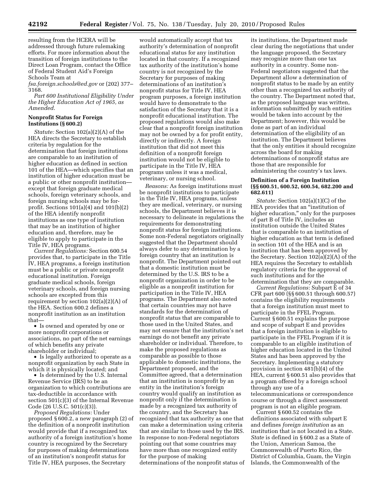resulting from the HCERA will be addressed through future rulemaking efforts. For more information about the transition of foreign institutions to the Direct Loan Program, contact the Office of Federal Student Aid's Foreign Schools Team at

*[fsa.foreign.schools@ed.gov](mailto:fsa.foreign.schools@ed.gov)* or (202) 377– 3168.

*Part 600 Institutional Eligibility Under the Higher Education Act of 1965, as Amended*.

## **Nonprofit Status for Foreign Institutions (§ 600.2)**

*Statute:* Section 102(a)(2)(A) of the HEA directs the Secretary to establish criteria by regulation for the determination that foreign institutions are comparable to an institution of higher education as defined in section 101 of the HEA—which specifies that an institution of higher education must be a public or other nonprofit institution except that foreign graduate medical schools, foreign veterinary schools, and foreign nursing schools may be forprofit. Sections 101(a)(4) and 101(b)(2) of the HEA identify nonprofit institutions as one type of institution that may be an institution of higher education and, therefore, may be eligible to apply to participate in the Title IV, HEA programs.

*Current Regulations:* Section 600.54 provides that, to participate in the Title IV, HEA programs, a foreign institution must be a public or private nonprofit educational institution. Foreign graduate medical schools, foreign veterinary schools, and foreign nursing schools are excepted from this requirement by section 102(a)(2)(A) of the HEA. Section 600.2 defines a nonprofit institution as an institution that—

• Is owned and operated by one or more nonprofit corporations or associations, no part of the net earnings of which benefits any private shareholder or individual;

• Is legally authorized to operate as a nonprofit organization by each State in which it is physically located; and

• Is determined by the U.S. Internal Revenue Service (IRS) to be an organization to which contributions are tax-deductible in accordance with section 501(c)(3) of the Internal Revenue Code (26 U.S.C. 501(c)(3)).

*Proposed Regulations:* Under proposed § 600.2, a new paragraph (2) of the definition of a nonprofit institution would provide that if a recognized tax authority of a foreign institution's home country is recognized by the Secretary for purposes of making determinations of an institution's nonprofit status for Title IV, HEA purposes, the Secretary

would automatically accept that tax authority's determination of nonprofit educational status for any institution located in that country. If a recognized tax authority of the institution's home country is not recognized by the Secretary for purposes of making determinations of an institution's nonprofit status for Title IV, HEA program purposes, a foreign institution would have to demonstrate to the satisfaction of the Secretary that it is a nonprofit educational institution. The proposed regulations would also make clear that a nonprofit foreign institution may not be owned by a for profit entity, directly or indirectly. A foreign institution that did not meet this definition of a nonprofit foreign institution would not be eligible to participate in the Title IV, HEA programs unless it was a medical, veterinary, or nursing school.

*Reasons:* As foreign institutions must be nonprofit institutions to participate in the Title IV, HEA programs, unless they are medical, veterinary, or nursing schools, the Department believes it is necessary to delineate in regulations the requirements for demonstrating nonprofit status for foreign institutions. Some non-Federal negotiators originally suggested that the Department should always defer to any determination by a foreign country that an institution is nonprofit. The Department pointed out that a domestic institution must be determined by the U.S. IRS to be a nonprofit organization in order to be eligible as a nonprofit institution for participation in the Title IV, HEA programs. The Department also noted that certain countries may not have standards for the determination of nonprofit status that are comparable to those used in the United States, and may not ensure that the institution's net earnings do not benefit any private shareholder or individual. Therefore, to make the proposed regulations as comparable as possible to those applicable to domestic institutions, the Department proposed, and the Committee agreed, that a determination that an institution is nonprofit by an entity in the institution's foreign country would qualify an institution as nonprofit only if the determination is made by a recognized tax authority of the country, and the Secretary has recognized that tax authority as one that can make a determination using criteria that are similar to those used by the IRS. In response to non-Federal negotiators pointing out that some countries may have more than one recognized entity for the purpose of making determinations of the nonprofit status of its institutions, the Department made clear during the negotiations that under the language proposed, the Secretary may recognize more than one tax authority in a country. Some non-Federal negotiators suggested that the Department allow a determination of nonprofit status to be made by an entity other than a recognized tax authority of the country. The Department noted that, as the proposed language was written, information submitted by such entities would be taken into account by the Department; however, this would be done as part of an individual determination of the eligibility of an institution. The Department believes that the only entities it should recognize across the board for making determinations of nonprofit status are those that are responsible for administering the country's tax laws.

#### **Definition of a Foreign Institution (§§ 600.51, 600.52, 600.54, 682.200 and 682.611)**

*Statute:* Section 102(a)(1)(C) of the HEA provides that an "institution of higher education," only for the purposes of part B of Title IV, includes an institution outside the United States that is comparable to an institution of higher education as that term is defined in section 101 of the HEA and is an institution that has been approved by the Secretary. Section 102(a)(2)(A) of the HEA requires the Secretary to establish regulatory criteria for the approval of such institutions and for the determination that they are comparable.

*Current Regulations:* Subpart E of 34 CFR part 600 (§§ 600.51 through 600.57) contains the eligibility requirements that a foreign institution must meet to participate in the FFEL Program. Current § 600.51 explains the purpose and scope of subpart E and provides that a foreign institution is eligible to participate in the FFEL Program if it is comparable to an eligible institution of higher education located in the United States and has been approved by the Secretary. Implementing a statutory provision in section 481(b)(4) of the HEA, current § 600.51 also provides that a program offered by a foreign school through any use of a telecommunications or correspondence course or through a direct assessment program is not an eligible program.

Current § 600.52 contains the definitions associated with subpart E and defines *foreign institution* as an institution that is not located in a State. *State* is defined in § 600.2 as a State of the Union, American Samoa, the Commonwealth of Puerto Rico, the District of Columbia, Guam, the Virgin Islands, the Commonwealth of the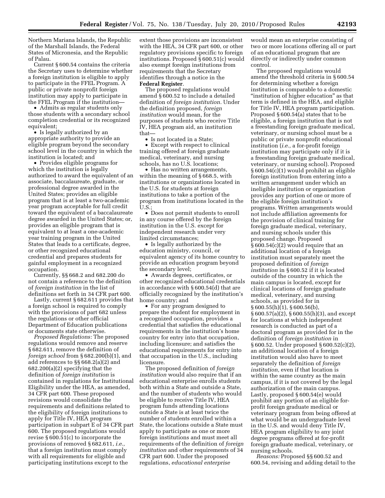Northern Mariana Islands, the Republic of the Marshall Islands, the Federal States of Micronesia, and the Republic of Palau.

Current § 600.54 contains the criteria the Secretary uses to determine whether a foreign institution is eligible to apply to participate in the FFEL Program. A public or private nonprofit foreign institution may apply to participate in the FFEL Program if the institution—

• Admits as regular students only those students with a secondary school completion credential or its recognized equivalent;

• Is legally authorized by an appropriate authority to provide an eligible program beyond the secondary school level in the country in which the institution is located; and

• Provides eligible programs for which the institution is legally authorized to award the equivalent of an associate, baccalaureate, graduate, or professional degree awarded in the United States; provides an eligible program that is at least a two-academic year program acceptable for full credit toward the equivalent of a baccalaureate degree awarded in the United States; or, provides an eligible program that is equivalent to at least a one-academic year training program in the United States that leads to a certificate, degree, or other recognized educational credential and prepares students for gainful employment in a recognized occupation.

Currently, §§ 668.2 and 682.200 do not contain a reference to the definition of *foreign institution* in the list of definitions set forth in 34 CFR part 600.

Lastly, current § 682.611 provides that a foreign school is required to comply with the provisions of part 682 unless the regulations or other official Department of Education publications or documents state otherwise.

*Proposed Regulations:* The proposed regulations would remove and reserve § 682.611, remove the definition of *foreign school* from § 682.200(b)(1), and add references to §§ 668.2(a)(2) and 682.200(a)(2) specifying that the definition of *foreign institution* is contained in regulations for Institutional Eligibility under the HEA, as amended, 34 CFR part 600. These proposed revisions would consolidate the requirements and definitions related to the eligibility of foreign institutions to apply for Title IV, HEA program participation in subpart E of 34 CFR part 600. The proposed regulations would revise § 600.51(c) to incorporate the provisions of removed § 682.611, *i.e.,*  that a foreign institution must comply with all requirements for eligible and participating institutions except to the

extent those provisions are inconsistent with the HEA, 34 CFR part 600, or other regulatory provisions specific to foreign institutions. Proposed § 600.51(c) would also exempt foreign institutions from requirements that the Secretary identifies through a notice in the **Federal Register**.

The proposed regulations would amend § 600.52 to include a detailed definition of *foreign institution.* Under the definition proposed, *foreign institution* would mean, for the purposes of students who receive Title IV, HEA program aid, an institution that—

• Is not located in a State;

• Except with respect to clinical training offered at foreign graduate medical, veterinary, and nursing schools, has no U.S. locations;

• Has no written arrangements, within the meaning of § 668.5, with institutions or organizations located in the U.S. for students at foreign institutions to take a portion of the program from institutions located in the U.S.;

• Does not permit students to enroll in any course offered by the foreign institution in the U.S. except for independent research under very limited circumstances;

• Is legally authorized by the education ministry, council, or equivalent agency of its home country to provide an education program beyond the secondary level;

• Awards degrees, certificates, or other recognized educational credentials in accordance with § 600.54(d) that are officially recognized by the institution's home country; and

• For any program designed to prepare the student for employment in a recognized occupation, provides a credential that satisfies the educational requirements in the institution's home country for entry into that occupation, including licensure; and satisfies the educational requirements for entry into that occupation in the U.S., including licensure.

The proposed definition of *foreign institution* would also require that if an educational enterprise enrolls students both within a State and outside a State, and the number of students who would be eligible to receive Title IV, HEA program funds attending locations outside a State is at least twice the number of students enrolled within a State, the locations outside a State must apply to participate as one or more foreign institutions and must meet all requirements of the definition of *foreign institution* and other requirements of 34 CFR part 600. Under the proposed regulations, *educational enterprise* 

would mean an enterprise consisting of two or more locations offering all or part of an educational program that are directly or indirectly under common control.

The proposed regulations would amend the threshold criteria in § 600.54 for determining whether a foreign institution is comparable to a domestic ''institution of higher education'' as that term is defined in the HEA, and eligible for Title IV, HEA program participation. Proposed § 600.54(a) states that to be eligible, a foreign institution that is not a freestanding foreign graduate medical, veterinary, or nursing school must be a public or private nonprofit educational institution (*i.e.,* a for-profit foreign institution may participate only if it is a freestanding foreign graduate medical, veterinary, or nursing school). Proposed § 600.54(c)(1) would prohibit an eligible foreign institution from entering into a written arrangement under which an ineligible institution or organization provides any portion of one or more of the eligible foreign institution's programs. Written arrangements would not include affiliation agreements for the provision of clinical training for foreign graduate medical, veterinary, and nursing schools under this proposed change. Proposed § 600.54(c)(2) would require that an additional location of a foreign institution must separately meet the proposed definition of *foreign institution* in § 600.52 if it is located outside of the country in which the main campus is located, except for clinical locations of foreign graduate medical, veterinary, and nursing schools, as provided for in § 600.55(h)(1), § 600.56(b), § 600.57(a)(2), § 600.55(h)(3), and except for locations at which independent research is conducted as part of a doctoral program as provided for in the definition of *foreign institution* in § 600.52. Under proposed § 600.52(c)(2), an additional location of a foreign institution would also have to meet separately the definition of *foreign institution,* even if that location is within the same country as the main campus, if it is not covered by the legal authorization of the main campus. Lastly, proposed § 600.54(e) would prohibit any portion of an eligible forprofit foreign graduate medical or veterinary program from being offered at what would be an undergraduate level in the U.S. and would deny Title IV, HEA program eligibility to any joint degree programs offered at for-profit foreign graduate medical, veterinary, or nursing schools.

*Reasons:* Proposed §§ 600.52 and 600.54, revising and adding detail to the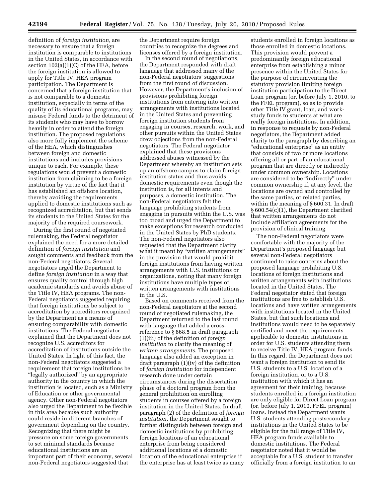definition of *foreign institution,* are necessary to ensure that a foreign institution is comparable to institutions in the United States, in accordance with section 102(a)(1)(C) of the HEA, before the foreign institution is allowed to apply for Title IV, HEA program participation. The Department is concerned that a foreign institution that is not comparable to a domestic institution, especially in terms of the quality of its educational programs, may misuse Federal funds to the detriment of its students who may have to borrow heavily in order to attend the foreign institution. The proposed regulations also more fully implement the scheme of the HEA, which distinguishes between foreign and domestic institutions and includes provisions unique to each. For example, these regulations would prevent a domestic institution from claiming to be a foreign institution by virtue of the fact that it has established an offshore location, thereby avoiding the requirements applied to domestic institutions such as recognized accreditation, but that sends its students to the United States for the majority of the required coursework.

During the first round of negotiated rulemaking, the Federal negotiator explained the need for a more detailed definition of *foreign institution* and sought comments and feedback from the non-Federal negotiators. Several negotiators urged the Department to define *foreign institution* in a way that ensures quality control through high academic standards and avoids abuse of the Title IV, HEA programs. The non-Federal negotiators suggested requiring that foreign institutions be subject to accreditation by accreditors recognized by the Department as a means of ensuring comparability with domestic institutions. The Federal negotiator explained that the Department does not recognize U.S. accreditors for accreditation of institutions outside the United States. In light of this fact, the non-Federal negotiators suggested a requirement that foreign institutions be ''legally authorized'' by an appropriate authority in the country in which the institution is located, such as a Ministry of Education or other governmental agency. Other non-Federal negotiators also urged the Department to be flexible in this area because such authority could reside in different branches of government depending on the country. Recognizing that there might be pressure on some foreign governments to set minimal standards because educational institutions are an important part of their economy, several non-Federal negotiators suggested that

the Department require foreign countries to recognize the degrees and licenses offered by a foreign institution.

In the second round of negotiations, the Department responded with draft language that addressed many of the non-Federal negotiators' suggestions from the first round of discussion. However, the Department's inclusion of provisions prohibiting foreign institutions from entering into written arrangements with institutions located in the United States and preventing foreign institution students from engaging in courses, research, work, and other pursuits within the United States drew objections from the non-Federal negotiators. The Federal negotiator explained that these provisions addressed abuses witnessed by the Department whereby an institution sets up an offshore campus to claim foreign institution status and thus avoids domestic requirements even though the institution is, for all intents and purposes, a domestic institution. The non-Federal negotiators felt the language prohibiting students from engaging in pursuits within the U.S. was too broad and urged the Department to make exceptions for research conducted in the United States by PhD students. The non-Federal negotiators also requested that the Department clarify what it meant by "written arrangements" in the provision that would prohibit foreign institutions from having written arrangements with U.S. institutions or organizations, noting that many foreign institutions have multiple types of written arrangements with institutions in the U.S.

Based on comments received from the non-Federal negotiators at the second round of negotiated rulemaking, the Department returned to the last round with language that added a crossreference to § 668.5 in draft paragraph (1)(iii) of the definition of *foreign institution* to clarify the meaning of *written arrangements.* The proposed language also added an exception in draft paragraph (1)(iv) of the definition of *foreign institution* for independent research done under certain circumstances during the dissertation phase of a doctoral program from the general prohibition on enrolling students in courses offered by a foreign institution in the United States. In draft paragraph (2) of the definition of *foreign institution,* the Department sought to further distinguish between foreign and domestic institutions by prohibiting foreign locations of an educational enterprise from being considered additional locations of a domestic location of the educational enterprise if the enterprise has at least twice as many

students enrolled in foreign locations as those enrolled in domestic locations. This provision would prevent a predominantly foreign educational enterprise from establishing a minor presence within the United States for the purpose of circumventing the statutory provision limiting foreign institution participation to the Direct Loan program (or, before July 1, 2010, to the FFEL program), so as to provide other Title IV grant, loan, and workstudy funds to students at what are really foreign institutions. In addition, in response to requests by non-Federal negotiators, the Department added clarity to the paragraph by describing an ''educational enterprise'' as an entity that consists of two or more locations offering all or part of an educational program that are directly or indirectly under common ownership. Locations are considered to be ''indirectly'' under common ownership if, at any level, the locations are owned and controlled by the same parties, or related parties, within the meaning of § 600.31. In draft § 600.54(c)(1), the Department clarified that written arrangements do not include affiliation agreements for the provision of clinical training.

The non-Federal negotiators were comfortable with the majority of the Department's proposed language but several non-Federal negotiators continued to raise concerns about the proposed language prohibiting U.S. locations of foreign institutions and written arrangements with institutions located in the United States. The Federal negotiator stated that foreign institutions are free to establish U.S. locations and have written arrangements with institutions located in the United States, but that such locations and institutions would need to be separately certified and meet the requirements applicable to domestic institutions in order for U.S. students attending them to receive Title IV, HEA program funds. In this regard, the Department does not want a foreign institution to send its U.S. students to a U.S. location of a foreign institution, or to a U.S. institution with which it has an agreement for their training, because students enrolled in a foreign institution are only eligible for Direct Loan program (or, before July 1, 2010, FFEL program) loans. Instead the Department wants U.S. students attending postsecondary institutions in the United States to be eligible for the full range of Title IV, HEA program funds available to domestic institutions. The Federal negotiator noted that it would be acceptable for a U.S. student to transfer officially from a foreign institution to an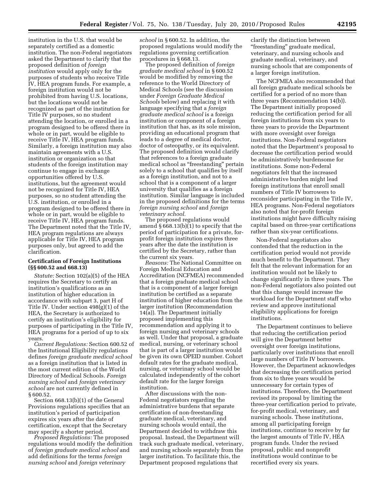institution in the U.S. that would be separately certified as a domestic institution. The non-Federal negotiators asked the Department to clarify that the proposed definition of *foreign institution* would apply only for the purposes of students who receive Title IV, HEA program funds. For example, a foreign institution would not be prohibited from having U.S. locations, but the locations would not be recognized as part of the institution for Title IV purposes, so no student attending the location, or enrolled in a program designed to be offered there in whole or in part, would be eligible to receive Title IV, HEA program funds. Similarly, a foreign institution may also maintain agreements with a U.S. institution or organization so that students of the foreign institution may continue to engage in exchange opportunities offered by U.S. institutions, but the agreement would not be recognized for Title IV, HEA purposes, so no student attending the U.S. institution, or enrolled in a program designed to be offered there in whole or in part, would be eligible to receive Title IV, HEA program funds. The Department noted that the Title IV, HEA program regulations are always applicable for Title IV, HEA program purposes only, but agreed to add the clarification.

## **Certification of Foreign Institutions (§§ 600.52 and 668.13)**

*Statute:* Section 102(a)(5) of the HEA requires the Secretary to certify an institution's qualifications as an institution of higher education in accordance with subpart 3, part H of Title IV. Under section 498(g)(1) of the HEA, the Secretary is authorized to certify an institution's eligibility for purposes of participating in the Title IV, HEA programs for a period of up to six years.

*Current Regulations:* Section 600.52 of the Institutional Eligibility regulations defines *foreign graduate medical school*  as a foreign institution that is listed in the most current edition of the World Directory of Medical Schools. *Foreign nursing school* and *foreign veterinary school* are not currently defined in § 600.52.

Section 668.13(b)(1) of the General Provisions regulations specifies that an institution's period of participation expires six years after the date of certification, except that the Secretary may specify a shorter period.

*Proposed Regulations:* The proposed regulations would modify the definition of *foreign graduate medical school* and add definitions for the terms *foreign nursing school* and *foreign veterinary* 

*school* in § 600.52. In addition, the proposed regulations would modify the regulations governing certification procedures in § 668.13.

The proposed definition of *foreign graduate medical school* in § 600.52 would be modified by removing the reference to the World Directory of Medical Schools (see the discussion under *Foreign Graduate Medical Schools* below) and replacing it with language specifying that a *foreign graduate medical school* is a foreign institution or component of a foreign institution that has, as its sole mission, providing an educational program that leads to a degree of medical doctor, doctor of osteopathy, or its equivalent. The proposed definition would clarify that references to a foreign graduate medical school as ''freestanding'' pertain solely to a school that qualifies by itself as a foreign institution, and not to a school that is a component of a larger university that qualifies as a foreign institution. Similar language is included in the proposed definitions for the terms *foreign nursing school* and *foreign veterinary school.* 

The proposed regulations would amend § 668.13(b)(1) to specify that the period of participation for a private, forprofit foreign institution expires three years after the date the institution is certified by the Secretary, rather than the current six years.

*Reasons:* The National Committee on Foreign Medical Education and Accreditation (NCFMEA) recommended that a foreign graduate medical school that is a component of a larger foreign institution be certified as a separate institution of higher education from the larger institution (Recommendation 14(a)). The Department initially proposed implementing this recommendation and applying it to foreign nursing and veterinary schools as well. Under that proposal, a graduate medical, nursing, or veterinary school that is part of a larger institution would be given its own OPEID number. Cohort default rates for the graduate medical, nursing, or veterinary school would be calculated independently of the cohort default rate for the larger foreign institution.

After discussions with the non-Federal negotiators regarding the administrative burdens that separate certification of non-freestanding graduate medical, veterinary, and nursing schools would entail, the Department decided to withdraw this proposal. Instead, the Department will track such graduate medical, veterinary, and nursing schools separately from the larger institution. To facilitate this, the Department proposed regulations that

clarify the distinction between ''freestanding'' graduate medical, veterinary, and nursing schools and graduate medical, veterinary, and nursing schools that are components of a larger foreign institution.

The NCFMEA also recommended that all foreign graduate medical schools be certified for a period of no more than three years (Recommendation 14(b)). The Department initially proposed reducing the certification period for all foreign institutions from six years to three years to provide the Department with more oversight over foreign institutions. Non-Federal negotiators noted that the Department's proposal to decrease the certification period would be administratively burdensome for institutions. Some non-Federal negotiators felt that the increased administrative burden might lead foreign institutions that enroll small numbers of Title IV borrowers to reconsider participating in the Title IV, HEA programs. Non-Federal negotiators also noted that for-profit foreign institutions might have difficulty raising capital based on three-year certifications rather than six-year certifications.

Non-Federal negotiators also contended that the reduction in the certification period would not provide much benefit to the Department. They felt that the relevant information for an institution would not be likely to change significantly in three years. The non-Federal negotiators also pointed out that this change would increase the workload for the Department staff who review and approve institutional eligibility applications for foreign institutions.

The Department continues to believe that reducing the certification period will give the Department better oversight over foreign institutions, particularly over institutions that enroll large numbers of Title IV borrowers. However, the Department acknowledges that decreasing the certification period from six to three years would be unnecessary for certain types of institutions. Therefore, the Department revised its proposal by limiting the three-year certification period to private, for-profit medical, veterinary, and nursing schools. These institutions, among all participating foreign institutions, continue to receive by far the largest amounts of Title IV, HEA program funds. Under the revised proposal, public and nonprofit institutions would continue to be recertified every six years.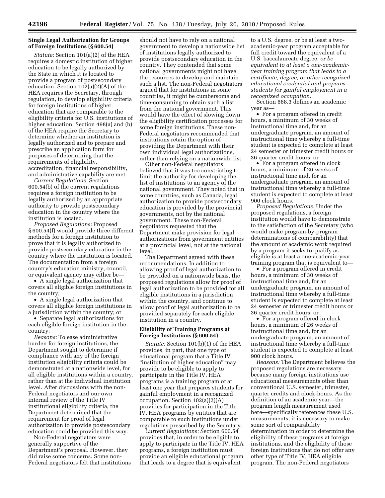## **Single Legal Authorization for Groups of Foreign Institutions (§ 600.54)**

*Statute:* Section 101(a)(2) of the HEA requires a domestic institution of higher education to be legally authorized by the State in which it is located to provide a program of postsecondary education. Section 102(a)(2)(A) of the HEA requires the Secretary, through regulation, to develop eligibility criteria for foreign institutions of higher education that are comparable to the eligibility criteria for U.S. institutions of higher education. Section 498(a) and (b) of the HEA require the Secretary to determine whether an institution is legally authorized and to prepare and prescribe an application form for purposes of determining that the requirements of eligibility, accreditation, financial responsibility, and administrative capability are met.

*Current Regulations:* Section 600.54(b) of the current regulations requires a foreign institution to be legally authorized by an appropriate authority to provide postsecondary education in the country where the institution is located.

*Proposed Regulations:* Proposed § 600.54(f) would provide three different methods for a foreign institution to prove that it is legally authorized to provide postsecondary education in the country where the institution is located. The documentation from a foreign country's education ministry, council, or equivalent agency may either be—

• A single legal authorization that covers all eligible foreign institutions in the country;

• A single legal authorization that covers all eligible foreign institutions in a jurisdiction within the country; or

• Separate legal authorizations for each eligible foreign institution in the country.

*Reasons:* To ease administrative burden for foreign institutions, the Department sought to determine if compliance with any of the foreign institution eligibility criteria could be demonstrated at a nationwide level, for all eligible institutions within a country, rather than at the individual institution level. After discussions with the non-Federal negotiators and our own internal review of the Title IV institutional eligibility criteria, the Department determined that the requirement for proof of legal authorization to provide postsecondary education could be provided this way.

Non-Federal negotiators were generally supportive of the Department's proposal. However, they did raise some concerns. Some non-Federal negotiators felt that institutions

should not have to rely on a national government to develop a nationwide list of institutions legally authorized to provide postsecondary education in the country. They contended that some national governments might not have the resources to develop and maintain such a list. The non-Federal negotiators argued that for institutions in some countries, it might be cumbersome and time-consuming to obtain such a list from the national government. This would have the effect of slowing down the eligibility certification processes for some foreign institutions. These non-Federal negotiators recommended that institutions retain the option of providing the Department with their own individual legal authorizations, rather than relying on a nationwide list.

Other non-Federal negotiators believed that it was too constricting to limit the authority for developing the list of institutions to an agency of the national government. They noted that in some countries, such as Canada, legal authorization to provide postsecondary education is provided by the provincial governments, not by the national government. These non-Federal negotiators requested that the Department make provision for legal authorizations from government entities at a provincial level, not at the national level.

The Department agreed with these recommendations. In addition to allowing proof of legal authorization to be provided on a nationwide basis, the proposed regulations allow for proof of legal authorization to be provided for all eligible institutions in a jurisdiction within the country, and continue to allow proof of legal authorization to be provided separately for each eligible institution in a country.

## **Eligibility of Training Programs at Foreign Institutions (§ 600.54)**

*Statute:* Section 101(b)(1) of the HEA provides, in part, that one type of educational program that a Title IV ''institution of higher education'' may provide to be eligible to apply to participate in the Title IV, HEA programs is a training program of at least one year that prepares students for gainful employment in a recognized occupation. Section 102(a)(2)(A) provides for participation in the Title IV, HEA programs by entities that are comparable to such institutions under regulations prescribed by the Secretary.

*Current Regulations:* Section 600.54 provides that, in order to be eligible to apply to participate in the Title IV, HEA programs, a foreign institution must provide an eligible educational program that leads to a degree that is equivalent

to a U.S. degree, or be at least a twoacademic-year program acceptable for full credit toward the equivalent of a U.S. baccalaureate degree, *or be equivalent to at least a one-academicyear training program that leads to a certificate, degree, or other recognized educational credential and prepares students for gainful employment in a recognized occupation.* 

Section 668.3 defines an academic year as—

• For a program offered in credit hours, a minimum of 30 weeks of instructional time and, for an undergraduate program, an amount of instructional time whereby a full-time student is expected to complete at least 24 semester or trimester credit hours or 36 quarter credit hours; or

• For a program offered in clock hours, a minimum of 26 weeks of instructional time and, for an undergraduate program, an amount of instructional time whereby a full-time student is expected to complete at least 900 clock hours.

*Proposed Regulations:* Under the proposed regulations, a foreign institution would have to demonstrate to the satisfaction of the Secretary (who would make program-by-program determinations of comparability) that the amount of academic work required by a program it seeks to qualify as eligible is at least a one-academic-year training program that is equivalent to—

• For a program offered in credit hours, a minimum of 30 weeks of instructional time and, for an undergraduate program, an amount of instructional time whereby a full-time student is expected to complete at least 24 semester or trimester credit hours or 36 quarter credit hours; or

• For a program offered in clock hours, a minimum of 26 weeks of instructional time and, for an undergraduate program, an amount of instructional time whereby a full-time student is expected to complete at least 900 clock hours.

*Reasons:* The Department believes the proposed regulations are necessary because many foreign institutions use educational measurements other than conventional U.S. semester, trimester, quarter credits and clock-hours. As the definition of an academic year—the program length measurement used here—specifically references these U.S. measurements, it is necessary to make some sort of comparability determination in order to determine the eligibility of these programs at foreign institutions, and the eligibility of those foreign institutions that do not offer any other type of Title IV, HEA eligible program. The non-Federal negotiators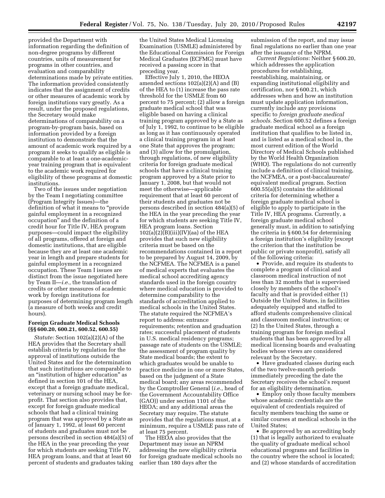provided the Department with information regarding the definition of non-degree programs by different countries, units of measurement for programs in other countries, and evaluation and comparability determinations made by private entities. The information provided consistently indicates that the assignment of credits or other measures of academic work by foreign institutions vary greatly. As a result, under the proposed regulations, the Secretary would make determinations of comparability on a program-by-program basis, based on information provided by a foreign institution to demonstrate that the amount of academic work required by a program it seeks to qualify as eligible is comparable to at least a one-academicyear training program that is equivalent to the academic work required for eligibility of these programs at domestic institutions.

Two of the issues under negotiation by the Team I negotiating committee (Program Integrity Issues)—the definition of what it means to "provide gainful employment in a recognized occupation'' and the definition of a credit hour for Title IV, HEA program purposes—could impact the eligibility of all programs, offered at foreign and domestic institutions, that are eligible because they are at least one academic year in length and prepare students for gainful employment in a recognized occupation. These Team I issues are distinct from the issue negotiated here by Team II—*i.e.,* the translation of credits or other measures of academic work by foreign institutions for purposes of determining program length (a measure of both weeks and credit hours).

#### **Foreign Graduate Medical Schools (§§ 600.20, 600.21, 600.52, 600.55)**

*Statute:* Section 102(a)(2)(A) of the HEA provides that the Secretary shall establish criteria by regulation for the approval of institutions outside the United States and for the determination that such institutions are comparable to an ''institution of higher education'' as defined in section 101 of the HEA, except that a foreign graduate medical, veterinary or nursing school may be forprofit. That section also provides that, except for foreign graduate medical schools that had a clinical training program that was approved by a State as of January 1, 1992, at least 60 percent of students and graduates must not be persons described in section 484(a)(5) of the HEA in the year preceding the year for which students are seeking Title IV, HEA program loans, and that at least 60 percent of students and graduates taking

the United States Medical Licensing Examination (USMLE) administered by the Educational Commission for Foreign Medical Graduates (ECFMG) must have received a passing score in that preceding year.

Effective July 1, 2010, the HEOA amended sections 102(a)(2)(A) and (B) of the HEA to (1) increase the pass rate threshold for the USMLE from 60 percent to 75 percent; (2) allow a foreign graduate medical school that was eligible based on having a clinical training program approved by a State as of July 1, 1992, to continue to be eligible as long as it has continuously operated a clinical training program in at least one State that approves the program; and (3) allow for the promulgation, through regulations, of new eligibility criteria for foreign graduate medical schools that have a clinical training program approved by a State prior to January 1, 2008, but that would not meet the otherwise—applicable requirement that at least 60 percent of their students and graduates not be persons described in section 484(a)(5) of the HEA in the year preceding the year for which students are seeking Title IV, HEA program loans. Section  $102(a)(2)(B)(iii)(IV)(aa)$  of the HEA provides that such new eligibility criteria must be based on the recommendations contained in a report to be prepared by August 14, 2009, by the NCFMEA. The NCFMEA is a panel of medical experts that evaluates the medical school accrediting agency standards used in the foreign country where medical education is provided to determine comparability to the standards of accreditation applied to medical schools in the United States. The statute required the NCFMEA's report to address: entrance requirements; retention and graduation rates; successful placement of students in U.S. medical residency programs; passage rate of students on the USMLE; the assessment of program quality by State medical boards; the extent to which graduates would be unable to practice medicine in one or more States, based on the judgment of a State medical board; any areas recommended by the Comptroller General (*i.e.,* head of the Government Accountability Office (GAO)) under section 1101 of the HEOA; and any additional areas the Secretary may require. The statute provides that the regulations must, at a minimum, require a USMLE pass rate of at least 75 percent.

The HEOA also provides that the Department may issue an NPRM addressing the new eligibility criteria for foreign graduate medical schools no earlier than 180 days after the

submission of the report, and may issue final regulations no earlier than one year after the issuance of the NPRM.

*Current Regulations:* Neither § 600.20, which addresses the application procedures for establishing, reestablishing, maintaining, or expanding institutional eligibility and certification, nor § 600.21, which addresses when and how an institution must update application information, currently include any provisions specific to *foreign graduate medical schools.* Section 600.52 defines a foreign graduate medical school as a foreign institution that qualifies to be listed in, and is listed as a medical school in, the most current edition of the World Directory of Medical Schools published by the World Health Organization (WHO). The regulations do not currently include a definition of clinical training, the NCFMEA, or a post-baccalaureate/ equivalent medical program. Section 600.55(a)(5) contains the additional criteria for determining whether a foreign graduate medical school is eligible to apply to participate in the Title IV, HEA programs. Currently, a foreign graduate medical school generally must, in addition to satisfying the criteria in § 600.54 for determining a foreign institution's eligibility (except the criterion that the institution be public or private nonprofit), satisfy all of the following criteria:

• Provide, and require its students to complete a program of clinical and classroom medical instruction of not less than 32 months that is supervised closely by members of the school's faculty and that is provided either (1) Outside the United States, in facilities adequately equipped and staffed to afford students comprehensive clinical and classroom medical instruction; or (2) In the United States, through a training program for foreign medical students that has been approved by all medical licensing boards and evaluating bodies whose views are considered relevant by the Secretary.

• Have graduated classes during each of the two twelve-month periods immediately preceding the date the Secretary receives the school's request for an eligibility determination.

• Employ only those faculty members whose academic credentials are the equivalent of credentials required of faculty members teaching the same or similar courses at medical schools in the United States;

• Be approved by an accrediting body (1) that is legally authorized to evaluate the quality of graduate medical school educational programs and facilities in the country where the school is located; and (2) whose standards of accreditation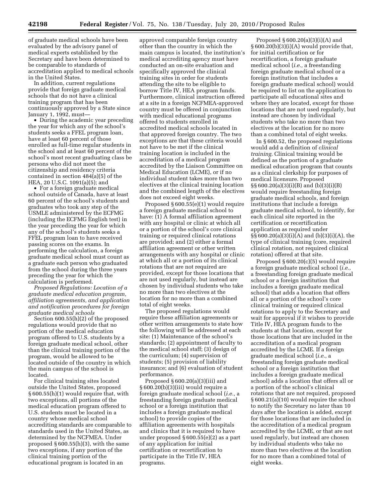of graduate medical schools have been evaluated by the advisory panel of medical experts established by the Secretary and have been determined to be comparable to standards of accreditation applied to medical schools in the United States.

In addition, current regulations provide that foreign graduate medical schools that do not have a clinical training program that has been continuously approved by a State since January 1, 1992, must—

• During the academic year preceding the year for which any of the school's students seeks a FFEL program loan, have at least 60 percent of those enrolled as full-time regular students in the school and at least 60 percent of the school's most recent graduating class be persons who did not meet the citizenship and residency criteria contained in section 484(a)(5) of the HEA, 20 U.S.C. 1091(a)(5); and

• For a foreign graduate medical school outside of Canada, have at least 60 percent of the school's students and graduates who took any step of the USMLE administered by the ECFMG (including the ECFMG English test) in the year preceding the year for which any of the school's students seeks a FFEL program loan to have received passing scores on the exams. In performing the calculation, a foreign graduate medical school must count as a graduate each person who graduated from the school during the three years preceding the year for which the calculation is performed.

*Proposed Regulations: Location of a graduate medical education program, affiliation agreements, and application and notification procedures for foreign graduate medical schools* 

Section 600.55(h)(2) of the proposed regulations would provide that no portion of the medical education program offered to U.S. students by a foreign graduate medical school, other than the clinical training portion of the program, would be allowed to be located outside of the country in which the main campus of the school is located.

For clinical training sites located outside the United States, proposed § 600.55(h)(1) would require that, with two exceptions, all portions of the medical education program offered to U.S. students must be located in a country whose medical school accrediting standards are comparable to standards used in the United States, as determined by the NCFMEA. Under proposed § 600.55(h)(3), with the same two exceptions, if any portion of the clinical training portion of the educational program is located in an

approved comparable foreign country other than the country in which the main campus is located, the institution's medical accrediting agency must have conducted an on-site evaluation and specifically approved the clinical training sites in order for students attending the site to be eligible to borrow Title IV, HEA program funds. Furthermore, clinical instruction offered at a site in a foreign NCFMEA-approved country must be offered in conjunction with medical educational programs offered to students enrolled in accredited medical schools located in that approved foreign country. The two exceptions are that these criteria would not have to be met if the clinical training location is included in the accreditation of a medical program accredited by the Liaison Committee on Medical Education (LCME), or if no individual student takes more than two electives at the clinical training location and the combined length of the electives does not exceed eight weeks.

Proposed § 600.55(e)(1) would require a foreign graduate medical school to have: (1) A formal affiliation agreement with any hospital or clinic at which all or a portion of the school's core clinical training or required clinical rotations are provided; and (2) either a formal affiliation agreement or other written arrangements with any hospital or clinic at which all or a portion of its clinical rotations that are not required are provided, except for those locations that are not used regularly, but instead are chosen by individual students who take no more than two electives at the location for no more than a combined total of eight weeks.

The proposed regulations would require these affiliation agreements or other written arrangements to state how the following will be addressed at each site: (1) Maintenance of the school's standards; (2) appointment of faculty to the medical school staff; (3) design of the curriculum; (4) supervision of students; (5) provision of liability insurance; and (6) evaluation of student performance.

Proposed  $\S 600.20(a)(3)(iii)$  and § 600.20(b)(3)(iii) would require a foreign graduate medical school (*i.e.,* a freestanding foreign graduate medical school or a foreign institution that includes a foreign graduate medical school) to provide copies of the affiliation agreements with hospitals and clinics that it is required to have under proposed § 600.55(e)(2) as a part of any application for initial certification or recertification to participate in the Title IV, HEA programs.

Proposed § 600.20(a)(3)(i)(A) and § 600.20(b)(3)(i)(A) would provide that, for initial certification or for recertification, a foreign graduate medical school (*i.e.,* a freestanding foreign graduate medical school or a foreign institution that includes a foreign graduate medical school) would be required to list on the application to participate all educational sites and where they are located, except for those locations that are not used regularly, but instead are chosen by individual students who take no more than two electives at the location for no more than a combined total of eight weeks.

In § 600.52, the proposed regulations would add a definition of *clinical training.* Clinical training would be defined as the portion of a graduate medical education program that counts as a clinical clerkship for purposes of medical licensure. Proposed §§ 600.20(a)(3)(i)(B) and (b)(3)(i)(B) would require freestanding foreign graduate medical schools, and foreign institutions that include a foreign graduate medical school, to identify, for each clinical site reported in the certification or recertification application as required under §§ 600.20(a)(3)(i)(A) and (b)(3)(i)(A), the type of clinical training (core, required clinical rotation, not required clinical rotation) offered at that site.

Proposed § 600.20(c)(5) would require a foreign graduate medical school (*i.e.,*  a freestanding foreign graduate medical school or a foreign institution that includes a foreign graduate medical school) that adds a location that offers all or a portion of the school's core clinical training or required clinical rotations to apply to the Secretary and wait for approval if it wishes to provide Title IV, HEA program funds to the students at that location, except for those locations that are included in the accreditation of a medical program accredited by the LCME. If a foreign graduate medical school (*i.e.,* a freestanding foreign graduate medical school or a foreign institution that includes a foreign graduate medical school) adds a location that offers all or a portion of the school's clinical rotations that are not required, proposed § 600.21(a)(10) would require the school to notify the Secretary no later than 10 days after the location is added, except for those locations that are included in the accreditation of a medical program accredited by the LCME, or that are not used regularly, but instead are chosen by individual students who take no more than two electives at the location for no more than a combined total of eight weeks.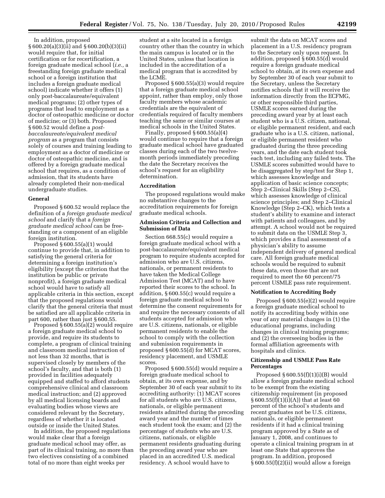In addition, proposed § 600.20(a)(3)(ii) and § 600.20(b)(3)(ii) would require that, for initial certification or for recertification, a foreign graduate medical school (*i.e.,* a freestanding foreign graduate medical school or a foreign institution that includes a foreign graduate medical school) indicate whether it offers (1) only post-baccalaureate/equivalent medical programs; (2) other types of programs that lead to employment as a doctor of osteopathic medicine or doctor of medicine; or (3) both. Proposed § 600.52 would define a *postbaccalaureate/equivalent medical program* as a program that consists solely of courses and training leading to employment as a doctor of medicine or doctor of osteopathic medicine, and is offered by a foreign graduate medical school that requires, as a condition of admission, that its students have already completed their non-medical undergraduate studies.

#### **General**

Proposed § 600.52 would replace the definition of a *foreign graduate medical school* and clarify that a *foreign graduate medical school* can be freestanding or a component of an eligible foreign institution.

Proposed § 600.55(a)(1) would continue to provide that, in addition to satisfying the general criteria for determining a foreign institution's eligibility (except the criterion that the institution be public or private nonprofit), a foreign graduate medical school would have to satisfy all applicable criteria in this section, except that the proposed regulations would clarify that the general criteria that must be satisfied are all applicable criteria in part 600, rather than just § 600.55.

Proposed § 600.55(a)(2) would require a foreign graduate medical school to provide, and require its students to complete, a program of clinical training and classroom medical instruction of not less than 32 months, that is supervised closely by members of the school's faculty, and that is both (1) provided in facilities adequately equipped and staffed to afford students comprehensive clinical and classroom medical instruction; and (2) approved by all medical licensing boards and evaluating bodies whose views are considered relevant by the Secretary, regardless of whether it is located outside or inside the United States.

In addition, the proposed regulations would make clear that a foreign graduate medical school may offer, as part of its clinical training, no more than two electives consisting of a combined total of no more than eight weeks per

student at a site located in a foreign country other than the country in which the main campus is located or in the United States, unless that location is included in the accreditation of a medical program that is accredited by the LCME.

Proposed § 600.55(a)(3) would require that a foreign graduate medical school appoint, rather than employ, only those faculty members whose academic credentials are the equivalent of credentials required of faculty members teaching the same or similar courses at medical schools in the United States.

Finally, proposed § 600.55(a)(4) would continue to require that a foreign graduate medical school have graduated classes during each of the two twelvemonth periods immediately preceding the date the Secretary receives the school's request for an eligibility determination.

#### **Accreditation**

The proposed regulations would make no substantive changes to the accreditation requirements for foreign graduate medical schools.

## **Admission Criteria and Collection and Submission of Data**

Section 668.55(c) would require a foreign graduate medical school with a post-baccalaureate/equivalent medical program to require students accepted for admission who are U.S. citizens, nationals, or permanent residents to have taken the Medical College Admission Test (MCAT) and to have reported their scores to the school. In addition, § 600.55(c) would require a foreign graduate medical school to determine the consent requirements for and require the necessary consents of all students accepted for admission who are U.S. citizens, nationals, or eligible permanent residents to enable the school to comply with the collection and submission requirements in proposed § 600.55(d) for MCAT scores, residency placement, and USMLE scores.

Proposed § 600.55(d) would require a foreign graduate medical school to obtain, at its own expense, and by September 30 of each year submit to its accrediting authority: (1) MCAT scores for all students who are U.S. citizens, nationals, or eligible permanent residents admitted during the preceding award year and the number of times each student took the exam; and (2) the percentage of students who are U.S. citizens, nationals, or eligible permanent residents graduating during the preceding award year who are placed in an accredited U.S. medical residency. A school would have to

submit the data on MCAT scores and placement in a U.S. residency program to the Secretary only upon request. In addition, proposed § 600.55(d) would require a foreign graduate medical school to obtain, at its own expense and by September 30 of each year submit to the Secretary, unless the Secretary notifies schools that it will receive the information directly from the ECFMG, or other responsible third parties, USMLE scores earned during the preceding award year by at least each student who is a U.S. citizen, national, or eligible permanent resident, and each graduate who is a U.S. citizen, national, or eligible permanent resident who graduated during the three preceding years, and the date each student took each test, including any failed tests. The USMLE scores submitted would have to be disaggregated by step/test for Step 1, which assesses knowledge and application of basic science concepts; Step 2–Clinical Skills (Step 2–CS), which assesses knowledge of clinical science principles; and Step 2–Clinical Knowledge (Step 2–CK), which tests a student's ability to examine and interact with patients and colleagues, and by attempt. A school would not be required to submit data on the USMLE Step 3, which provides a final assessment of a physician's ability to assume independent delivery of general medical care. All foreign graduate medical schools would be required to submit these data, even those that are not required to meet the 60 percent/75 percent USMLE pass rate requirement.

#### **Notification to Accrediting Body**

Proposed § 600.55(e)(2) would require a foreign graduate medical school to notify its accrediting body within one year of any material changes in (1) the educational programs, including changes in clinical training programs; and (2) the overseeing bodies in the formal affiliation agreements with hospitals and clinics.

## **Citizenship and USMLE Pass Rate Percentages**

Proposed  $\S 600.55(f)(1)(i)(B)$  would allow a foreign graduate medical school to be exempt from the existing citizenship requirement (in proposed § 600.55(f)(1)(i)(A)) that at least 60 percent of the school's students and recent graduates not be U.S. citizens, nationals, or eligible permanent residents if it had a clinical training program approved by a State as of January 1, 2008, and continues to operate a clinical training program in at least one State that approves the program. In addition, proposed § 600.55(f)(2)(ii) would allow a foreign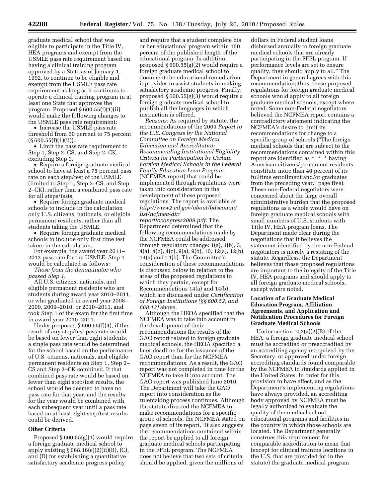graduate medical school that was eligible to participate in the Title IV, HEA programs and exempt from the USMLE pass rate requirement based on having a clinical training program approved by a State as of January 1, 1992, to continue to be eligible and exempt from the USMLE pass rate requirement as long as it continues to operate a clinical training program in at least one State that approves the program. Proposed § 600.55(f)(1)(ii) would make the following changes to the USMLE pass rate requirement:

• Increase the USMLE pass rate threshold from 60 percent to 75 percent  $(S600.55(f)(1)(ii)).$ 

• Limit the pass rate requirement to Step 1, Step 2–CS, and Step 2–CK, excluding Step 3.

• Require a foreign graduate medical school to have at least a 75 percent pass rate on each step/test of the USMLE (limited to Step 1, Step 2–CS, and Step 2–CK), rather than a combined pass rate for all steps/tests.

• Require foreign graduate medical schools to include in the calculation only U.S. citizens, nationals, or eligible permanent residents, rather than all students taking the USMLE.

• Require foreign graduate medical schools to include only first time test takers in the calculation.

For example, the award year 2011– 2012 pass rate for the USMLE–Step 1 would be calculated as follows:

*Those from the denominator who passed Step 1*.

All U.S. citizens, nationals, and eligible permanent residents who are students during award year 2010–2011, or who graduated in award year 2008– 2009, 2009–2010, or 2010–2011, and took Step 1 of the exam for the first time in award year 2010–2011.

Under proposed  $\S 600.55(f)(4)$ , if the result of any step/test pass rate would be based on fewer than eight students, a single pass rate would be determined for the school based on the performance of U.S. citizens, nationals, and eligible permanent residents on Step 1, Step 2– CS and Step 2–CK combined. If that combined pass rate would be based on fewer than eight step/test results, the school would be deemed to have no pass rate for that year, and the results for the year would be combined with each subsequent year until a pass rate based on at least eight step/test results could be derived.

## **Other Criteria**

Proposed § 600.55(g)(1) would require a foreign graduate medical school to apply existing  $\S 668.16(e)(2)(ii)(B)$ , (C), and (D) for establishing a quantitative satisfactory academic progress policy

and require that a student complete his or her educational program within 150 percent of the published length of the educational program. In addition, proposed § 600.55(g)(2) would require a foreign graduate medical school to document the educational remediation it provides to assist students in making satisfactory academic progress. Finally, proposed § 600.55(g)(3) would require a foreign graduate medical school to publish all the languages in which instruction is offered.

*Reasons:* As required by statute, the recommendations of the 2009 *Report to the U.S. Congress by the National Committee on Foreign Medical Education and Accreditation Recommending Institutional Eligibility Criteria for Participation by Certain Foreign Medical Schools in the Federal Family Education Loan Program*  (NCFMEA report) that could be implemented through regulations were taken into consideration in the development of these proposed regulations. The report is available at *[http://www2.ed.gov/about/bdscomm/](http://www2.ed.gov/about/bdscomm/list/ncfmea-dir/reporttocongress2009.pdf) [list/ncfmea-dir/](http://www2.ed.gov/about/bdscomm/list/ncfmea-dir/reporttocongress2009.pdf)* 

*[reporttocongress2009.pdf.](http://www2.ed.gov/about/bdscomm/list/ncfmea-dir/reporttocongress2009.pdf)* The Department determined that the following recommendations made by the NCFMEA could be addressed through regulatory change: 1(a), 1(b), 3, 4(a), 4(b), 4(c), 9(a), 9(b), 10, 12(a), 12(b), 14(a) and 14(b). The Committee's consideration of these recommendations is discussed below in relation to the areas of the proposed regulations to which they pertain, except for Recommendations 14(a) and 14(b), which are discussed under *Certification of Foreign Institutions (§§ 600.52, and 668.13)* above.

Although the HEOA specified that the NCFMEA was to take into account in the development of their recommendations the results of the GAO report related to foreign graduate medical schools, the HEOA specified a later deadline for the issuance of the GAO report than for the NCFMEA recommendations. As a result, the GAO report was not completed in time for the NCFMEA to take it into account. The GAO report was published June 2010. The Department will take the GAO report into consideration as the rulemaking process continues. Although the statute directed the NCFMEA to make recommendations for a specific group of schools, the NCFMEA stated on page seven of its report, ''It also suggests the recommendations contained within the report be applied to all foreign graduate medical schools participating in the FFEL program. The NCFMEA does not believe that two sets of criteria should be applied, given the millions of

dollars in Federal student loans disbursed annually to foreign graduate medical schools that are already participating in the FFEL program. If performance levels are set to ensure quality, they should apply to all.'' The Department in general agrees with this recommendation; thus, these proposed regulations for foreign graduate medical schools would apply to all foreign graduate medical schools, except where noted. Some non-Federal negotiators believed the NCFMEA report contains a contradictory statement indicating the NCFMEA's desire to limit its recommendations for change to a specific group of schools (''The foreign medical schools that are subject to the recommendations contained within this report are identified as \* \* \* having American citizens/permanent residents constitute more than 40 percent of its fulltime enrollment and/or graduates from the preceding year.'' page five). These non-Federal negotiators were concerned about the large overall administrative burden that the proposed regulations as a whole would have on foreign graduate medical schools with small numbers of U.S. students with Title IV, HEA program loans. The Department made clear during the negotiations that it believes the statement identified by the non-Federal negotiators is merely a restating of the statute. Regardless, the Department believes that these proposed regulations are important to the integrity of the Title IV, HEA programs and should apply to all foreign graduate medical schools, except where noted.

## **Location of a Graduate Medical Education Program, Affiliation Agreements, and Application and Notification Procedures for Foreign Graduate Medical Schools**

Under section 102(a)(2)(B) of the HEA, a foreign graduate medical school must be accredited or preaccredited by an accrediting agency recognized by the Secretary, or approved under foreign accrediting standards found comparable by the NCFMEA to standards applied in the United States. In order for this provision to have effect, and as the Department's implementing regulations have always provided, an accrediting body approved by NCFMEA must be legally authorized to evaluate the quality of the medical school educational programs and facilities in the country in which those schools are located. The Department generally construes this requirement for comparable accreditation to mean that (except for clinical training locations in the U.S. that are provided for in the statute) the graduate medical program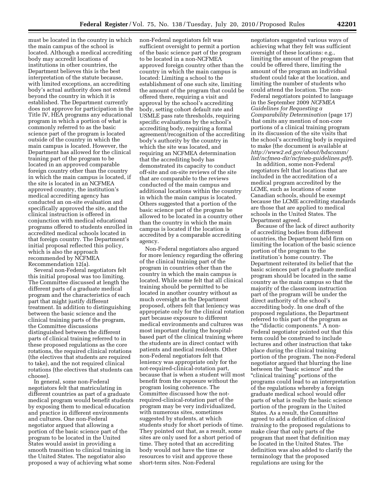must be located in the country in which the main campus of the school is located. Although a medical accrediting body may accredit locations of institutions in other countries, the Department believes this is the best interpretation of the statute because, with limited exceptions, an accrediting body's actual authority does not extend beyond the country in which it is established. The Department currently does not approve for participation in the Title IV, HEA programs any educational program in which a portion of what is commonly referred to as the basic science part of the program is located outside of the country in which the main campus is located. However, the Department has allowed for the clinical training part of the program to be located in an approved comparable foreign country other than the country in which the main campus is located, if the site is located in an NCFMEA approved country, the institution's medical accrediting agency has conducted an on-site evaluation and specifically approved the site, and the clinical instruction is offered in conjunction with medical educational programs offered to students enrolled in accredited medical schools located in that foreign country. The Department's initial proposal reflected this policy, which is also the approach recommended by NCFMEA Recommendation 12(a).

Several non-Federal negotiators felt this initial proposal was too limiting. The Committee discussed at length the different parts of a graduate medical program and the characteristics of each part that might justify different treatment. In addition to distinguishing between the basic science and the clinical training parts of the program, the Committee discussions distinguished between the different parts of clinical training referred to in these proposed regulations as the core rotations, the required clinical rotations (the electives that students are required to take), and the not required clinical rotations (the electives that students can choose).

In general, some non-Federal negotiators felt that matriculating in different countries as part of a graduate medical program would benefit students by exposing them to medical education and practice in different environments and cultures. One non-Federal negotiator argued that allowing a portion of the basic science part of the program to be located in the United States would assist in providing a smooth transition to clinical training in the United States. The negotiator also proposed a way of achieving what some

non-Federal negotiators felt was sufficient oversight to permit a portion of the basic science part of the program to be located in a non-NCFMEA approved foreign country other than the country in which the main campus is located: Limiting a school to the establishment of one such site, limiting the amount of the program that could be offered there, requiring a visit and approval by the school's accrediting body, setting cohort default rate and USMLE pass rate thresholds, requiring specific evaluations by the school's accrediting body, requiring a formal agreement/recognition of the accrediting body's authority by the country in which the site was located, and requiring an NCFMEA determination that the accrediting body has demonstrated its capacity to conduct off-site and on-site reviews of the site that are comparable to the reviews conducted of the main campus and additional locations within the country in which the main campus is located. Others suggested that a portion of the basic science part of the program be allowed to be located in a country other than the country in which the main campus is located if the location is accredited by a comparable accrediting agency.

Non-Federal negotiators also argued for more leniency regarding the offering of the clinical training part of the program in countries other than the country in which the main campus is located. While some felt that all clinical training should be permitted to be located in another country without as much oversight as the Department proposed, others felt that leniency was appropriate only for the clinical rotation part because exposure to different medical environments and cultures was most important during the hospitalbased part of the clinical training where the students are in direct contact with patients and medical residents. Other non-Federal negotiators felt that leniency was appropriate only for the not-required-clinical-rotation part, because that is when a student will most benefit from the exposure without the program losing coherence. The Committee discussed how the notrequired-clinical-rotation part of the program may be very individualized, with numerous sites, sometimes suggested by students, at which students study for short periods of time. They pointed out that, as a result, some sites are only used for a short period of time. They noted that an accrediting body would not have the time or resources to visit and approve these short-term sites. Non-Federal

negotiators suggested various ways of achieving what they felt was sufficient oversight of these locations: e.g., limiting the amount of the program that could be offered there, limiting the amount of the program an individual student could take at the location, and limiting the number of students who could attend the location. The non-Federal negotiators pointed to language in the September 2009 *NCFMEA Guidelines for Requesting a Comparability Determination* (page 17) that omits any mention of non-core portions of a clinical training program in its discussion of the site visits that the school's accrediting body is required to make (the document is available at *[http://www2.ed.gov/about/bdscomm/](http://www2.ed.gov/about/bdscomm/list/ncfmea-dir/ncfmea-guidelines.pdf) [list/ncfmea-dir/ncfmea-guidelines.pdf](http://www2.ed.gov/about/bdscomm/list/ncfmea-dir/ncfmea-guidelines.pdf)*).

In addition, some non-Federal negotiators felt that locations that are included in the accreditation of a medical program accredited by the LCME, such as locations of some Canadian schools, should be exempt because the LCME accrediting standards are those that are applied to medical schools in the United States. The Department agreed.

Because of the lack of direct authority of accrediting bodies from different countries, the Department held firm on limiting the location of the basic science portion of the program to the institution's home country. The Department reiterated its belief that the basic sciences part of a graduate medical program should be located in the same country as the main campus so that the majority of the classroom instruction part of the program will be under the direct authority of the school's accrediting body. In one draft of the proposed regulations, the Department referred to this part of the program as the "didactic components." A non-Federal negotiator pointed out that this term could be construed to include lectures and other instruction that take place during the clinical training portion of the program. The non-Federal negotiator argued that blurring the line between the ''basic science'' and the ''clinical training'' portions of the programs could lead to an interpretation of the regulations whereby a foreign graduate medical school would offer parts of what is really the basic science portion of the program in the United States. As a result, the Committee agreed to add a definition of *clinical training* to the proposed regulations to make clear that only parts of the program that meet that definition may be located in the United States. The definition was also added to clarify the terminology that the proposed regulations are using for the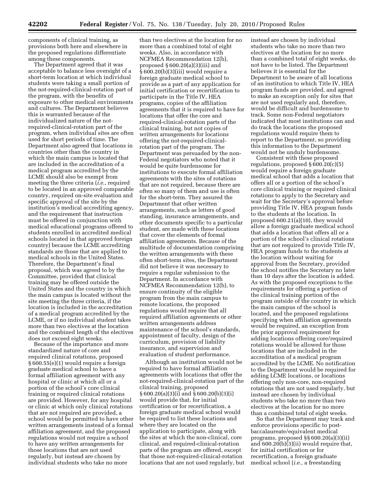components of clinical training, as provisions both here and elsewhere in the proposed regulations differentiate among these components.

The Department agreed that it was acceptable to balance less oversight of a short-term location at which individual students were taking a small portion of the not-required-clinical-rotation part of the program, with the benefits of exposure to other medical environments and cultures. The Department believes this is warranted because of the individualized nature of the notrequired-clinical-rotation part of the program, when individual sites are often used for short periods of time. The Department also agreed that locations in countries other than the country in which the main campus is located that are included in the accreditation of a medical program accredited by the LCME should also be exempt from meeting the three criteria (*i.e.,* required to be located in an approved comparable country, required on-site evaluation and specific approval of the site by the institution's medical accrediting agency, and the requirement that instruction must be offered in conjunction with medical educational programs offered to students enrolled in accredited medical schools located in that approved foreign country) because the LCME accrediting standards are those that are applied to medical schools in the United States. Therefore, the Department's final proposal, which was agreed to by the Committee, provided that clinical training may be offered outside the United States and the country in which the main campus is located without the site meeting the three criteria, if the location is included in the accreditation of a medical program accredited by the LCME, or if no individual student takes more than two electives at the location and the combined length of the electives does not exceed eight weeks.

Because of the importance and more standardized nature of core and required clinical rotations, proposed § 600.55(e)(1) would require a foreign graduate medical school to have a formal affiliation agreement with any hospital or clinic at which all or a portion of the school's core clinical training or required clinical rotations are provided. However, for any hospital or clinic at which only clinical rotations that are not required are provided, a school would be permitted to have other written arrangements instead of a formal affiliation agreement, and the proposed regulations would not require a school to have any written arrangements for those locations that are not used regularly, but instead are chosen by individual students who take no more

than two electives at the location for no more than a combined total of eight weeks. Also, in accordance with NCFMEA Recommendation 12(b), proposed § 600.20(a)(3)(iii) and § 600.20(b)(3)(iii) would require a foreign graduate medical school to provide as a part of any application for initial certification or recertification to participate in the Title IV, HEA programs, copies of the affiliation agreements that it is required to have for locations that offer the core and required-clinical-rotation parts of the clinical training, but not copies of written arrangements for locations offering the not-required-clinicalrotation part of the program. The Department was persuaded by the non-Federal negotiators who noted that it would be quite burdensome for institutions to execute formal affiliation agreements with the sites of rotations that are not required, because there are often so many of them and use is often for the short-term. They assured the Department that other written arrangements, such as letters of good standing, insurance arrangements, and other documents specific to a particular student, are made with these locations that cover the elements of formal affiliation agreements. Because of the multitude of documentation comprising the written arrangements with these often short-term sites, the Department did not believe it was necessary to require a regular submission to the Department. In accordance with NCFMEA Recommendation 12(b), to ensure continuity of the eligible program from the main campus to remote locations, the proposed regulations would require that all required affiliation agreements or other written arrangements address maintenance of the school's standards, appointment of faculty, design of the curriculum, provision of liability insurance, and supervision and evaluation of student performance.

Although an institution would not be required to have formal affiliation agreements with locations that offer the not-required-clinical-rotation part of the clinical training, proposed § 600.20(a)(3)(i) and § 600.20(b)(3)(i) would provide that, for initial certification or for recertification, a foreign graduate medical school would be required to list these locations and where they are located on the application to participate, along with the sites at which the non-clinical, core clinical, and required-clinical-rotation parts of the program are offered, except that those not-required-clinical-rotation locations that are not used regularly, but instead are chosen by individual students who take no more than two electives at the location for no more than a combined total of eight weeks, do not have to be listed. The Department believes it is essential for the Department to be aware of all locations of an institution to which Title IV, HEA program funds are provided, and agreed to make an exception only for sites that are not used regularly and, therefore, would be difficult and burdensome to track. Some non-Federal negotiators indicated that most institutions can and do track the locations the proposed regulations would require them to report to the Department, so providing this information to the Department would not be unduly burdensome.

Consistent with these proposed regulations, proposed § 600.20(c)(5) would require a foreign graduate medical school that adds a location that offers all or a portion of the school's core clinical training or required clinical rotations to apply to the Secretary and wait for the Secretary's approval before providing Title IV, HEA program funds to the students at the location. In proposed 600.21(a)(10), they would allow a foreign graduate medical school that adds a location that offers all or a portion of the school's clinical rotations that are not required to provide Title IV, HEA program funds to the students at the location without waiting for approval from the Secretary, provided the school notifies the Secretary no later than 10 days after the location is added. As with the proposed exceptions to the requirements for offering a portion of the clinical training portion of the program outside of the country in which the main campus of the school is located, and the proposed regulations specifying when affiliation agreements would be required, an exception from the prior approval requirement for adding locations offering core/required rotations would be allowed for those locations that are included in the accreditation of a medical program accredited by the LCME. No notification to the Department would be required for adding LCME locations, or locations offering only non-core, non-required rotations that are not used regularly, but instead are chosen by individual students who take no more than two electives at the location for no more than a combined total of eight weeks.

So that the Department may track and enforce provisions specific to postbaccalaureate/equivalent medical programs, proposed §§ 600.20(a)(3)(ii) and 600.20(b)(3)(ii) would require that, for initial certification or for recertification, a foreign graduate medical school (*i.e.,* a freestanding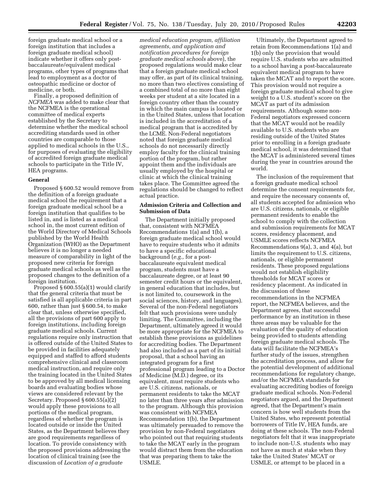foreign graduate medical school or a foreign institution that includes a foreign graduate medical school) indicate whether it offers only postbaccalaureate/equivalent medical programs, other types of programs that lead to employment as a doctor of osteopathic medicine or doctor of medicine, or both.

Finally, a proposed definition of *NCFMEA* was added to make clear that the NCFMEA is the operational committee of medical experts established by the Secretary to determine whether the medical school accrediting standards used in other countries are comparable to those applied to medical schools in the U.S., for purposes of evaluating the eligibility of accredited foreign graduate medical schools to participate in the Title IV, HEA programs.

#### **General**

Proposed § 600.52 would remove from the definition of a foreign graduate medical school the requirement that a foreign graduate medical school be a foreign institution that qualifies to be listed in, and is listed as a medical school in, the most current edition of the World Directory of Medical Schools published by the World Health Organization (WHO) as the Department believes it is no longer a needed measure of comparability in light of the proposed new criteria for foreign graduate medical schools as well as the proposed changes to the definition of a foreign institution.

Proposed § 600.55(a)(1) would clarify that the general criteria that must be satisfied is all applicable criteria in part 600, rather than just § 600.54, to make clear that, unless otherwise specified, all the provisions of part 600 apply to foreign institutions, including foreign graduate medical schools. Current regulations require only instruction that is offered outside of the United States to be provided in facilities adequately equipped and staffed to afford students comprehensive clinical and classroom medical instruction, and require only the training located in the United States to be approved by all medical licensing boards and evaluating bodies whose views are considered relevant by the Secretary. Proposed § 600.55(a)(2) would apply these provisions to all portions of the medical program, regardless of whether the program is located outside or inside the United States, as the Department believes they are good requirements regardless of location. To provide consistency with the proposed provisions addressing the location of clinical training (see the discussion of *Location of a graduate* 

*medical education program, affiliation agreements, and application and notification procedures for foreign graduate medical schools* above), the proposed regulations would make clear that a foreign graduate medical school may offer, as part of its clinical training, no more than two electives consisting of a combined total of no more than eight weeks per student at a site located in a foreign country other than the country in which the main campus is located or in the United States, unless that location is included in the accreditation of a medical program that is accredited by the LCME. Non-Federal negotiators noted that foreign graduate medical schools do not necessarily directly employ faculty for the clinical training portion of the program, but rather appoint them and the individuals are usually employed by the hospital or clinic at which the clinical training takes place. The Committee agreed the regulations should be changed to reflect actual practice.

## **Admission Criteria and Collection and Submission of Data**

The Department initially proposed that, consistent with NCFMEA Recommendations 1(a) and 1(b), a foreign graduate medical school would have to require students who it admits to have a specific educational background (*e.g.,* for a postbaccalaureate equivalent medical program, students must have a baccalaureate degree, or at least 90 semester credit hours or the equivalent, in general education that includes, but is not limited to, coursework in the social sciences, history, and languages). Several of the non-Federal negotiators felt that such provisions were unduly limiting. The Committee, including the Department, ultimately agreed it would be more appropriate for the NCFMEA to establish these provisions as guidelines for accrediting bodies. The Department had also included as a part of its initial proposal, that a school having an integrated program for a first professional program leading to a Doctor of Medicine (M.D.) degree, or its equivalent, must require students who are U.S. citizens, nationals, or permanent residents to take the MCAT no later than three years after admission to the program. Although this provision was consistent with NCFMEA Recommendation 1(b), the Department was ultimately persuaded to remove the provision by non-Federal negotiators who pointed out that requiring students to take the MCAT early in the program would distract them from the education that was preparing them to take the USMLE.

Ultimately, the Department agreed to retain from Recommendations 1(a) and 1(b) only the provision that would require U.S. students who are admitted to a school having a post-baccalaureate equivalent medical program to have taken the MCAT and to report the score. This provision would not require a foreign graduate medical school to give weight to a U.S. student's score on the MCAT as part of its admission requirements. Although some non-Federal negotiators expressed concern that the MCAT would not be readily available to U.S. students who are residing outside of the United States prior to enrolling in a foreign graduate medical school, it was determined that the MCAT is administered several times during the year in countries around the world.

The inclusion of the requirement that a foreign graduate medical school determine the consent requirements for, and require the necessary consents of, all students accepted for admission who are U.S. citizens, nationals, or eligible permanent residents to enable the school to comply with the collection and submission requirements for MCAT scores, residency placement, and USMLE scores reflects NCFMEA Recommendations 9(a), 3, and 4(a), but limits the requirement to U.S. citizens, nationals, or eligible permanent residents. These proposed regulations would not establish eligibility thresholds for MCAT scores or residency placement. As indicated in the discussion of these recommendations in the NCFMEA report, the NCFMEA believes, and the Department agrees, that successful performance by an institution in these three areas may be valuable for the evaluation of the quality of education being provided to students attending foreign graduate medical schools. The data will facilitate the NCFMEA's further study of the issues, strengthen the accreditation process, and allow for the potential development of additional recommendations for regulatory change, and/or the NCFMEA standards for evaluating accrediting bodies of foreign graduate medical schools. Non-Federal negotiators argued, and the Department agreed, that the Department's main concern is how well students from the United States, who represent potential borrowers of Title IV, HEA funds, are doing at these schools. The non-Federal negotiators felt that it was inappropriate to include non-U.S. students who may not have as much at stake when they take the United States' MCAT or USMLE, or attempt to be placed in a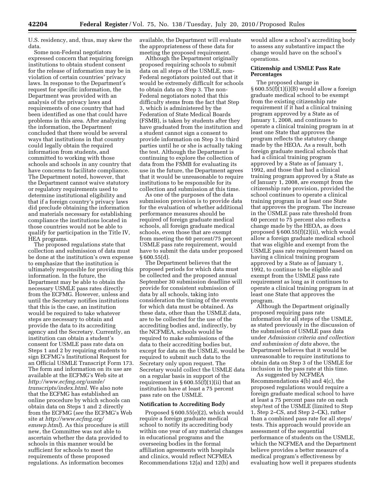U.S. residency, and, thus, may skew the data.

Some non-Federal negotiators expressed concern that requiring foreign institutions to obtain student consent for the release of information may be in violation of certain countries' privacy laws. In response to the Department's request for specific information, the Department was provided with an analysis of the privacy laws and requirements of one country that had been identified as one that could have problems in this area. After analyzing the information, the Department concluded that there would be several ways that institutions in that country could legally obtain the required information from students, and committed to working with those schools and schools in any country that have concerns to facilitate compliance. The Department noted, however, that the Department cannot waive statutory or regulatory requirements used to determine institutional eligibility and that if a foreign country's privacy laws did preclude obtaining the information and materials necessary for establishing compliance the institutions located in those countries would not be able to qualify for participation in the Title IV, HEA programs.

The proposed regulations state that collection and submission of data must be done at the institution's own expense to emphasize that the institution is ultimately responsible for providing this information. In the future, the Department may be able to obtain the necessary USMLE pass rates directly from the ECFMG. However, unless and until the Secretary notifies institutions that this is the case, an institution would be required to take whatever steps are necessary to obtain and provide the data to its accrediting agency and the Secretary. Currently, an institution can obtain a student's consent for USMLE pass rate data on Steps 1 and 2 by requiring students to sign ECFMG's Institutional Request for an Official USMLE Transcript Form 173. The form and information on its use are available at the ECFMG's Web site at *[http://www.ecfmg.org/usmle/](http://www.ecfmg.org/usmle/transcripts/index.html) [transcripts/index.html](http://www.ecfmg.org/usmle/transcripts/index.html)*. We also note that the ECFMG has established an online procedure by which schools can obtain data on Steps 1 and 2 directly from the ECFMG (*see* the ECFMG's Web site at *[http://www.ecfmg.org/](http://www.ecfmg.org/emswp.html)  [emswp.html](http://www.ecfmg.org/emswp.html)*). As this procedure is still new, the Committee was not able to ascertain whether the data provided to schools in this manner would be sufficient for schools to meet the requirements of these proposed regulations. As information becomes

available, the Department will evaluate the appropriateness of these data for meeting the proposed requirement.

Although the Department originally proposed requiring schools to submit data on all steps of the USMLE, non-Federal negotiators pointed out that it would be extremely difficult for schools to obtain data on Step 3. The non-Federal negotiators noted that this difficulty stems from the fact that Step 3, which is administered by the Federation of State Medical Boards (FSMB), is taken by students after they have graduated from the institution and a student cannot sign a consent to provide information on Step 3 to third parties until he or she is actually taking the test. Although the Department is continuing to explore the collection of data from the FSMB for evaluating its use in the future, the Department agrees that it would be unreasonable to require institutions to be responsible for its collection and submission at this time.

As one of the purposes of the data submission provision is to provide data for the evaluation of whether additional performance measures should be required of foreign graduate medical schools, all foreign graduate medical schools, even those that are exempt from meeting the 60 percent/75 percent USMLE pass rate requirement, would have to submit the data under proposed § 600.55(d).

The Department believes that the proposed periods for which data must be collected and the proposed annual September 30 submission deadline will provide for consistent submission of data by all schools, taking into consideration the timing of the events for which data must be obtained. As these data, other than the USMLE data, are to be collected for the use of the accrediting bodies and, indirectly, by the NCFMEA, schools would be required to make submissions of the data to their accrediting bodies but, except for data on the USMLE, would be required to submit such data to the Secretary only upon request. The Secretary would collect the USMLE data on a regular basis in support of the requirement in  $\S 600.55(f)(1)(ii)$  that an institution have at least a 75 percent pass rate on the USMLE.

#### **Notification to Accrediting Body**

Proposed § 600.55(e)(2), which would require a foreign graduate medical school to notify its accrediting body within one year of any material changes in educational programs and the overseeing bodies in the formal affiliation agreements with hospitals and clinics, would reflect NCFMEA Recommendations 12(a) and 12(b) and

would allow a school's accrediting body to assess any substantive impact the change would have on the school's operations.

## **Citizenship and USMLE Pass Rate Percentages**

The proposed change in § 600.55(f)(1)(i)(B) would allow a foreign graduate medical school to be exempt from the existing citizenship rate requirement if it had a clinical training program approved by a State as of January 1, 2008, and continues to operate a clinical training program in at least one State that approves the program reflects the statutory change made by the HEOA. As a result, both foreign graduate medical schools that had a clinical training program approved by a State as of January 1, 1992, and those that had a clinical training program approved by a State as of January 1, 2008, are exempt from the citizenship rate provision, provided the school continues to operate a clinical training program in at least one State that approves the program. The increase in the USMLE pass rate threshold from 60 percent to 75 percent also reflects a change made by the HEOA, as does proposed § 600.55(f)(2)(ii), which would allow a foreign graduate medical school that was eligible and exempt from the USMLE pass rate requirement based on having a clinical training program approved by a State as of January 1, 1992, to continue to be eligible and exempt from the USMLE pass rate requirement as long as it continues to operate a clinical training program in at least one State that approves the program.

Although the Department originally proposed requiring pass rate information for all steps of the USMLE, as stated previously in the discussion of the submission of USMLE pass data under *Admission criteria and collection and submission of data* above, the Department believes that it would be unreasonable to require institutions to obtain data on Step 3 of the USMLE for inclusion in the pass rate at this time.

As suggested by NCFMEA Recommendations 4(b) and 4(c), the proposed regulations would require a foreign graduate medical school to have at least a 75 percent pass rate on each step/test of the USMLE (limited to Step 1, Step 2–CS, and Step 2–CK), rather than a combined pass rate for all steps/ tests. This approach would provide an assessment of the sequential performance of students on the USMLE, which the NCFMEA and the Department believe provides a better measure of a medical program's effectiveness by evaluating how well it prepares students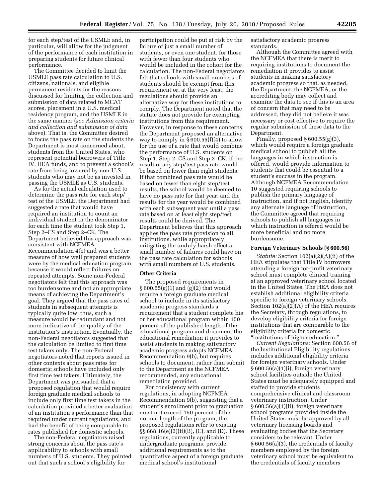for each step/test of the USMLE and, in particular, will allow for the judgment of the performance of each institution in preparing students for future clinical performance.

The Committee decided to limit the USMLE pass rate calculation to U.S. citizens, nationals, and eligible permanent residents for the reasons discussed for limiting the collection and submission of data related to MCAT scores, placement in a U.S. medical residency program, and the USMLE in the same manner (*see Admission criteria and collection and submission of data*  above). That is, the Committee desired to focus the pass rate on the students the Department is most concerned about, students from the United States, who represent potential borrowers of Title IV, HEA funds, and to prevent a school's rate from being lowered by non-U.S. students who may not be as invested in passing the USMLE as U.S. students.

As for the actual calculation used to determine the pass rate for each step/ test of the USMLE, the Department had suggested a rate that would have required an institution to count an individual student in the denominator for each time the student took Step 1, Step 2–CS and Step 2–CK. The Department believed this approach was consistent with NCFMEA Recommendation 4(b) and was a better measure of how well prepared students were by the medical education program because it would reflect failures on repeated attempts. Some non-Federal negotiators felt that this approach was too burdensome and not an appropriate means of achieving the Department's goal. They argued that the pass rates of students in subsequent attempts is typically quite low; thus, such a measure would be redundant and not more indicative of the quality of the institution's instruction. Eventually, the non-Federal negotiators suggested that the calculation be limited to first time test takers only. The non-Federal negotiators noted that reports issued in other contexts about pass rates for domestic schools have included only first time test takers. Ultimately, the Department was persuaded that a proposed regulation that would require foreign graduate medical schools to include only first time test takers in the calculation provided a better evaluation of an institution's performance than that required under current regulations, and had the benefit of being comparable to rates published for domestic schools.

The non-Federal negotiators raised strong concerns about the pass rate's applicability to schools with small numbers of U.S. students. They pointed out that such a school's eligibility for

participation could be put at risk by the failure of just a small number of students, or even one student, for those with fewer than four students who would be included in the cohort for the calculation. The non-Federal negotiators felt that schools with small numbers of students should be exempt from this requirement or, at the very least, the regulations should provide an alternative way for these institutions to comply. The Department noted that the statute does not provide for exempting institutions from this requirement. However, in response to these concerns, the Department proposed an alternative way to comply in § 600.55(f)(4) to allow for the use of a rate that would combine the performance of U.S. students on Step 1, Step 2–CS and Step 2–CK, if the result of any step/test pass rate would be based on fewer than eight students. If that combined pass rate would be based on fewer than eight step/test results, the school would be deemed to have no pass rate for that year, and the results for the year would be combined with each subsequent year until a pass rate based on at least eight step/test results could be derived. The Department believes that this approach applies the pass rate provision to all institutions, while appropriately mitigating the unduly harsh effect a small number of failures could have on the pass rate calculation for schools with small numbers of U.S. students.

#### **Other Criteria**

The proposed requirements in § 600.55(g)(1) and (g)(2) that would require a foreign graduate medical school to include in its satisfactory academic progress standards a requirement that a student complete his or her educational program within 150 percent of the published length of the educational program and document the educational remediation it provides to assist students in making satisfactory academic progress adopts NCFMEA Recommendation 9(b), but requires schools to document, rather than submit to the Department as the NCFMEA recommended, any educational remediation provided.

For consistency with current regulations, in adopting NCFMEA Recommendation 9(b), suggesting that a student's enrollment prior to graduation must not exceed 150 percent of the normal length of the program, the proposed regulations refer to existing §§ 668.16(e)(2)(ii)(B), (C), and (D). These regulations, currently applicable to undergraduate programs, provide additional requirements as to the quantitative aspect of a foreign graduate medical school's institutional

satisfactory academic progress standards.

Although the Committee agreed with the NCFMEA that there is merit to requiring institutions to document the remediation it provides to assist students in making satisfactory academic progress so that, as needed, the Department, the NCFMEA, or the accrediting body may collect and examine the data to see if this is an area of concern that may need to be addressed, they did not believe it was necessary or cost effective to require the regular submission of these data to the Department.

Finally, proposed  $\S 600.55(g)(3)$ , which would require a foreign graduate medical school to publish all the languages in which instruction is offered, would provide information to students that could be essential to a student's success in the program. Although NCFMEA Recommendation 10 suggested requiring schools to publish the primary language of instruction, and if not English, identify any alternate language of instruction, the Committee agreed that requiring schools to publish all languages in which instruction is offered would be more beneficial and no more burdensome.

## **Foreign Veterinary Schools (§ 600.56)**

*Statute:* Section 102(a)(2)(A)(ii) of the HEA stipulates that Title IV borrowers attending a foreign for-profit veterinary school must complete clinical training at an approved veterinary school located in the United States. The HEA does not establish additional eligibility criteria specific to foreign veterinary schools. Section 102(a)(2)(A) of the HEA requires the Secretary, through regulations, to develop eligibility criteria for foreign institutions that are comparable to the eligibility criteria for domestic ''institutions of higher education.''

*Current Regulations:* Section 600.56 of the Institutional Eligibility regulations includes additional eligibility criteria for foreign veterinary schools. Under § 600.56(a)(1)(i), foreign veterinary school facilities outside the United States must be adequately equipped and staffed to provide students comprehensive clinical and classroom veterinary instruction. Under § 600.56(a)(1)(ii), foreign veterinary school programs provided inside the United States must be approved by all veterinary licensing boards and evaluating bodies that the Secretary considers to be relevant. Under § 600.56(a)(3), the credentials of faculty members employed by the foreign veterinary school must be equivalent to the credentials of faculty members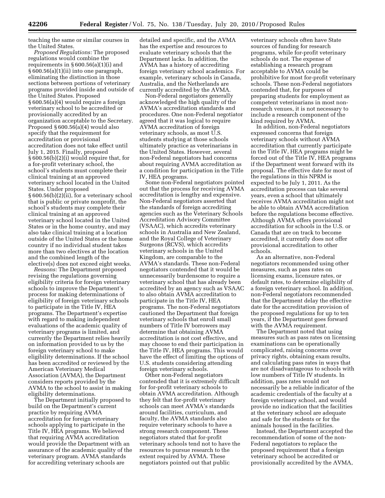teaching the same or similar courses in the United States.

*Proposed Regulations:* The proposed regulations would combine the requirements in § 600.56(a)(1)(i) and § 600.56(a)(1)(ii) into one paragraph, eliminating the distinction in those sections between portions of veterinary programs provided inside and outside of the United States. Proposed § 600.56(a)(4) would require a foreign veterinary school to be accredited or provisionally accredited by an organization acceptable to the Secretary. Proposed § 600.56(a)(4) would also specify that the requirement for accreditation or provisional accreditation does not take effect until July 1, 2015. Finally, proposed § 600.56(b)(2)(i) would require that, for a for-profit veterinary school, the school's students must complete their clinical training at an approved veterinary school located in the United States. Under proposed § 600.56(b)(2)(ii), for a veterinary school that is public or private nonprofit, the school's students may complete their clinical training at an approved veterinary school located in the United States or in the home country, and may also take clinical training at a location outside of the United States or the home country if no individual student takes more than two electives at the location and the combined length of the elective(s) does not exceed eight weeks.

*Reasons:* The Department proposed revising the regulations governing eligibility criteria for foreign veterinary schools to improve the Department's process for making determinations of eligibility of foreign veterinary schools to participate in the Title IV, HEA programs. The Department's expertise with regard to making independent evaluations of the academic quality of veterinary programs is limited, and currently the Department relies heavily on information provided to us by the foreign veterinary school to make eligibility determinations. If the school has been accredited or reviewed by the American Veterinary Medical Association (AVMA), the Department considers reports provided by the AVMA to the school to assist in making eligibility determinations.

The Department initially proposed to build on the Department's current practice by requiring AVMA accreditation for foreign veterinary schools applying to participate in the Title IV, HEA programs. We believed that requiring AVMA accreditation would provide the Department with an assurance of the academic quality of the veterinary program. AVMA standards for accrediting veterinary schools are

detailed and specific, and the AVMA has the expertise and resources to evaluate veterinary schools that the Department lacks. In addition, the AVMA has a history of accrediting foreign veterinary school academics. For example, veterinary schools in Canada, Australia, and the Netherlands are currently accredited by the AVMA.

Non-Federal negotiators generally acknowledged the high quality of the AVMA's accreditation standards and procedures. One non-Federal negotiator agreed that it was logical to require AVMA accreditation of foreign veterinary schools, as most U.S. students studying at those schools ultimately practice as veterinarians in the United States. However, several non-Federal negotiators had concerns about requiring AVMA accreditation as a condition for participation in the Title IV, HEA programs.

Some non-Federal negotiators pointed out that the process for receiving AVMA accreditation is lengthy and expensive. Non-Federal negotiators asserted that the standards of foreign accrediting agencies such as the Veterinary Schools Accreditation Advisory Committee (VSAAC), which accredits veterinary schools in Australia and New Zealand, and the Royal College of Veterinary Surgeons (RCVS), which accredits veterinary schools in the United Kingdom, are comparable to the AVMA's standards. These non-Federal negotiators contended that it would be unnecessarily burdensome to require a veterinary school that has already been accredited by an agency such as VSAAC to also obtain AVMA accreditation to participate in the Title IV, HEA programs. The non-Federal negotiators cautioned the Department that foreign veterinary schools that enroll small numbers of Title IV borrowers may determine that obtaining AVMA accreditation is not cost effective, and may choose to end their participation in the Title IV, HEA programs. This would have the effect of limiting the options of U.S. students considering attending foreign veterinary schools.

Other non-Federal negotiators contended that it is extremely difficult for for-profit veterinary schools to obtain AVMA accreditation. Although they felt that for-profit veterinary schools can meet AVMA's standards around facilities, curriculum, and faculty, the AVMA standards also require veterinary schools to have a strong research component. These negotiators stated that for-profit veterinary schools tend not to have the resources to pursue research to the extent required by AVMA. These negotiators pointed out that public

veterinary schools often have State sources of funding for research programs, while for-profit veterinary schools do not. The expense of establishing a research program acceptable to AVMA could be prohibitive for most for-profit veterinary schools. These non-Federal negotiators contended that, for purposes of preparing students for employment as competent veterinarians in most nonresearch venues, it is not necessary to include a research component of the kind required by AVMA.

In addition, non-Federal negotiators expressed concerns that foreign veterinary schools without AVMA accreditation that currently participate in the Title IV, HEA programs might be forced out of the Title IV, HEA programs if the Department went forward with its proposal. The effective date for most of the regulations in this NPRM is expected to be July 1, 2011. As the accreditation process can take several years, even a school that ultimately receives AVMA accreditation might not be able to obtain AVMA accreditation before the regulations become effective. Although AVMA offers provisional accreditation for schools in the U.S. or Canada that are on track to become accredited, it currently does not offer provisional accreditation to other schools.

As an alternative, non-Federal negotiators recommended using other measures, such as pass rates on licensing exams, licensure rates, or default rates, to determine eligibility of a foreign veterinary school. In addition, non-Federal negotiators recommended that the Department delay the effective date for the accreditation provision of the proposed regulations for up to ten years, if the Department goes forward with the AVMA requirement.

The Department noted that using measures such as pass rates on licensing examinations can be operationally complicated, raising concerns over privacy rights, obtaining exam results, and calculating pass rates in ways that are not disadvantageous to schools with low numbers of Title IV students. In addition, pass rates would not necessarily be a reliable indicator of the academic credentials of the faculty at a foreign veterinary school, and would provide no indication that the facilities at the veterinary school are adequate and safe for the students or for the animals housed in the facilities.

Instead, the Department accepted the recommendation of some of the non-Federal negotiators to replace the proposed requirement that a foreign veterinary school be accredited or provisionally accredited by the AVMA,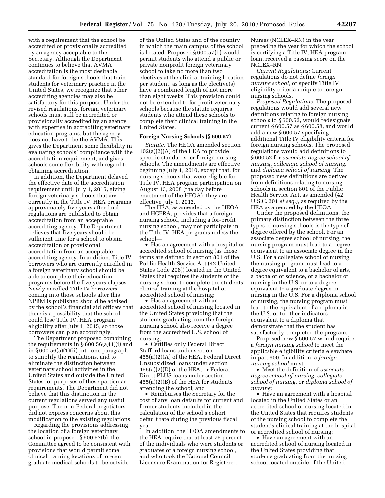with a requirement that the school be accredited or provisionally accredited by an agency acceptable to the Secretary. Although the Department continues to believe that AVMA accreditation is the most desirable standard for foreign schools that train students for veterinary practice in the United States, we recognize that other accrediting agencies may also be satisfactory for this purpose. Under the revised regulations, foreign veterinary schools must still be accredited or provisionally accredited by an agency with expertise in accrediting veterinary education programs, but the agency does not have to be the AVMA. This gives the Department some flexibility in evaluating schools' compliance with the accreditation requirement, and gives schools some flexibility with regard to obtaining accreditation.

In addition, the Department delayed the effective date of the accreditation requirement until July 1, 2015, giving foreign veterinary schools that are currently in the Title IV, HEA programs approximately five years after final regulations are published to obtain accreditation from an acceptable accrediting agency. The Department believes that five years should be sufficient time for a school to obtain accreditation or provisional accreditation from an acceptable accrediting agency. In addition, Title IV borrowers who are currently enrolled in a foreign veterinary school should be able to complete their education programs before the five years elapses. Newly enrolled Title IV borrowers coming into those schools after this NPRM is published should be advised by the school's financial aid officers that there is a possibility that the school could lose Title IV, HEA program eligibility after July 1, 2015, so those borrowers can plan accordingly.

The Department proposed combining the requirements in § 600.56(a)(1)(i) and in  $§ 600.56(a)(1)(ii)$  into one paragraph to simplify the regulations, and to eliminate the distinction between veterinary school activities in the United States and outside the United States for purposes of these particular requirements. The Department did not believe that this distinction in the current regulations served any useful purpose. The non-Federal negotiators did not express concerns about this modification to the existing regulations.

Regarding the provisions addressing the location of a foreign veterinary school in proposed § 600.57(b), the Committee agreed to be consistent with provisions that would permit some clinical training locations of foreign graduate medical schools to be outside

of the United States and of the country in which the main campus of the school is located. Proposed § 600.57(b) would permit students who attend a public or private nonprofit foreign veterinary school to take no more than two electives at the clinical training location per student, as long as the elective(s) have a combined length of not more than eight weeks. This provision could not be extended to for-profit veterinary schools because the statute requires students who attend these schools to complete their clinical training in the United States.

#### **Foreign Nursing Schools (§ 600.57)**

*Statute:* The HEOA amended section 102(a)(2)(A) of the HEA to provide specific standards for foreign nursing schools. The amendments are effective beginning July 1, 2010, except that, for nursing schools that were eligible for Title IV, HEA program participation on August 13, 2008 (the day before enactment of the HEOA), they are effective July 1, 2012.

The HEA, as amended by the HEOA and HCERA, provides that a foreign nursing school, including a for-profit nursing school, may not participate in the Title IV, HEA programs unless the school—

• Has an agreement with a hospital or accredited school of nursing (as those terms are defined in section 801 of the Public Health Service Act (42 United States Code 296)) located in the United States that requires the students of the nursing school to complete the students' clinical training at the hospital or accredited school of nursing;

• Has an agreement with an accredited school of nursing located in the United States providing that the students graduating from the foreign nursing school also receive a degree from the accredited U.S. school of nursing;

• Certifies only Federal Direct Stafford loans under section 455(a)(2)(A) of the HEA, Federal Direct Unsubsidized loans under section 455(a)(2)(D) of the HEA, or Federal Direct PLUS loans under section 455(a)(2)(B) of the HEA for students attending the school; and

• Reimburses the Secretary for the cost of any loan defaults for current and former students included in the calculation of the school's cohort default rate during the previous fiscal year.

In addition, the HEOA amendments to the HEA require that at least 75 percent of the individuals who were students or graduates of a foreign nursing school, and who took the National Council Licensure Examination for Registered

Nurses (NCLEX–RN) in the year preceding the year for which the school is certifying a Title IV, HEA program loan, received a passing score on the NCLEX–RN.

*Current Regulations:* Current regulations do not define *foreign nursing school,* or specify Title IV eligibility criteria unique to foreign nursing schools.

*Proposed Regulations:* The proposed regulations would add several new definitions relating to foreign nursing schools to § 600.52, would redesignate current § 600.57 as § 600.58, and would add a new § 600.57 specifying additional Title IV eligibility criteria for foreign nursing schools. The proposed regulations would add definitions to § 600.52 for *associate degree school of nursing, collegiate school of nursing,*  and *diploma school of nursing.* The proposed new definitions are derived from definitions relating to nursing schools in section 801 of the Public Health Service Act, as amended (42 U.S.C. 201 *et seq.*), as required by the HEA as amended by the HEOA.

Under the proposed definitions, the primary distinction between the three types of nursing schools is the type of degree offered by the school. For an associate degree school of nursing, the nursing program must lead to a degree equivalent to an associate degree in the U.S. For a collegiate school of nursing, the nursing program must lead to a degree equivalent to a bachelor of arts, a bachelor of science, or a bachelor of nursing in the U.S, or to a degree equivalent to a graduate degree in nursing in the U.S. For a diploma school of nursing, the nursing program must lead to the equivalent of a diploma in the U.S. or to other indicators equivalent to a diploma that demonstrate that the student has satisfactorily completed the program.

Proposed new § 600.57 would require a *foreign nursing school* to meet the applicable eligibility criteria elsewhere in part 600. In addition, a *foreign nursing school* must—

• Meet the definition of *associate degree school of nursing, collegiate school of nursing,* or *diploma school of nursing;* 

• Have an agreement with a hospital located in the United States or an accredited school of nursing located in the United States that requires students of the nursing school to complete the student's clinical training at the hospital or accredited school of nursing;

• Have an agreement with an accredited school of nursing located in the United States providing that students graduating from the nursing school located outside of the United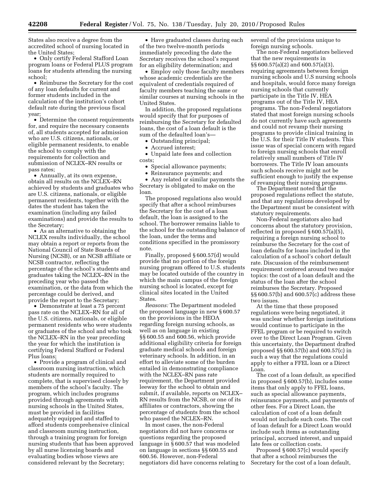States also receive a degree from the accredited school of nursing located in the United States;

• Only certify Federal Stafford Loan program loans or Federal PLUS program loans for students attending the nursing school;

• Reimburse the Secretary for the cost of any loan defaults for current and former students included in the calculation of the institution's cohort default rate during the previous fiscal year;

• Determine the consent requirements for, and require the necessary consents of, all students accepted for admission who are U.S. citizens, nationals, or eligible permanent residents, to enable the school to comply with the requirements for collection and submission of NCLEX–RN results or pass rates;

• Annually, at its own expense, obtain all results on the NCLEX–RN achieved by students and graduates who are U.S. citizens, nationals, or eligible permanent residents, together with the dates the student has taken the examination (including any failed examinations) and provide the results to the Secretary;

• As an alternative to obtaining the NCLEX results individually, the school may obtain a report or reports from the National Council of State Boards of Nursing (NCSB), or an NCSB affiliate or NCSB contractor, reflecting the percentage of the school's students and graduates taking the NCLEX–RN in the preceding year who passed the examination, or the data from which the percentage could be derived, and provide the report to the Secretary;

• Demonstrate at least a 75 percent pass rate on the NCLEX–RN for all of the U.S. citizens, nationals, or eligible permanent residents who were students or graduates of the school and who took the NCLEX–RN in the year preceding the year for which the institution is certifying Federal Stafford or Federal Plus loans;

• Provide a program of clinical and classroom nursing instruction, which students are normally required to complete, that is supervised closely by members of the school's faculty. The program, which includes programs provided through agreements with nursing schools in the United States, must be provided in facilities adequately equipped and staffed to afford students comprehensive clinical and classroom nursing instruction, through a training program for foreign nursing students that has been approved by all nurse licensing boards and evaluating bodies whose views are considered relevant by the Secretary;

• Have graduated classes during each of the two twelve-month periods immediately preceding the date the Secretary receives the school's request for an eligibility determination; and

• Employ only those faculty members whose academic credentials are the equivalent of credentials required of faculty members teaching the same or similar courses at nursing schools in the United States.

In addition, the proposed regulations would specify that for purposes of reimbursing the Secretary for defaulted loans, the cost of a loan default is the sum of the defaulted loan's—

• Outstanding principal;

• Accrued interest;

• Unpaid late fees and collection costs;

• Special allowance payments;

• Reinsurance payments; and

• Any related or similar payments the Secretary is obligated to make on the loan.

The proposed regulations also would specify that after a school reimburses the Secretary for the cost of a loan default, the loan is assigned to the school. The borrower remains liable to the school for the outstanding balance of the loan, under the terms and conditions specified in the promissory note.

Finally, proposed § 600.57(d) would provide that no portion of the foreign nursing program offered to U.S. students may be located outside of the country in which the main campus of the foreign nursing school is located, except for clinical sites located in the United States.

*Reasons:* The Department modeled the proposed language in new § 600.57 on the provisions in the HEOA regarding foreign nursing schools, as well as on language in existing §§ 600.55 and 600.56, which provide additional eligibility criteria for foreign graduate medical schools and foreign veterinary schools. In addition, in an effort to alleviate some of the burden entailed in demonstrating compliance with the NCLEX–RN pass rate requirement, the Department provided leeway for the school to obtain and submit, if available, reports on NCLEX– RN results from the NCSB, or one of its affiliates or contractors, showing the percentage of students from the school who passed the NCLEX–RN.

In most cases, the non-Federal negotiators did not have concerns or questions regarding the proposed language in § 600.57 that was modeled on language in sections §§ 600.55 and 600.56. However, non-Federal negotiators did have concerns relating to several of the provisions unique to foreign nursing schools.

The non-Federal negotiators believed that the new requirements in §§ 600.57(a)(2) and 600.57(a)(3), requiring agreements between foreign nursing schools and U.S nursing schools and hospitals, would force many foreign nursing schools that currently participate in the Title IV, HEA programs out of the Title IV, HEA programs. The non-Federal negotiators stated that most foreign nursing schools do not currently have such agreements and could not revamp their nursing programs to provide clinical training in the U.S. for their Title IV students. This issue was of special concern with regard to foreign nursing schools that enroll relatively small numbers of Title IV borrowers. The Title IV loan amounts such schools receive might not be sufficient enough to justify the expense of revamping their nursing programs.

The Department noted that the proposed regulations reflect the statute, and that any regulations developed by the Department must be consistent with statutory requirements.

Non-Federal negotiators also had concerns about the statutory provision, reflected in proposed § 600.57(a)(5), requiring a foreign nursing school to reimburse the Secretary for the cost of loan defaults for loans included in the calculation of a school's cohort default rate. Discussion of the reimbursement requirement centered around two major topics: the cost of a loan default and the status of the loan after the school reimburses the Secretary. Proposed §§ 600.57(b) and 600.57(c) address these two issues.

At the time that these proposed regulations were being negotiated, it was unclear whether foreign institutions would continue to participate in the FFEL program or be required to switch over to the Direct Loan Program. Given this uncertainty, the Department drafted proposed §§ 600.57(b) and 600.57(c) in such a way that the regulations could apply to either a FFEL loan or a Direct Loan.

The cost of a loan default, as specified in proposed § 600.57(b), includes some items that only apply to FFEL loans, such as special allowance payments, reinsurance payments, and payments of other fees. For a Direct Loan, the calculation of cost of a loan default would not include such costs. The cost of loan default for a Direct Loan would include such items as outstanding principal, accrued interest, and unpaid late fees or collection costs.

Proposed § 600.57(c) would specify that after a school reimburses the Secretary for the cost of a loan default,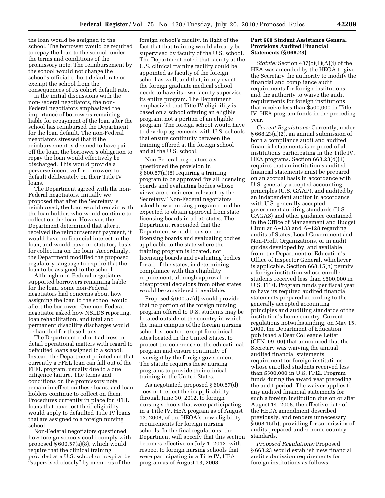the loan would be assigned to the school. The borrower would be required to repay the loan to the school, under the terms and conditions of the promissory note. The reimbursement by the school would not change the school's official cohort default rate or exempt the school from the consequences of its cohort default rate.

In the initial discussions with the non-Federal negotiators, the non-Federal negotiators emphasized the importance of borrowers remaining liable for repayment of the loan after the school has reimbursed the Department for the loan default. The non-Federal negotiators stressed that if the reimbursement is deemed to have paid off the loan, the borrower's obligation to repay the loan would effectively be discharged. This would provide a perverse incentive for borrowers to default deliberately on their Title IV loans.

The Department agreed with the non-Federal negotiators. Initially we proposed that after the Secretary is reimbursed, the loan would remain with the loan holder, who would continue to collect on the loan. However, the Department determined that after it received the reimbursement payment, it would have no financial interest in the loan, and would have no statutory basis for collecting on the loan. Accordingly, the Department modified the proposed regulatory language to require that the loan to be assigned to the school.

Although non-Federal negotiators supported borrowers remaining liable for the loan, some non-Federal negotiators had concerns about how assigning the loan to the school would affect the borrower. One non-Federal negotiator asked how NSLDS reporting, loan rehabilitation, and total and permanent disability discharges would be handled for these loans.

The Department did not address in detail operational matters with regard to defaulted loans assigned to a school. Instead, the Department pointed out that currently a FFEL loan can fall out of the FFEL program, usually due to a due diligence failure. The terms and conditions on the promissory note remain in effect on these loans, and loan holders continue to collect on them. Procedures currently in place for FFEL loans that have lost their eligibility would apply to defaulted Title IV loans that are assigned to a foreign nursing school.

Non-Federal negotiators questioned how foreign schools could comply with proposed § 600.57(a)(8), which would require that the clinical training provided at a U.S. school or hospital be "supervised closely" by members of the

foreign school's faculty, in light of the fact that that training would already be supervised by faculty of the U.S. school. The Department noted that faculty at the U.S. clinical training facility could be appointed as faculty of the foreign school as well, and that, in any event, the foreign graduate medical school needs to have its own faculty supervise its entire program. The Department emphasized that Title IV eligibility is based on a school offering an eligible program, not a portion of an eligible program. The foreign school would have to develop agreements with U.S. schools that ensure continuity between the training offered at the foreign school and at the U.S. school.

Non-Federal negotiators also questioned the provision in § 600.57(a)(8) requiring a training program to be approved ''by all licensing boards and evaluating bodies whose views are considered relevant by the Secretary.'' Non-Federal negotiators asked how a nursing program could be expected to obtain approval from state licensing boards in all 50 states. The Department responded that the Department would focus on the licensing boards and evaluating bodies applicable to the state where the training program is located, not licensing boards and evaluating bodies for all of the states, in determining compliance with this eligibility requirement, although approval or disapproval decisions from other states would be considered if available.

Proposed § 600.57(d) would provide that no portion of the foreign nursing program offered to U.S. students may be located outside of the country in which the main campus of the foreign nursing school is located, except for clinical sites located in the United States, to protect the coherence of the educational program and ensure continuity of oversight by the foreign government. The statute requires these nursing programs to provide their clinical training in the United States.

As negotiated, proposed § 600.57(d) does not reflect the inapplicability, through June 30, 2012, to foreign nursing schools that were participating in a Title IV, HEA program as of August 13, 2008, of the HEOA's new eligibility requirements for foreign nursing schools. In the final regulations, the Department will specify that this section becomes effective on July 1, 2012, with respect to foreign nursing schools that were participating in a Title IV, HEA program as of August 13, 2008.

## **Part 668 Student Assistance General Provisions Audited Financial Statements (§ 668.23)**

*Statute:* Section 487(c)(1)(A)(i) of the HEA was amended by the HEOA to give the Secretary the authority to modify the financial and compliance audit requirements for foreign institutions, and the authority to waive the audit requirements for foreign institutions that receive less than \$500,000 in Title IV, HEA program funds in the preceding year.

*Current Regulations:* Currently, under § 668.23(a)(2), an annual submission of both a compliance audit and audited financial statements is required of all institutions participating in the Title IV, HEA programs. Section 668.23(d)(1) requires that an institution's audited financial statements must be prepared on an accrual basis in accordance with U.S. generally accepted accounting principles (U.S. GAAP), and audited by an independent auditor in accordance with U.S. generally accepted government auditing standards (U.S. GAGAS) and other guidance contained in the Office of Management and Budget Circular A–133 and A–128 regarding audits of States, Local Government and Non-Profit Organizations, or in audit guides developed by, and available from, the Department of Education's Office of Inspector General, whichever is applicable. Section 668.15(h) permits a foreign institution whose enrolled students received less than \$500,000 in U.S. FFEL Program funds per fiscal year to have its required audited financial statements prepared according to the generally accepted accounting principles and auditing standards of the institution's home country. Current regulations notwithstanding, on May 15, 2009, the Department of Education published a Dear Colleague Letter (GEN–09–06) that announced that the Secretary was waiving the annual audited financial statements requirement for foreign institutions whose enrolled students received less than \$500,000 in U.S. FFEL Program funds during the award year preceding the audit period. The waiver applies to any audited financial statements for such a foreign institution due on or after August 14, 2008, the effective date of the HEOA amendment described previously, and renders unnecessary § 668.15(h), providing for submission of audits prepared under home country standards.

*Proposed Regulations:* Proposed § 668.23 would establish new financial audit submission requirements for foreign institutions as follows: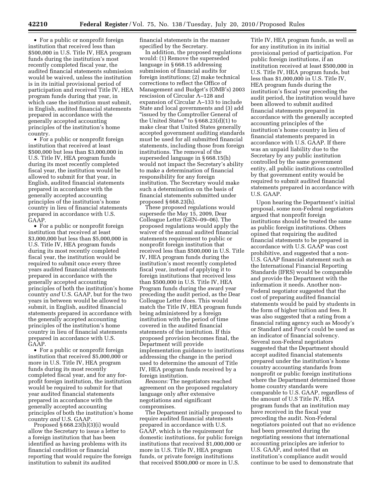• For a public or nonprofit foreign institution that received less than \$500,000 in U.S. Title IV, HEA program funds during the institution's most recently completed fiscal year, the audited financial statements submission would be waived, unless the institution is in its initial provisional period of participation and received Title IV, HEA program funds during that year, in which case the institution must submit, in English, audited financial statements prepared in accordance with the generally accepted accounting principles of the institution's home

country. • For a public or nonprofit foreign institution that received at least \$500,000 but less than \$3,000,000 in U.S. Title IV, HEA program funds during its most recently completed fiscal year, the institution would be allowed to submit for that year, in English, audited financial statements prepared in accordance with the generally accepted accounting principles of the institution's home country in lieu of financial statements prepared in accordance with U.S. GAAP.

• For a public or nonprofit foreign institution that received at least \$3,000,000 but less than \$5,000,000 in U.S. Title IV, HEA program funds during its most recently completed fiscal year, the institution would be required to submit once every three years audited financial statements prepared in accordance with the generally accepted accounting principles of both the institution's home country *and* U.S. GAAP, but for the two years in between would be allowed to submit, in English, audited financial statements prepared in accordance with the generally accepted accounting principles of the institution's home country in lieu of financial statements prepared in accordance with U.S. GAAP.

• For a public or nonprofit foreign institution that received \$5,000,000 or more in U.S. Title IV, HEA program funds during its most recently completed fiscal year, and for any forprofit foreign institution, the institution would be required to submit for that year audited financial statements prepared in accordance with the generally accepted accounting principles of both the institution's home country *and* U.S. GAAP.

Proposed § 668.23(h)(3)(i) would allow the Secretary to issue a letter to a foreign institution that has been identified as having problems with its financial condition or financial reporting that would require the foreign institution to submit its audited

financial statements in the manner specified by the Secretary.

In addition, the proposed regulations would: (1) Remove the superseded language in § 668.15 addressing submission of financial audits for foreign institutions; (2) make technical corrections to reflect the Office of Management and Budget's (OMB's) 2003 rescission of Circular A–128 and expansion of Circular A–133 to include State and local governments and (3) add ''issued by the Comptroller General of the United States" to  $\S 668.23(d)(1)$  to make clear that United States generally accepted government auditing standards must be used for all submitted financial statements, including those from foreign institutions. The removal of the superseded language in § 668.15(h) would not impact the Secretary's ability to make a determination of financial responsibility for any foreign institution. The Secretary would make such a determination on the basis of financial statements submitted under proposed § 668.23(h).

These proposed regulations would supersede the May 15, 2009, Dear Colleague Letter (GEN–09–06). The proposed regulations would apply the waiver of the annual audited financial statements requirement to public or nonprofit foreign institution that received less than \$500,000 in U.S. Title IV, HEA program funds during the institution's most recently completed fiscal year, instead of applying it to foreign institutions that received less than \$500,000 in U.S. Title IV, HEA Program funds during the award year preceding the audit period, as the Dear Colleague Letter does. This would match the Title IV, HEA program funds being administered by a foreign institution with the period of time covered in the audited financial statements of the institution. If this proposed provision becomes final, the Department will provide implementation guidance to institutions addressing the change in the period used to determine the amount of Title IV, HEA program funds received by a foreign institution.

*Reasons:* The negotiators reached agreement on the proposed regulatory language only after extensive negotiations and significant compromises.

The Department initially proposed to require audited financial statements prepared in accordance with U.S. GAAP, which is the requirement for domestic institutions, for public foreign institutions that received \$1,000,000 or more in U.S. Title IV, HEA program funds, or private foreign institutions that received \$500,000 or more in U.S.

Title IV, HEA program funds, as well as for any institution in its initial provisional period of participation. For public foreign institutions, if an institution received at least \$500,000 in U.S. Title IV, HEA program funds, but less than \$1,000,000 in U.S. Title IV, HEA program funds during the institution's fiscal year preceding the audit period, the institution would have been allowed to submit audited financial statements prepared in accordance with the generally accepted accounting principles of the institution's home country in lieu of financial statements prepared in accordance with U.S. GAAP. If there was an unpaid liability due to the Secretary by any public institution controlled by the same government entity, all public institutions controlled by that government entity would be required to submit audited financial statements prepared in accordance with U.S. GAAP.

Upon hearing the Department's initial proposal, some non-Federal negotiators argued that nonprofit foreign institutions should be treated the same as public foreign institutions. Others opined that requiring the audited financial statements to be prepared in accordance with U.S. GAAP was cost prohibitive, and suggested that a non-U.S. GAAP financial statement such as the International Financial Reporting Standards (IFRS) would be comparable and provide the Department with the information it needs. Another non-Federal negotiator suggested that the cost of preparing audited financial statements would be paid by students in the form of higher tuition and fees. It was also suggested that a rating from a financial rating agency such as Moody's or Standard and Poor's could be used as an indicator of financial solvency. Several non-Federal negotiators suggested that the Department should accept audited financial statements prepared under the institution's home country accounting standards from nonprofit or public foreign institutions where the Department determined those home country standards were comparable to U.S. GAAP, regardless of the amount of U.S Title IV, HEA program funds that an institution may have received in the fiscal year preceding the audit. Non-Federal negotiators pointed out that no evidence had been presented during the negotiating sessions that international accounting principles are inferior to U.S. GAAP, and noted that an institution's compliance audit would continue to be used to demonstrate that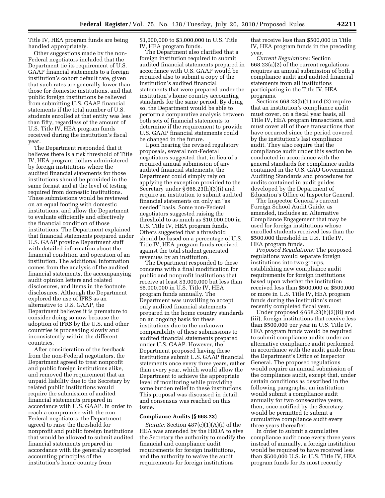Title IV, HEA program funds are being handled appropriately.

Other suggestions made by the non-Federal negotiators included that the Department tie its requirement of U.S. GAAP financial statements to a foreign institution's cohort default rate, given that such rates are generally lower than those for domestic institutions, and that public foreign institutions be relieved from submitting U.S. GAAP financial statements if the total number of U.S. students enrolled at that entity was less than fifty, regardless of the amount of U.S. Title IV, HEA program funds received during the institution's fiscal year.

The Department responded that it believes there is a risk threshold of Title IV, HEA program dollars administered by foreign institutions where the audited financial statements for those institutions should be provided in the same format and at the level of testing required from domestic institutions. These submissions would be reviewed on an equal footing with domestic institutions, and allow the Department to evaluate efficiently and effectively the financial condition of those institutions. The Department explained that financial statements prepared under U.S. GAAP provide Department staff with detailed information about the financial condition and operation of an institution. The additional information comes from the analysis of the audited financial statements, the accompanying audit opinion letters and related disclosures, and items in the footnote disclosures. Although the Department explored the use of IFRS as an alternative to U.S. GAAP, the Department believes it is premature to consider doing so now because the adoption of IFRS by the U.S. and other countries is proceeding slowly and inconsistently within the different countries.

After consideration of the feedback from the non-Federal negotiators, the Department agreed to treat nonprofit and public foreign institutions alike, and removed the requirement that an unpaid liability due to the Secretary by related public institutions would require the submission of audited financial statements prepared in accordance with U.S. GAAP. In order to reach a compromise with the non-Federal negotiators, the Department agreed to raise the threshold for nonprofit and public foreign institutions that would be allowed to submit audited financial statements prepared in accordance with the generally accepted accounting principles of the institution's home country from

\$1,000,000 to \$3,000,000 in U.S. Title IV, HEA program funds.

The Department also clarified that a foreign institution required to submit audited financial statements prepared in accordance with U.S. GAAP would be required also to submit a copy of the institution's audited financial statements that were prepared under the institution's home country accounting standards for the same period. By doing so, the Department would be able to perform a comparative analysis between both sets of financial statements to determine if the requirement to provide U.S. GAAP financial statements could be changed in the future.

Upon hearing the revised regulatory proposals, several non-Federal negotiators suggested that, in lieu of a required annual submission of any audited financial statements, the Department could simply rely on applying the exception provided to the Secretary under § 668.23(h)(3)(i) and require an institution to submit audited financial statements on only an ''as needed'' basis. Some non-Federal negotiators suggested raising the threshold to as much as \$10,000,000 in U.S. Title IV, HEA program funds. Others suggested that a threshold should be based on a percentage of U.S. Title IV, HEA program funds received against the total student generated revenues by an institution.

The Department responded to these concerns with a final modification for public and nonprofit institutions that receive at least \$3,000,000 but less than \$5,000,000 in U.S. Title IV, HEA program funds annually. The Department was unwilling to accept only audited financial statements prepared in the home country standards on an ongoing basis for these institutions due to the unknown comparability of these submissions to audited financial statements prepared under U.S. GAAP. However, the Department proposed having these institutions submit U.S. GAAP financial statements once every three years, rather than every year, which would allow the Department to achieve the appropriate level of monitoring while providing some burden relief to these institutions. This proposal was discussed in detail, and consensus was reached on this issue.

### **Compliance Audits (§ 668.23)**

*Statute:* Section 487(c)(1)(A)(i) of the HEA was amended by the HEOA to give the Secretary the authority to modify the financial and compliance audit requirements for foreign institutions, and the authority to waive the audit requirements for foreign institutions

that receive less than \$500,000 in Title IV, HEA program funds in the preceding year.

*Current Regulations:* Section 668.23(a)(2) of the current regulations requires an annual submission of both a compliance audit and audited financial statements from all institutions participating in the Title IV, HEA programs.

Sections 668.23(b)(1) and (2) require that an institution's compliance audit must cover, on a fiscal year basis, all Title IV, HEA program transactions, and must cover all of those transactions that have occurred since the period covered by the institution's last compliance audit. They also require that the compliance audit under this section be conducted in accordance with the general standards for compliance audits contained in the U.S. GAO Government Auditing Standards and procedures for audits contained in audit guides developed by the Department of Education's Office of Inspector General.

The Inspector General's current Foreign School Audit Guide, as amended, includes an Alternative Compliance Engagement that may be used for foreign institutions whose enrolled students received less than the \$500,000 threshold in U.S. Title IV, HEA program funds.

*Proposed Regulations:* The proposed regulations would separate foreign institutions into two groups, establishing new compliance audit requirements for foreign institutions based upon whether the institution received less than \$500,000 or \$500,000 or more in U.S. Title IV, HEA program funds during the institution's most recently completed fiscal year.

Under proposed § 668.23(h)(2)(ii) and (iii), foreign institutions that receive less than \$500,000 per year in U.S. Title IV, HEA program funds would be required to submit compliance audits under an alternative compliance audit performed in accordance with the audit guide from the Department's Office of Inspector General. The proposed regulations would require an annual submission of the compliance audit, except that, under certain conditions as described in the following paragraphs, an institution would submit a compliance audit annually for two consecutive years, then, once notified by the Secretary, would be permitted to submit a cumulative compliance audit every three years thereafter.

In order to submit a cumulative compliance audit once every three years instead of annually, a foreign institution would be required to have received less than \$500,000 U.S. in U.S. Title IV, HEA program funds for its most recently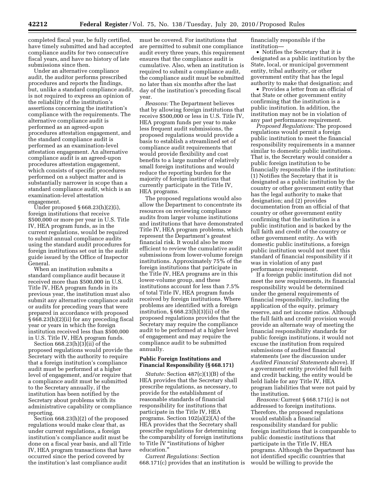completed fiscal year, be fully certified, have timely submitted and had accepted compliance audits for two consecutive fiscal years, and have no history of late submissions since then.

Under an alternative compliance audit, the auditor performs prescribed procedures and reports the findings, but, unlike a standard compliance audit, is not required to express an opinion of the reliability of the institution's assertions concerning the institution's compliance with the requirements. The alternative compliance audit is performed as an agreed-upon procedures attestation engagement, and the standard compliance audit is performed as an examination-level attestation engagement. An alternative compliance audit is an agreed-upon procedures attestation engagement, which consists of specific procedures performed on a subject matter and is substantially narrower in scope than a standard compliance audit, which is an examination-level attestation engagement.

Under proposed § 668.23(h)(2)(i), foreign institutions that receive \$500,000 or more per year in U.S. Title IV, HEA program funds, as in the current regulations, would be required to submit annual compliance audits using the standard audit procedures for foreign institutions set out in the audit guide issued by the Office of Inspector General.

When an institution submits a standard compliance audit because it received more than \$500,000 in U.S. Title IV, HEA program funds in its previous year, the institution must also submit any alternative compliance audit or audits for preceding years that were prepared in accordance with proposed § 668.23(h)(2)(ii) for any preceding fiscal year or years in which the foreign institution received less than \$500,000 in U.S. Title IV, HEA program funds.

Section  $668.23(h)(3)(ii)$  of the proposed regulations would provide the Secretary with the authority to require that a foreign institution's compliance audit must be performed at a higher level of engagement, and/or require that a compliance audit must be submitted to the Secretary annually, if the institution has been notified by the Secretary about problems with its administrative capability or compliance reporting.

Section 668.23(h)(2) of the proposed regulations would make clear that, as under current regulations, a foreign institution's compliance audit must be done on a fiscal year basis, and all Title IV, HEA program transactions that have occurred since the period covered by the institution's last compliance audit

must be covered. For institutions that are permitted to submit one compliance audit every three years, this requirement ensures that the compliance audit is cumulative. Also, when an institution is required to submit a compliance audit, the compliance audit must be submitted no later than six months after the last day of the institution's preceding fiscal year.

*Reasons:* The Department believes that by allowing foreign institutions that receive \$500,000 or less in U.S. Title IV, HEA program funds per year to make less frequent audit submissions, the proposed regulations would provide a basis to establish a streamlined set of compliance audit requirements that would provide flexibility and cost benefits to a large number of relatively small foreign institutions and would reduce the reporting burden for the majority of foreign institutions that currently participate in the Title IV, HEA programs.

The proposed regulations would also allow the Department to concentrate its resources on reviewing compliance audits from larger volume institutions and institutions that have demonstrated Title IV, HEA program problems, which represent the Department's greatest financial risk. It would also be more efficient to review the cumulative audit submissions from lower-volume foreign institutions. Approximately 75% of the foreign institutions that participate in the Title IV, HEA programs are in this lower-volume group, and these institutions account for less than 7.5% of total Title IV, HEA program funds received by foreign institutions. Where problems are identified with a foreign institution, § 668.23(h)(3)(ii) of the proposed regulations provides that the Secretary may require the compliance audit to be performed at a higher level of engagement and may require the compliance audit to be submitted annually.

## **Public Foreign Institutions and Financial Responsibility (§ 668.171)**

*Statute:* Section 487(c)(1)(B) of the HEA provides that the Secretary shall prescribe regulations, as necessary, to provide for the establishment of reasonable standards of financial responsibility for institutions that participate in the Title IV, HEA programs. Section 102(a)(2)(A) of the HEA provides that the Secretary shall prescribe regulations for determining the comparability of foreign institutions to Title IV "institutions of higher education.''

*Current Regulations:* Section 668.171(c) provides that an institution is financially responsible if the institution—

• Notifies the Secretary that it is designated as a public institution by the State, local, or municipal government entity, tribal authority, or other government entity that has the legal authority to make that designation; and

• Provides a letter from an official of that State or other government entity confirming that the institution is a public institution. In addition, the institution may not be in violation of any past performance requirement.

*Proposed Regulations:* The proposed regulations would permit a foreign public institution to meet the financial responsibility requirements in a manner similar to domestic public institutions. That is, the Secretary would consider a public foreign institution to be financially responsible if the institution: (1) Notifies the Secretary that it is designated as a public institution by the country or other government entity that has the legal authority to make that designation; and (2) provides documentation from an official of that country or other government entity confirming that the institution is a public institution and is backed by the full faith and credit of the country or other government entity. As with domestic public institutions, a foreign public institution would not meet this standard of financial responsibility if it was in violation of any past performance requirement.

If a foreign public institution did not meet the new requirements, its financial responsibility would be determined under the general requirements of financial responsibility, including the application of the equity, primary reserve, and net income ratios. Although the full faith and credit provision would provide an alternate way of meeting the financial responsibility standards for public foreign institutions, it would not excuse the institution from required submissions of audited financial statements (*see* the discussion under *Audited Financial Statements* above). If a government entity provided full faith and credit backing, the entity would be held liable for any Title IV, HEA program liabilities that were not paid by the institution.

*Reasons:* Current § 668.171(c) is not addressed to foreign institutions. Therefore, the proposed regulations would establish a financial responsibility standard for public foreign institutions that is comparable to public domestic institutions that participate in the Title IV, HEA programs. Although the Department has not identified specific countries that would be willing to provide the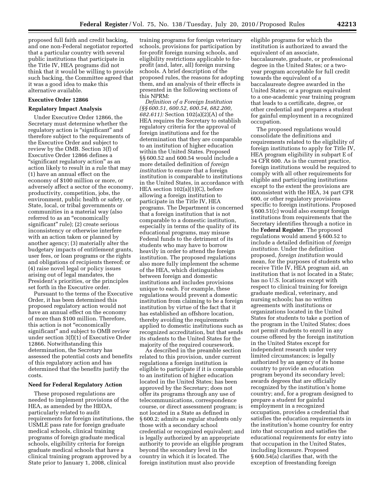proposed full faith and credit backing, and one non-Federal negotiator reported that a particular country with several public institutions that participate in the Title IV, HEA programs did not think that it would be willing to provide such backing, the Committee agreed that it was a good idea to make this alternative available.

## **Executive Order 12866**

#### **Regulatory Impact Analysis**

Under Executive Order 12866, the Secretary must determine whether the regulatory action is "significant" and therefore subject to the requirements of the Executive Order and subject to review by the OMB. Section 3(f) of Executive Order 12866 defines a "significant regulatory action" as an action likely to result in a rule that may (1) have an annual effect on the economy of \$100 million or more, or adversely affect a sector of the economy, productivity, competition, jobs, the environment, public health or safety, or State, local, or tribal governments or communities in a material way (also referred to as an "economically significant'' rule); (2) create serious inconsistency or otherwise interfere with an action taken or planned by another agency; (3) materially alter the budgetary impacts of entitlement grants, user fees, or loan programs or the rights and obligations of recipients thereof; or (4) raise novel legal or policy issues arising out of legal mandates, the President's priorities, or the principles set forth in the Executive order.

Pursuant to the terms of the Executive Order, it has been determined this proposed regulatory action would not have an annual effect on the economy of more than \$100 million. Therefore, this action is not "economically significant'' and subject to OMB review under section 3(f)(1) of Executive Order 12866. Notwithstanding this determination, the Secretary has assessed the potential costs and benefits of this regulatory action and has determined that the benefits justify the costs.

#### **Need for Federal Regulatory Action**

These proposed regulations are needed to implement provisions of the HEA, as amended by the HEOA, particularly related to audit requirements for foreign institutions, the USMLE pass rate for foreign graduate medical schools, clinical training programs of foreign graduate medical schools, eligibility criteria for foreign graduate medical schools that have a clinical training program approved by a State prior to January 1, 2008, clinical

training programs for foreign veterinary schools, provisions for participation by for-profit foreign nursing schools, and eligibility restrictions applicable to forprofit (and, later, all) foreign nursing schools. A brief description of the proposed rules, the reasons for adopting them, and an analysis of their effects is presented in the following sections of this NPRM:

*Definition of a Foreign Institution (§§ 600.51, 600.52, 600.54, 682.200, 682.611):* Section 102(a)(2)(A) of the HEA requires the Secretary to establish regulatory criteria for the approval of foreign institutions and for the determination that they are comparable to an institution of higher education within the United States. Proposed §§ 600.52 and 600.54 would include a more detailed definition of *foreign institution* to ensure that a foreign institution is comparable to institutions in the United States, in accordance with HEA section  $102(a)(1)(C)$ , before allowing a foreign institution to participate in the Title IV, HEA programs. The Department is concerned that a foreign institution that is not comparable to a domestic institution, especially in terms of the quality of its educational programs, may misuse Federal funds to the detriment of its students who may have to borrow heavily in order to attend the foreign institution. The proposed regulations also more fully implement the scheme of the HEA, which distinguishes between foreign and domestic institutions and includes provisions unique to each. For example, these regulations would prevent a domestic institution from claiming to be a foreign institution by virtue of the fact that it has established an offshore location, thereby avoiding the requirements applied to domestic institutions such as recognized accreditation, but that sends its students to the United States for the majority of the required coursework.

As described in the preamble section related to this provision, under current regulations a foreign institution is eligible to participate if it is comparable to an institution of higher education located in the United States; has been approved by the Secretary; does not offer its programs through any use of telecommunications, correspondence course, or direct assessment program; is not located in a State as defined in § 600.2; admits as regular students only those with a secondary school credential or recognized equivalent; and is legally authorized by an appropriate authority to provide an eligible program beyond the secondary level in the country in which it is located. The foreign institution must also provide

eligible programs for which the institution is authorized to award the equivalent of an associate, baccalaureate, graduate, or professional degree in the United States; or a twoyear program acceptable for full credit towards the equivalent of a baccalaureate degree awarded in the United States; or a program equivalent to a one-academic year training program that leads to a certificate, degree, or other credential and prepares a student for gainful employment in a recognized occupation.

The proposed regulations would consolidate the definitions and requirements related to the eligibility of foreign institutions to apply for Title IV, HEA program eligibility in subpart E of 34 CFR 600. As is the current practice, foreign institutions would be required to comply with all other requirements for eligible and participating institutions except to the extent the provisions are inconsistent with the HEA, 34 part CFR 600, or other regulatory provisions specific to foreign institutions. Proposed § 600.51(c) would also exempt foreign institutions from requirements that the Secretary identifies through a notice in the **Federal Register**. The proposed regulations would amend § 600.52 to include a detailed definition of *foreign institution.* Under the definition proposed, *foreign institution* would mean, for the purposes of students who receive Title IV, HEA program aid, an institution that is not located in a State; has no U.S. locations except with respect to clinical training for foreign graduate medical, veterinary, and nursing schools; has no written agreements with institutions or organizations located in the United States for students to take a portion of the program in the United States; does not permit students to enroll in any course offered by the foreign institution in the United States except for independent research under very limited circumstances; is legally authorized by an agency of its home country to provide an education program beyond its secondary level; awards degrees that are officially recognized by the institution's home country; and, for a program designed to prepare a student for gainful employment in a recognized occupation, provides a credential that satisfies the education requirements in the institution's home country for entry into that occupation and satisfies the educational requirements for entry into that occupation in the United States, including licensure. Proposed § 600.54(a) clarifies that, with the exception of freestanding foreign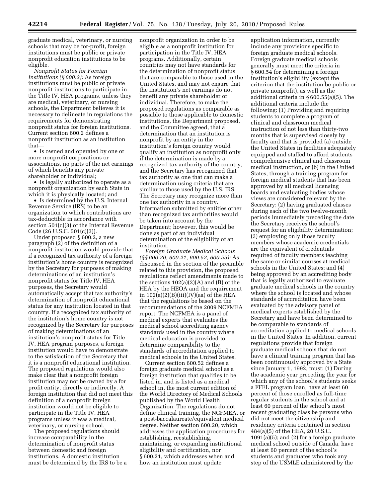graduate medical, veterinary, or nursing schools that may be for-profit, foreign institutions must be public or private nonprofit education institutions to be eligible.

*Nonprofit Status for Foreign Institutions (§ 600.2):* As foreign institutions must be public or private nonprofit institutions to participate in the Title IV, HEA programs, unless they are medical, veterinary, or nursing schools, the Department believes it is necessary to delineate in regulations the requirements for demonstrating nonprofit status for foreign institutions. Current section 600.2 defines a nonprofit institution as an institution that—

• Is owned and operated by one or more nonprofit corporations or associations, no parts of the net earnings of which benefits any private shareholder or individual;

• Is legally authorized to operate as a nonprofit organization by each State in which it is physically located; and

• Is determined by the U.S. Internal Revenue Service (IRS) to be an organization to which contributions are tax-deductible in accordance with section 501(c)(3) of the Internal Revenue Code (26 U.S.C. 501(c)(3)).

Under proposed § 600.2, a new paragraph (2) of the definition of a nonprofit institution would provide that if a recognized tax authority of a foreign institution's home country is recognized by the Secretary for purposes of making determinations of an institution's nonprofit status for Title IV, HEA purposes, the Secretary would automatically accept that tax authority's determination of nonprofit educational status for any institution located in that country. If a recognized tax authority of the institution's home country is not recognized by the Secretary for purposes of making determinations of an institution's nonprofit status for Title IV, HEA program purposes, a foreign institution would have to demonstrate to the satisfaction of the Secretary that it is a nonprofit educational institution. The proposed regulations would also make clear that a nonprofit foreign institution may not be owned by a for profit entity, directly or indirectly. A foreign institution that did not meet this definition of a nonprofit foreign institution would not be eligible to participate in the Title IV, HEA programs unless it was a medical, veterinary, or nursing school.

The proposed regulations should increase comparability in the determination of nonprofit status between domestic and foreign institutions. A domestic institution must be determined by the IRS to be a nonprofit organization in order to be eligible as a nonprofit institution for participation in the Title IV, HEA programs. Additionally, certain countries may not have standards for the determination of nonprofit status that are comparable to those used in the United States, and may not ensure that the institution's net earnings do not benefit any private shareholder or individual. Therefore, to make the proposed regulations as comparable as possible to those applicable to domestic institutions, the Department proposed, and the Committee agreed, that a determination that an institution is nonprofit by an entity in the institution's foreign country would qualify an institution as nonprofit only if the determination is made by a recognized tax authority of the country, and the Secretary has recognized that tax authority as one that can make a determination using criteria that are similar to those used by the U.S. IRS. The Secretary may recognize more than one tax authority in a country. Information submitted by entities other than recognized tax authorities would be taken into account by the Department; however, this would be done as part of an individual determination of the eligibility of an institution.

*Foreign Graduate Medical Schools (§§ 600.20, 600.21, 600.52, 600.55):* As discussed in the section of the preamble related to this provision, the proposed regulations reflect amendments made to the sections  $102(a)(2)(A)$  and  $(B)$  of the HEA by the HEOA and the requirement in  $102(a)(2)(B)(iii)(IV)(aa)$  of the HEA that the regulations be based on the recommendations of the 2009 NCFMEA report. The NCFMEA is a panel of medical experts that evaluates the medical school accrediting agency standards used in the country where medical education is provided to determine comparability to the standards of accreditation applied to medical schools in the United States.

Current section 600.52 defines a foreign graduate medical school as a foreign institution that qualifies to be listed in, and is listed as a medical school in, the most current edition of the World Directory of Medical Schools published by the World Health Organization. The regulations do not define clinical training, the NCFMEA, or a post-baccalaureate/equivalent medical degree. Neither section 600.20, which addresses the application procedures for establishing, reestablishing, maintaining, or expanding institutional eligibility and certification, nor § 600.21, which addresses when and how an institution must update

application information, currently include any provisions specific to foreign graduate medical schools. Foreign graduate medical schools generally must meet the criteria in § 600.54 for determining a foreign institution's eligibility (except the criterion that the institution be public or private nonprofit), as well as the additional criteria in § 600.55(a)(5). The additional criteria include the following: (1) Providing and requiring students to complete a program of clinical and classroom medical instruction of not less than thirty-two months that is supervised closely by faculty and that is provided (a) outside the United States in facilities adequately equipped and staffed to afford students comprehensive clinical and classroom medical instruction, or (b) in the United States, through a training program for foreign medical students that has been approved by all medical licensing boards and evaluating bodies whose views are considered relevant by the Secretary; (2) having graduated classes during each of the two twelve-month periods immediately preceding the date the Secretary receives the school's request for an eligibility determination; (3) employing only those faculty members whose academic credentials are the equivalent of credentials required of faculty members teaching the same or similar courses at medical schools in the United States; and (4) being approved by an accrediting body that is legally authorized to evaluate graduate medical schools in the country where the school is located and whose standards of accreditation have been evaluated by the advisory panel of medical experts established by the Secretary and have been determined to be comparable to standards of accreditation applied to medical schools in the United States. In addition, current regulations provide that foreign graduate medical schools that do not have a clinical training program that has been continuously approved by a State since January 1, 1992, must: (1) During the academic year preceding the year for which any of the school's students seeks a FFEL program loan, have at least 60 percent of those enrolled as full-time regular students in the school and at least 60 percent of the school's most recent graduating class be persons who did not meet the citizenship and residency criteria contained in section 484(a)(5) of the HEA, 20 U.S.C. 1091(a)(5); and (2) for a foreign graduate medical school outside of Canada, have at least 60 percent of the school's students and graduates who took any step of the USMLE administered by the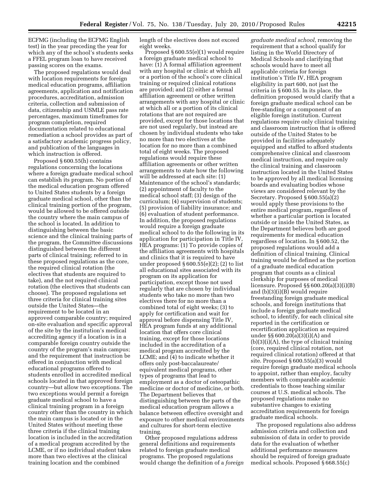ECFMG (including the ECFMG English test) in the year preceding the year for which any of the school's students seeks a FFEL program loan to have received passing scores on the exams.

The proposed regulations would deal with location requirements for foreign medical education programs, affiliation agreements, application and notification procedures, accreditation, admission criteria, collection and submission of data, citizenship and USMLE pass rate percentages, maximum timeframes for program completion, required documentation related to educational remediation a school provides as part of a satisfactory academic progress policy, and publication of the languages in which instruction is offered.

Proposed § 600.55(h) contains regulations concerning the locations where a foreign graduate medical school can establish its program. No portion of the medical education program offered to United States students by a foreign graduate medical school, other than the clinical training portion of the program, would be allowed to be offered outside the country where the main campus of the school is located. In addition to distinguishing between the basic science and the clinical training parts of the program, the Committee discussions distinguished between the different parts of clinical training; referred to in these proposed regulations as the core, the required clinical rotation (the electives that students are required to take), and the not required clinical rotation (the electives that students can choose). The proposed regulations set three criteria for clinical training sites outside the United States—the requirement to be located in an approved comparable country; required on-site evaluation and specific approval of the site by the institution's medical accrediting agency if a location is in a comparable foreign country outside the country of the program's main campus; and the requirement that instruction be offered in conjunction with medical educational programs offered to students enrolled in accredited medical schools located in that approved foreign country—but allow two exceptions. The two exceptions would permit a foreign graduate medical school to have a clinical training program in a foreign country other than the country in which the main campus is located or in the United States without meeting these three criteria if the clinical training location is included in the accreditation of a medical program accredited by the LCME, or if no individual student takes more than two electives at the clinical training location and the combined

length of the electives does not exceed eight weeks.

Proposed § 600.55(e)(1) would require a foreign graduate medical school to have: (1) A formal affiliation agreement with any hospital or clinic at which all or a portion of the school's core clinical training or required clinical rotations are provided; and (2) either a formal affiliation agreement or other written arrangements with any hospital or clinic at which all or a portion of its clinical rotations that are not required are provided, except for those locations that are not used regularly, but instead are chosen by individual students who take no more than two electives at the location for no more than a combined total of eight weeks. The proposed regulations would require these affiliation agreements or other written arrangements to state how the following will be addressed at each site: (1) Maintenance of the school's standards; (2) appointment of faculty to the medical school staff; (3) design of the curriculum; (4) supervision of students; (5) provision of liability insurance; and (6) evaluation of student performance. In addition, the proposed regulations would require a foreign graduate medical school to do the following in its application for participation in Title IV, HEA programs: (1) To provide copies of the affiliation agreements with hospitals and clinics that it is required to have under proposed  $\S 600.55(e)(2)$ ; (2) to list all educational sites associated with its program on its application for participation, except those not used regularly that are chosen by individual students who take no more than two electives there for no more than a combined total of eight weeks; (3) to apply for certification and wait for approval before dispensing Title IV, HEA program funds at any additional location that offers core clinical training, except for those locations included in the accreditation of a medical program accredited by the LCME; and (4) to indicate whether it offers only post-baccalaureate/ equivalent medical programs, other types of programs that lead to employment as a doctor of osteopathic medicine or doctor of medicine, or both. The Department believes that distinguishing between the parts of the medical education program allows a balance between effective oversight and exposure to other medical environments and cultures for short-term elective training.

Other proposed regulations address general definitions and requirements related to foreign graduate medical programs. The proposed regulations would change the definition of a *foreign* 

*graduate medical school,* removing the requirement that a school qualify for listing in the World Directory of Medical Schools and clarifying that schools would have to meet all applicable criteria for foreign institution's Title IV, HEA program eligibility in part 600, not just the criteria in § 600.55. In its place, the definition proposed would clarify that a foreign graduate medical school can be free-standing or a component of an eligible foreign institution. Current regulations require only clinical training and classroom instruction that is offered outside of the United States to be provided in facilities adequately equipped and staffed to afford students comprehensive clinical and classroom medical instruction, and require only the clinical training and classroom instruction located in the United States to be approved by all medical licensing boards and evaluating bodies whose views are considered relevant by the Secretary. Proposed § 600.55(a)(2) would apply these provisions to the entire medical program, regardless of whether a particular portion is located outside or inside the United States, as the Department believes both are good requirements for medical education regardless of location. In § 600.52, the proposed regulations would add a definition of clinical training. Clinical training would be defined as the portion of a graduate medical education program that counts as a clinical clerkship for purposes of medical licensure. Proposed §§ 600.20(a)(3)(i)(B) and (b)(3)(i)(B) would require freestanding foreign graduate medical schools, and foreign institutions that include a foreign graduate medical school, to identify, for each clinical site reported in the certification or recertification application as required under §§ 600.20(a)(3)(i)(A) and (b)(3)(i)(A), the type of clinical training (core, required clinical rotation, not required clinical rotation) offered at that site. Proposed § 600.55(a)(3) would require foreign graduate medical schools to appoint, rather than employ, faculty members with comparable academic credentials to those teaching similar courses at U.S. medical schools. The proposed regulations make no substantive changes to existing accreditation requirements for foreign graduate medical schools.

The proposed regulations also address admission criteria and collection and submission of data in order to provide data for the evaluation of whether additional performance measures should be required of foreign graduate medical schools. Proposed § 668.55(c)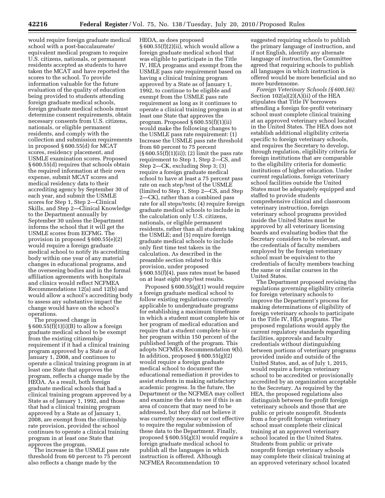would require foreign graduate medical school with a post-baccalaureate/ equivalent medical program to require U.S. citizens, nationals, or permanent residents accepted as students to have taken the MCAT and have reported the scores to the school. To provide information valuable for the future evaluation of the quality of education being provided to students attending foreign graduate medical schools, foreign graduate medical schools must determine consent requirements, obtain necessary consents from U.S. citizens, nationals, or eligible permanent residents, and comply with the collection and submission requirements in proposed § 600.55(d) for MCAT scores, residency placement, and USMLE examination scores. Proposed § 600.55(d) requires that schools obtain the required information at their own expense, submit MCAT scores and medical residency data to their accrediting agency by September 30 of each year, and submit the USMLE scores for Step 1, Step 2—Clinical Skills, and Step 2—Clinical Knowledge to the Department annually by September 30 unless the Department informs the school that it will get the USMLE scores from ECFMG. The provision in proposed § 600.55(e)(2) would require a foreign graduate medical school to notify its accrediting body within one year of any material changes in educational programs, and the overseeing bodies and in the formal affiliation agreements with hospitals and clinics would reflect NCFMEA Recommendations 12(a) and 12(b) and would allow a school's accrediting body to assess any substantive impact the change would have on the school's operations.

The proposed change in  $\S 600.55(f)(1)(i)(B)$  to allow a foreign graduate medical school to be exempt from the existing citizenship requirement if it had a clinical training program approved by a State as of January 1, 2008, and continues to operate a clinical training program in at least one State that approves the program, reflects a change made by the HEOA. As a result, both foreign graduate medical schools that had a clinical training program approved by a State as of January 1, 1992, and those that had a clinical training program approved by a State as of January 1, 2008, are exempt from the citizenship rate provision, provided the school continues to operate a clinical training program in at least one State that approves the program.

The increase in the USMLE pass rate threshold from 60 percent to 75 percent also reflects a change made by the

HEOA, as does proposed § 600.55(f)(2)(ii), which would allow a foreign graduate medical school that was eligible to participate in the Title IV, HEA programs and exempt from the USMLE pass rate requirement based on having a clinical training program approved by a State as of January 1, 1992, to continue to be eligible and exempt from the USMLE pass rate requirement as long as it continues to operate a clinical training program in at least one State that approves the program. Proposed § 600.55(f)(1)(ii) would make the following changes to the USMLE pass rate requirement: (1) Increase the USMLE pass rate threshold from 60 percent to 75 percent (§ 600.55(f)(1)(ii)); (2) limit the pass rate requirement to Step 1, Step 2—CS, and Step 2—CK, excluding Step 3; (3) require a foreign graduate medical school to have at least a 75 percent pass rate on each step/test of the USMLE (limited to Step 1, Step 2—CS, and Step 2—CK), rather than a combined pass rate for all steps/tests; (4) require foreign graduate medical schools to include in the calculation only U.S. citizens, nationals, or eligible permanent residents, rather than all students taking the USMLE; and (5) require foreign graduate medical schools to include only first time test takers in the calculation. As described in the preamble section related to this provision, under proposed § 600.55(f)(4), pass rates must be based on at least eight step/test results.

Proposed § 600.55(g)(1) would require a foreign graduate medical school to follow existing regulations currently applicable to undergraduate programs for establishing a maximum timeframe in which a student must complete his or her program of medical education and require that a student complete his or her program within 150 percent of the published length of the program. This adopts NCFMEA Recommendation 9(b). In addition, proposed § 600.55(g)(2) would require a foreign graduate medical school to document the educational remediation it provides to assist students in making satisfactory academic progress. In the future, the Department or the NCFMEA may collect and examine the data to see if this is an area of concern that may need to be addressed, but they did not believe it was currently necessary or cost effective to require the regular submission of these data to the Department. Finally, proposed § 600.55(g)(3) would require a foreign graduate medical school to publish all the languages in which instruction is offered. Although NCFMEA Recommendation 10

suggested requiring schools to publish the primary language of instruction, and if not English, identify any alternate language of instruction, the Committee agreed that requiring schools to publish all languages in which instruction is offered would be more beneficial and no more burdensome.

*Foreign Veterinary Schools (§ 600.56):*  Section 102(a)(2)(A)(ii) of the HEA stipulates that Title IV borrowers attending a foreign for-profit veterinary school must complete clinical training at an approved veterinary school located in the United States. The HEA does not establish additional eligibility criteria specific to foreign veterinary schools, and requires the Secretary to develop, through regulation, eligibility criteria for foreign institutions that are comparable to the eligibility criteria for domestic institutions of higher education. Under current regulations, foreign veterinary school facilities outside the United States must be adequately equipped and staffed to provide students comprehensive clinical and classroom veterinary instruction, foreign veterinary school programs provided inside the United States must be approved by all veterinary licensing boards and evaluating bodies that the Secretary considers to be relevant, and the credentials of faculty members employed by the foreign veterinary school must be equivalent to the credentials of faculty members teaching the same or similar courses in the United States.

The Department proposed revising the regulations governing eligibility criteria for foreign veterinary schools to improve the Department's process for making determinations of eligibility of foreign veterinary schools to participate in the Title IV, HEA programs. The proposed regulations would apply the current regulatory standards regarding facilities, approvals and faculty credentials without distinguishing between portions of veterinary programs provided inside and outside of the United States, and, as of July 1, 2015, would require a foreign veterinary school to be accredited or provisionally accredited by an organization acceptable to the Secretary. As required by the HEA, the proposed regulations also distinguish between for-profit foreign veterinary schools and those that are public or private nonprofit. Students from a for-profit foreign veterinary school must complete their clinical training at an approved veterinary school located in the United States. Students from public or private nonprofit foreign veterinary schools may complete their clinical training at an approved veterinary school located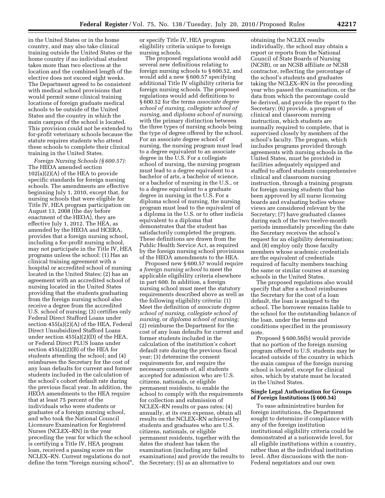in the United States or in the home country, and may also take clinical training outside the United States or the home country if no individual student takes more than two electives at the location and the combined length of the elective does not exceed eight weeks. The Department agreed to be consistent with medical school provisions that would permit some clinical training locations of foreign graduate medical schools to be outside of the United States and the country in which the main campus of the school is located. This provision could not be extended to for-profit veterinary schools because the statute requires students who attend these schools to complete their clinical training in the United States.

*Foreign Nursing Schools (§ 600.57):*  The HEOA amended section 102(a)(2)(A) of the HEA to provide specific standards for foreign nursing schools. The amendments are effective beginning July 1, 2010, except that, for nursing schools that were eligible for Title IV, HEA program participation on August 13, 2008 (the day before enactment of the HEOA), they are effective July 1, 2012. The HEA, as amended by the HEOA and HCERA, provides that a foreign nursing school, including a for-profit nursing school, may not participate in the Title IV, HEA programs unless the school: (1) Has an clinical training agreement with a hospital or accredited school of nursing located in the United States; (2) has an agreement with an accredited school of nursing located in the United States providing that the students graduating from the foreign nursing school also receive a degree from the accredited U.S. school of nursing; (3) certifies only Federal Direct Stafford Loans under section 455(a)(2)(A) of the HEA, Federal Direct Unsubsidized Stafford Loans under section 455(a)(2)(D) of the HEA, or Federal Direct PLUS loans under section 455(a)(2)(B) of the HEA for students attending the school; and (4) reimburses the Secretary for the cost of any loan defaults for current and former students included in the calculation of the school's cohort default rate during the previous fiscal year. In addition, the HEOA amendments to the HEA require that at least 75 percent of the individuals who were students or graduates of a foreign nursing school, and who took the National Council Licensure Examination for Registered Nurses (NCLEX–RN) in the year preceding the year for which the school is certifying a Title IV, HEA program loan, received a passing score on the NCLEX–RN. Current regulations do not define the term "foreign nursing school",

or specify Title IV, HEA program eligibility criteria unique to foreign nursing schools.

The proposed regulations would add several new definitions relating to foreign nursing schools to § 600.52, and would add a new § 600.57 specifying additional Title IV eligibility criteria for foreign nursing schools. The proposed regulations would add definitions to § 600.52 for the terms *associate degree school of nursing, collegiate school of nursing,* and *diploma school of nursing,*  with the primary distinction between the three types of nursing schools being the type of degree offered by the school. For an associate degree school of nursing, the nursing program must lead to a degree equivalent to an associate degree in the U.S. For a collegiate school of nursing, the nursing program must lead to a degree equivalent to a bachelor of arts, a bachelor of science, or a bachelor of nursing in the U.S., or to a degree equivalent to a graduate degree in nursing in the U.S. For a diploma school of nursing, the nursing program must lead to the equivalent of a diploma in the U.S. or to other indicia equivalent to a diploma that demonstrates that the student has satisfactorily completed the program. These definitions are drawn from the Public Health Service Act, as required by the foreign nursing school provisions of the HEOA amendments to the HEA.

Proposed new § 600.57 would require a *foreign nursing school* to meet the applicable eligibility criteria elsewhere in part 600. In addition, a foreign nursing school must meet the statutory requirements described above as well as the following eligibility criteria: (1) Meet the definition of *associate degree school of nursing, collegiate school of nursing,* or *diploma school of nursing;*  (2) reimburse the Department for the cost of any loan defaults for current and former students included in the calculation of the institution's cohort default rate during the previous fiscal year; (3) determine the consent requirements for, and require the necessary consents of, all students accepted for admission who are U.S. citizens, nationals, or eligible permanent residents, to enable the school to comply with the requirements for collection and submission of NCLEX–RN results or pass rates; (4) annually, at its own expense, obtain all results on the NCLEX–RN achieved by students and graduates who are U.S. citizens, nationals, or eligible permanent residents, together with the dates the student has taken the examination (including any failed examinations) and provide the results to the Secretary; (5) as an alternative to

obtaining the NCLEX results individually, the school may obtain a report or reports from the National Council of State Boards of Nursing (NCSB), or an NCSB affiliate or NCSB contractor, reflecting the percentage of the school's students and graduates taking the NCLEX–RN in the preceding year who passed the examination, or the data from which the percentage could be derived, and provide the report to the Secretary; (6) provide, a program of clinical and classroom nursing instruction, which students are normally required to complete, that is supervised closely by members of the school's faculty. The program, which includes programs provided through agreements with nursing schools in the United States, must be provided in facilities adequately equipped and staffed to afford students comprehensive clinical and classroom nursing instruction, through a training program for foreign nursing students that has been approved by all nurse licensing boards and evaluating bodies whose views are considered relevant by the Secretary; (7) have graduated classes during each of the two twelve-month periods immediately preceding the date the Secretary receives the school's request for an eligibility determination; and (8) employ only those faculty members whose academic credentials are the equivalent of credentials required of faculty members teaching the same or similar courses at nursing schools in the United States.

The proposed regulations also would specify that after a school reimburses the Secretary for the cost of a loan default, the loan is assigned to the school. The borrower remains liable to the school for the outstanding balance of the loan, under the terms and conditions specified in the promissory note.

Proposed § 600.56(b) would provide that no portion of the foreign nursing program offered to U.S. students may be located outside of the country in which the main campus of the foreign nursing school is located, except for clinical sites, which by statute must be located in the United States.

## **Single Legal Authorization for Groups of Foreign Institutions (§ 600.54)**

To ease administrative burden for foreign institutions, the Department sought to determine if compliance with any of the foreign institution institutional eligibility criteria could be demonstrated at a nationwide level, for all eligible institutions within a country, rather than at the individual institution level. After discussions with the non-Federal negotiators and our own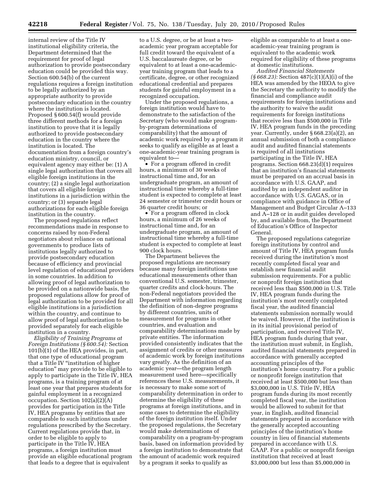internal review of the Title IV institutional eligibility criteria, the Department determined that the requirement for proof of legal authorization to provide postsecondary education could be provided this way. Section 600.54(b) of the current regulations requires a foreign institution to be legally authorized by an appropriate authority to provide postsecondary education in the country where the institution is located. Proposed § 600.54(f) would provide three different methods for a foreign institution to prove that it is legally authorized to provide postsecondary education in the country where the institution is located. The documentation from a foreign country's education ministry, council, or equivalent agency may either be: (1) A single legal authorization that covers all eligible foreign institutions in the country; (2) a single legal authorization that covers all eligible foreign institutions in a jurisdiction within the country; or (3) separate legal authorizations for each eligible foreign institution in the country.

The proposed regulations reflect recommendations made in response to concerns raised by non-Federal negotiators about reliance on national governments to produce lists of institutions legally authorized to provide postsecondary education because of efficiency and provincial level regulation of educational providers in some countries. In addition to allowing proof of legal authorization to be provided on a nationwide basis, the proposed regulations allow for proof of legal authorization to be provided for all eligible institutions in a jurisdiction within the country, and continue to allow proof of legal authorization to be provided separately for each eligible institution in a country.

*Eligibility of Training Programs at Foreign Institutions (§ 600.54):* Section  $101(b)(1)$  of the HEA provides, in part, that one type of educational program that a Title IV ''institution of higher education'' may provide to be eligible to apply to participate in the Title IV, HEA programs, is a training program of at least one year that prepares students for gainful employment in a recognized occupation. Section 102(a)(2)(A) provides for participation in the Title IV, HEA programs by entities that are comparable to such institutions under regulations prescribed by the Secretary. Current regulations provide that, in order to be eligible to apply to participate in the Title IV, HEA programs, a foreign institution must provide an eligible educational program that leads to a degree that is equivalent

to a U.S. degree, or be at least a twoacademic year program acceptable for full credit toward the equivalent of a U.S. baccalaureate degree, or be equivalent to at least a one-academicyear training program that leads to a certificate, degree, or other recognized educational credential and prepares students for gainful employment in a recognized occupation.

Under the proposed regulations, a foreign institution would have to demonstrate to the satisfaction of the Secretary (who would make programby-program determinations of comparability) that the amount of academic work required by a program it seeks to qualify as eligible as at least a one-academic-year training program is equivalent to—

• For a program offered in credit hours, a minimum of 30 weeks of instructional time and, for an undergraduate program, an amount of instructional time whereby a full-time student is expected to complete at least 24 semester or trimester credit hours or 36 quarter credit hours; or

• For a program offered in clock hours, a minimum of 26 weeks of instructional time and, for an undergraduate program, an amount of instructional time whereby a full-time student is expected to complete at least 900 clock hours.

The Department believes the proposed regulations are necessary because many foreign institutions use educational measurements other than conventional U.S. semester, trimester, quarter credits and clock-hours. The non-Federal negotiators provided the Department with information regarding the definition of non-degree programs by different countries, units of measurement for programs in other countries, and evaluation and comparability determinations made by private entities. The information provided consistently indicates that the assignment of credits or other measures of academic work by foreign institutions vary greatly. As the definition of an academic year—the program length measurement used here—specifically references these U.S. measurements, it is necessary to make some sort of comparability determination in order to determine the eligibility of these programs at foreign institutions, and in some cases to determine the eligibility of the foreign institution itself. Under the proposed regulations, the Secretary would make determinations of comparability on a program-by-program basis, based on information provided by a foreign institution to demonstrate that the amount of academic work required by a program it seeks to qualify as

eligible as comparable to at least a oneacademic-year training program is equivalent to the academic work required for eligibility of these programs at domestic institutions.

*Audited Financial Statements (§ 668.23):* Section 487(c)(1)(A)(i) of the HEA was amended by the HEOA to give the Secretary the authority to modify the financial and compliance audit requirements for foreign institutions and the authority to waive the audit requirements for foreign institutions that receive less than \$500,000 in Title IV, HEA program funds in the preceding year. Currently, under § 668.23(a)(2), an annual submission of both a compliance audit and audited financial statements is required of all institutions participating in the Title IV, HEA programs. Section 668.23(d)(1) requires that an institution's financial statements must be prepared on an accrual basis in accordance with U.S. GAAP, and audited by an independent auditor in accordance with U.S. GAGAS, or in compliance with guidance in Office of Management and Budget Circular A–133 and A–128 or in audit guides developed by, and available from, the Department of Education's Office of Inspector General.

The proposed regulations categorize foreign institutions by control and amount of Title IV, HEA program funds received during the institution's most recently completed fiscal year and establish new financial audit submission requirements. For a public or nonprofit foreign institution that received less than \$500,000 in U.S. Title IV, HEA program funds during the institution's most recently completed fiscal year, the audited financial statements submission normally would be waived. However, if the institution is in its initial provisional period of participation, and received Title IV, HEA program funds during that year, the institution must submit, in English, audited financial statements prepared in accordance with generally accepted accounting principles of the institution's home country. For a public or nonprofit foreign institution that received at least \$500,000 but less than \$3,000,000 in U.S. Title IV, HEA program funds during its most recently completed fiscal year, the institution would be allowed to submit for that year, in English, audited financial statements prepared in accordance with the generally accepted accounting principles of the institution's home country in lieu of financial statements prepared in accordance with U.S. GAAP. For a public or nonprofit foreign institution that received at least \$3,000,000 but less than \$5,000,000 in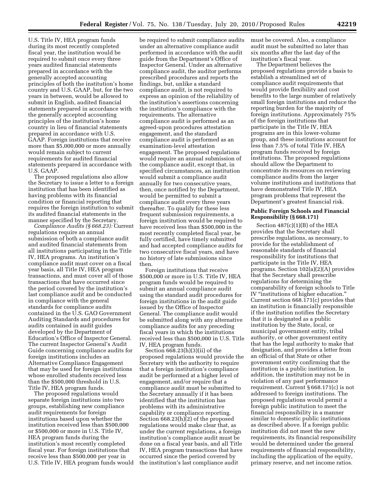U.S. Title IV, HEA program funds during its most recently completed fiscal year, the institution would be required to submit once every three years audited financial statements prepared in accordance with the generally accepted accounting principles of both the institution's home country and U.S. GAAP, but, for the two years in between, would be allowed to submit in English, audited financial statements prepared in accordance with the generally accepted accounting principles of the institution's home country in lieu of financial statements prepared in accordance with U.S. GAAP. Foreign institutions that receive more than \$5,000,000 or more annually would remain subject to current requirements for audited financial statements prepared in accordance with U.S. GAAP.

The proposed regulations also allow the Secretary to issue a letter to a foreign institution that has been identified as having problems with its financial condition or financial reporting that requires the foreign institution to submit its audited financial statements in the manner specified by the Secretary.

*Compliance Audits (§ 668.23):* Current regulations require an annual submission of both a compliance audit and audited financial statements from all institutions participating in the Title IV, HEA programs. An institution's compliance audit must cover on a fiscal year basis, all Title IV, HEA program transactions, and must cover all of those transactions that have occurred since the period covered by the institution's last compliance audit and be conducted in compliance with the general standards for compliance audits contained in the U.S. GAO Government Auditing Standards and procedures for audits contained in audit guides developed by the Department of Education's Office of Inspector General. The current Inspector General's Audit Guide concerning compliance audits for foreign institutions includes an Alternative Compliance Engagement that may be used for foreign institutions whose enrolled students received less than the \$500,000 threshold in U.S. Title IV, HEA program funds.

The proposed regulations would separate foreign institutions into two groups, establishing new compliance audit requirements for foreign institutions based upon whether the institution received less than \$500,000 or \$500,000 or more in U.S. Title IV, HEA program funds during the institution's most recently completed fiscal year. For foreign institutions that receive less than \$500,000 per year in U.S. Title IV, HEA program funds would

be required to submit compliance audits under an alternative compliance audit performed in accordance with the audit guide from the Department's Office of Inspector General. Under an alternative compliance audit, the auditor performs prescribed procedures and reports the findings, but, unlike a standard compliance audit, is not required to express an opinion of the reliability of the institution's assertions concerning the institution's compliance with the requirements. The alternative compliance audit is performed as an agreed-upon procedures attestation engagement, and the standard compliance audit is performed as an examination-level attestation engagement. The proposed regulations would require an annual submission of the compliance audit, except that, in specified circumstances, an institution would submit a compliance audit annually for two consecutive years, then, once notified by the Department, would be permitted to submit a compliance audit every three years thereafter. To qualify for these less frequent submission requirements, a foreign institution would be required to have received less than \$500,000 in the most recently completed fiscal year, be fully certified, have timely submitted and had accepted compliance audits for two consecutive fiscal years, and have no history of late submissions since then.

Foreign institutions that receive \$500,000 or more in U.S. Title IV, HEA program funds would be required to submit an annual compliance audit using the standard audit procedures for foreign institutions in the audit guide issued by the Office of Inspector General. The compliance audit would be submitted along with any alternative compliance audits for any preceding fiscal years in which the institutions received less than \$500,000 in U.S. Title IV, HEA program funds.

Section  $668.23(h)(3)(ii)$  of the proposed regulations would provide the Secretary with the authority to require that a foreign institution's compliance audit be performed at a higher level of engagement, and/or require that a compliance audit must be submitted to the Secretary annually if it has been identified that the institution has problems with its administrative capability or compliance reporting. Section 668.23(h)(2) of the proposed regulations would make clear that, as under the current regulations, a foreign institution's compliance audit must be done on a fiscal year basis, and all Title IV, HEA program transactions that have occurred since the period covered by the institution's last compliance audit

must be covered. Also, a compliance audit must be submitted no later than six months after the last day of the institution's fiscal year.

The Department believes the proposed regulations provide a basis to establish a streamlined set of compliance audit requirements that would provide flexibility and cost benefits to the large number of relatively small foreign institutions and reduce the reporting burden for the majority of foreign institutions. Approximately 75% of the foreign institutions that participate in the Title IV, HEA programs are in this lower-volume group, and these institutions account for less than 7.5% of total Title IV, HEA program funds received by foreign institutions. The proposed regulations should allow the Department to concentrate its resources on reviewing compliance audits from the larger volume institutions and institutions that have demonstrated Title IV, HEA program problems that represent the Department's greatest financial risk.

## **Public Foreign Schools and Financial Responsibility (§ 668.171)**

Section 487(c)(1)(B) of the HEA provides that the Secretary shall prescribe regulations, as necessary, to provide for the establishment of reasonable standards of financial responsibility for institutions that participate in the Title IV, HEA programs. Section 102(a)(2)(A) provides that the Secretary shall prescribe regulations for determining the comparability of foreign schools to Title IV ''institutions of higher education.'' Current section 668.171(c) provides that an institution is financially responsible if the institution notifies the Secretary that it is designated as a public institution by the State, local, or municipal government entity, tribal authority, or other government entity that has the legal authority to make that designation, and provides a letter from an official of that State or other government entity confirming that the institution is a public institution. In addition, the institution may not be in violation of any past performance requirement. Current § 668.171(c) is not addressed to foreign institutions. The proposed regulations would permit a foreign public institution to meet the financial responsibility in a manner similar to domestic public institutions as described above. If a foreign public institution did not meet the new requirements, its financial responsibility would be determined under the general requirements of financial responsibility, including the application of the equity, primary reserve, and net income ratios.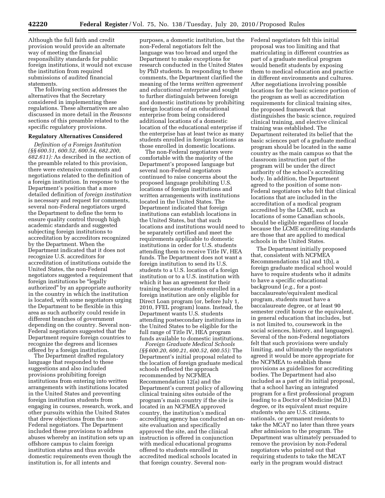Although the full faith and credit provision would provide an alternate way of meeting the financial responsibility standards for public foreign institutions, it would not excuse the institution from required submissions of audited financial statements.

The following section addresses the alternatives that the Secretary considered in implementing these regulations. These alternatives are also discussed in more detail in the *Reasons*  sections of this preamble related to the specific regulatory provisions.

#### **Regulatory Alternatives Considered**

*Definition of a Foreign Institution (§§ 600.51, 600.52, 600.54, 682.200, 682.611):* As described in the section of the preamble related to this provision, there were extensive comments and negotiations related to the definition of a foreign institution. In response to the Department's position that a more detailed definition of *foreign institution*  is necessary and request for comments, several non-Federal negotiators urged the Department to define the term to ensure quality control through high academic standards and suggested subjecting foreign institutions to accreditation by accreditors recognized by the Department. When the Department indicated that it does not recognize U.S. accreditors for accreditation of institutions outside the United States, the non-Federal negotiators suggested a requirement that foreign institutions be ''legally authorized'' by an appropriate authority in the country in which the institution is located, with some negotiators urging the Department to be flexible in this area as such authority could reside in different branches of government depending on the country. Several non-Federal negotiators suggested that the Department require foreign countries to recognize the degrees and licenses offered by a foreign institution.

The Department drafted regulatory language that responded to these suggestions and also included provisions prohibiting foreign institutions from entering into written arrangements with institutions located in the United States and preventing foreign institution students from engaging in courses, research, work, and other pursuits within the United States that drew objections from the non-Federal negotiators. The Department included these provisions to address abuses whereby an institution sets up an offshore campus to claim foreign institution status and thus avoids domestic requirements even though the institution is, for all intents and

purposes, a domestic institution, but the non-Federal negotiators felt the language was too broad and urged the Department to make exceptions for research conducted in the United States by PhD students. In responding to these comments, the Department clarified the meaning of the terms *written agreement*  and *educational enterprise* and sought to further distinguish between foreign and domestic institutions by prohibiting foreign locations of an educational enterprise from being considered additional locations of a domestic location of the educational enterprise if the enterprise has at least twice as many students enrolled in foreign locations as those enrolled in domestic locations.

The non-Federal negotiators were comfortable with the majority of the Department's proposed language but several non-Federal negotiators continued to raise concerns about the proposed language prohibiting U.S. locations of foreign institutions and written arrangements with institutions located in the United States. The Department indicated that foreign institutions can establish locations in the United States, but that such locations and institutions would need to be separately certified and meet the requirements applicable to domestic institutions in order for U.S. students attending them to receive Title IV, HEA funds. The Department does not want a foreign institution to send its U.S. students to a U.S. location of a foreign institution or to a U.S. institution with which it has an agreement for their training because students enrolled in a foreign institution are only eligible for Direct Loan program (or, before July 1, 2010, FFEL program) loans. Instead, the Department wants U.S. students attending postsecondary institutions in the United States to be eligible for the full range of Title IV, HEA program funds available to domestic institutions.

*Foreign Graduate Medical Schools (§§ 600.20, 600.21, 600.52, 600.55):* The Department's initial proposal related to the location of foreign graduate medical schools reflected the approach recommended by NCFMEA Recommendation 12(a) and the Department's current policy of allowing clinical training sites outside of the program's main country if the site is located in an NCFMEA approved country, the institution's medical accrediting agency has conducted an onsite evaluation and specifically approved the site, and the clinical instruction is offered in conjunction with medical educational programs offered to students enrolled in accredited medical schools located in that foreign country. Several nonFederal negotiators felt this initial proposal was too limiting and that matriculating in different countries as part of a graduate medical program would benefit students by exposing them to medical education and practice in different environments and cultures. After negotiations involving possible locations for the basic science portion of the program as well as accreditation requirements for clinical training sites, the proposed framework that distinguishes the basic science, required clinical training, and elective clinical training was established. The Department reiterated its belief that the basic sciences part of a graduate medical program should be located in the same country as the main campus so that the classroom instruction part of the program will be under the direct authority of the school's accrediting body. In addition, the Department agreed to the position of some non-Federal negotiators who felt that clinical locations that are included in the accreditation of a medical program accredited by the LCME, such as locations of some Canadian schools, should be eligible regardless of locale because the LCME accrediting standards are those that are applied to medical schools in the United States.

The Department initially proposed that, consistent with NCFMEA Recommendations 1(a) and 1(b), a foreign graduate medical school would have to require students who it admits to have a specific educational background (*e.g.,* for a postbaccalaureate/equivalent medical program, students must have a baccalaureate degree, or at least 90 semester credit hours or the equivalent, in general education that includes, but is not limited to, coursework in the social sciences, history, and languages). Several of the non-Federal negotiators felt that such provisions were unduly limiting, and ultimately the negotiators agreed it would be more appropriate for the NCFMEA to establish these provisions as guidelines for accrediting bodies. The Department had also included as a part of its initial proposal, that a school having an integrated program for a first professional program leading to a Doctor of Medicine (M.D.) degree, or its equivalent must require students who are U.S. citizens, nationals, or permanent residents to take the MCAT no later than three years after admission to the program. The Department was ultimately persuaded to remove the provision by non-Federal negotiators who pointed out that requiring students to take the MCAT early in the program would distract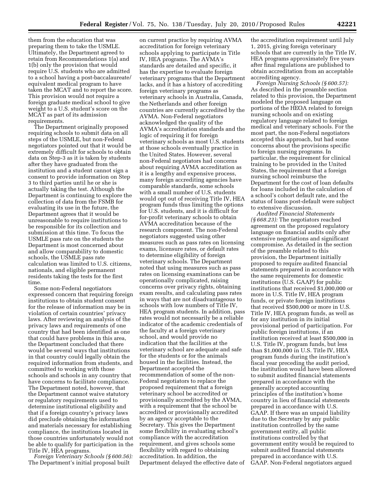them from the education that was preparing them to take the USMLE. Ultimately, the Department agreed to retain from Recommendations 1(a) and 1(b) only the provision that would require U.S. students who are admitted to a school having a post-baccalaureate/ equivalent medical program to have taken the MCAT and to report the score. This provision would not require a foreign graduate medical school to give weight to a U.S. student's score on the MCAT as part of its admission requirements.

The Department originally proposed requiring schools to submit data on all steps of the USMLE, but non-Federal negotiators pointed out that it would be extremely difficult for schools to obtain data on Step-3 as it is taken by students after they have graduated from the institution and a student cannot sign a consent to provide information on Step 3 to third parties until he or she is actually taking the test. Although the Department is continuing to explore the collection of data from the FSMB for evaluating its use in the future, the Department agrees that it would be unreasonable to require institutions to be responsible for its collection and submission at this time. To focus the USMLE pass rate on the students the Department is most concerned about and allow comparability to domestic schools, the USMLE pass rate calculation was limited to U.S. citizens, nationals, and eligible permanent residents taking the tests for the first time.

Some non-Federal negotiators expressed concern that requiring foreign institutions to obtain student consent for the release of information may be in violation of certain countries' privacy laws. After reviewing an analysis of the privacy laws and requirements of one country that had been identified as one that could have problems in this area, the Department concluded that there would be several ways that institutions in that country could legally obtain the required information from students, and committed to working with those schools and schools in any country that have concerns to facilitate compliance. The Department noted, however, that the Department cannot waive statutory or regulatory requirements used to determine institutional eligibility and that if a foreign country's privacy laws did preclude obtaining the information and materials necessary for establishing compliance, the institutions located in those countries unfortunately would not be able to qualify for participation in the Title IV, HEA programs.

*Foreign Veterinary Schools (§ 600.56):*  The Department's initial proposal built

on current practice by requiring AVMA accreditation for foreign veterinary schools applying to participate in Title IV, HEA programs. The AVMA's standards are detailed and specific, it has the expertise to evaluate foreign veterinary programs that the Department lacks, and it has a history of accrediting foreign veterinary programs as veterinary schools in Australia, Canada, the Netherlands and other foreign countries are currently accredited by the AVMA. Non-Federal negotiators acknowledged the quality of the AVMA's accreditation standards and the logic of requiring it for foreign veterinary schools as most U.S. students at those schools eventually practice in the United States. However, several non-Federal negotiators had concerns about requiring AVMA accreditation as it is a lengthy and expensive process, many foreign accrediting agencies have comparable standards, some schools with a small number of U.S. students would opt out of receiving Title IV, HEA program funds thus limiting the options for U.S. students, and it is difficult for for-profit veterinary schools to obtain AVMA accreditation because of the research component. The non-Federal negotiators suggested using other measures such as pass rates on licensing exams, licensure rates, or default rates to determine eligibility of foreign veterinary schools. The Department noted that using measures such as pass rates on licensing examinations can be operationally complicated, raising concerns over privacy rights, obtaining exam results, and calculating pass rates in ways that are not disadvantageous to schools with low numbers of Title IV, HEA program students. In addition, pass rates would not necessarily be a reliable indicator of the academic credentials of the faculty at a foreign veterinary school, and would provide no indication that the facilities at the veterinary school are adequate and safe for the students or for the animals housed in the facilities. Instead, the Department accepted the recommendation of some of the non-Federal negotiators to replace the proposed requirement that a foreign veterinary school be accredited or provisionally accredited by the AVMA, with a requirement that the school be accredited or provisionally accredited by an agency acceptable to the Secretary. This gives the Department some flexibility in evaluating school's compliance with the accreditation requirement, and gives schools some flexibility with regard to obtaining accreditation. In addition, the Department delayed the effective date of

the accreditation requirement until July 1, 2015, giving foreign veterinary schools that are currently in the Title IV, HEA programs approximately five years after final regulations are published to obtain accreditation from an acceptable accrediting agency.

*Foreign Nursing Schools (§ 600.57):*  As described in the preamble section related to this provision, the Department modeled the proposed language on portions of the HEOA related to foreign nursing schools and on existing regulatory language related to foreign medical and veterinary schools. For the most part, the non-Federal negotiators accepted this approach, but had some concerns about the provisions specific to foreign nursing programs. In particular, the requirement for clinical training to be provided in the United States, the requirement that a foreign nursing school reimburse the Department for the cost of loan defaults for loans included in the calculation of a school's cohort default rate, and the status of loans post-default were subject to extensive discussion.

*Audited Financial Statements (§ 668.23):* The negotiators reached agreement on the proposed regulatory language on financial audits only after extensive negotiations and significant compromise. As detailed in the section of the preamble related to this provision, the Department initially proposed to require audited financial statements prepared in accordance with the same requirements for domestic institutions (U.S. GAAP) for public institutions that received \$1,000,000 or more in U.S. Title IV, HEA program funds, or private foreign institutions that received \$500,000 or more in U.S. Title IV, HEA program funds, as well as for any institution in its initial provisional period of participation. For public foreign institutions, if an institution received at least \$500,000 in U.S. Title IV, program funds, but less than \$1,000,000 in U.S. Title IV, HEA program funds during the institution's fiscal year preceding the audit period, the institution would have been allowed to submit audited financial statements prepared in accordance with the generally accepted accounting principles of the institution's home country in lieu of financial statements prepared in accordance with U.S. GAAP. If there was an unpaid liability due to the Secretary by any public institution controlled by the same government entity, all public institutions controlled by that government entity would be required to submit audited financial statements prepared in accordance with U.S. GAAP. Non-Federal negotiators argued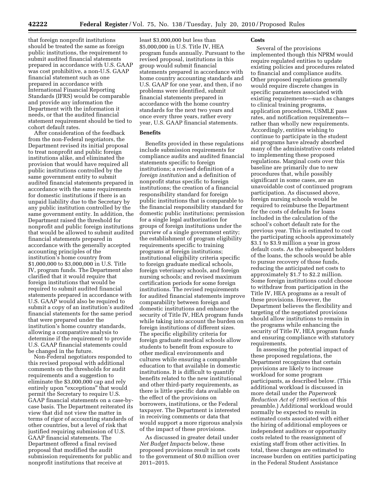that foreign nonprofit institutions should be treated the same as foreign public institutions, the requirement to submit audited financial statements prepared in accordance with U.S. GAAP was cost prohibitive, a non-U.S. GAAP financial statement such as one prepared in accordance with International Financial Reporting Standards (IFRS) would be comparable and provide any information the Department with the information it needs, or that the audited financial statement requirement should be tied to cohort default rates.

After consideration of the feedback from the non-Federal negotiators, the Department revised its initial proposal to treat nonprofit and public foreign institutions alike, and eliminated the provision that would have required all public institutions controlled by the same government entity to submit audited financial statements prepared in accordance with the same requirements for domestic institutions if there is an unpaid liability due to the Secretary by any public institution controlled by the same government entity. In addition, the Department raised the threshold for nonprofit and public foreign institutions that would be allowed to submit audited financial statements prepared in accordance with the generally accepted accounting principles of the institution's home country from \$1,000,000 to \$3,000,000 in U.S. Title IV, program funds. The Department also clarified that it would require that foreign institutions that would be required to submit audited financial statements prepared in accordance with U.S. GAAP would also be required to submit a copy of an institution's audited financial statements for the same period that were prepared under the institution's home country standards, allowing a comparative analysis to determine if the requirement to provide U.S. GAAP financial statements could be changed in the future.

Non-Federal negotiators responded to this revised proposal with additional comments on the thresholds for audit requirements and a suggestion to eliminate the \$3,000,000 cap and rely entirely upon "exceptions" that would permit the Secretary to require U.S. GAAP financial statements on a case-bycase basis. The Department reiterated its view that did not view the matter in terms of rigor of accounting standards of other countries, but a level of risk that justified requiring submission of U.S. GAAP financial statements. The Department offered a final revised proposal that modified the audit submission requirements for public and nonprofit institutions that receive at

least \$3,000,000 but less than \$5,000,000 in U.S. Title IV, HEA program funds annually. Pursuant to the revised proposal, institutions in this group would submit financial statements prepared in accordance with home country accounting standards and U.S. GAAP for one year, and then, if no problems were identified, submit financial statements prepared in accordance with the home country standards for the next two years and once every three years, rather every year, U.S. GAAP financial statements.

#### **Benefits**

Benefits provided in these regulations include submission requirements for compliance audits and audited financial statements specific to foreign institutions; a revised definition of a *foreign institution* and a definition of nonprofit status specific to foreign institutions; the creation of a financial responsibility standard for foreign public institutions that is comparable to the financial responsibility standard for domestic public institutions; permission for a single legal authorization for groups of foreign institutions under the purview of a single government entity; the establishment of program eligibility requirements specific to training programs at foreign institutions; institutional eligibility criteria specific to foreign graduate medical schools, foreign veterinary schools, and foreign nursing schools; and revised maximum certification periods for some foreign institutions. The revised requirements for audited financial statements improve comparability between foreign and domestic institutions and enhance the security of Title IV, HEA program funds while taking into account the burden on foreign institutions of different sizes. The specific eligibility criteria for foreign graduate medical schools allow students to benefit from exposure to other medical environments and cultures while ensuring a comparable education to that available in domestic institutions. It is difficult to quantify benefits related to the new institutional and other third-party requirements, as there is little specific data available on the effect of the provisions on borrowers, institutions, or the Federal taxpayer. The Department is interested in receiving comments or data that would support a more rigorous analysis of the impact of these provisions.

As discussed in greater detail under *Net Budget Impacts* below, these proposed provisions result in net costs to the government of \$0.0 million over 2011–2015.

#### **Costs**

Several of the provisions implemented though this NPRM would require regulated entities to update existing policies and procedures related to financial and compliance audits. Other proposed regulations generally would require discrete changes in specific parameters associated with existing requirements—such as changes to clinical training programs, application procedures, USMLE pass rates, and notification requirements rather than wholly new requirements. Accordingly, entities wishing to continue to participate in the student aid programs have already absorbed many of the administrative costs related to implementing these proposed regulations. Marginal costs over this baseline are primarily due to new procedures that, while possibly significant in some cases, are an unavoidable cost of continued program participation. As discussed above, foreign nursing schools would be required to reimburse the Department for the costs of defaults for loans included in the calculation of the school's cohort default rate for the previous year. This is estimated to cost the participating schools approximately \$3.1 to \$3.9 million a year in gross default costs. As the subsequent holders of the loans, the schools would be able to pursue recovery of those funds, reducing the anticipated net costs to approximately \$1.7 to \$2.2 million. Some foreign institutions could choose to withdraw from participation in the Title IV, HEA programs as a result of these provisions. However, the Department believes the flexibility and targeting of the negotiated provisions should allow institutions to remain in the programs while enhancing the security of Title IV, HEA program funds and ensuring compliance with statutory requirements.

In assessing the potential impact of these proposed regulations, the Department recognizes that certain provisions are likely to increase workload for some program participants, as described below. (This additional workload is discussed in more detail under the *Paperwork Reduction Act of 1995* section of this preamble.) Additional workload would normally be expected to result in estimated costs associated with either the hiring of additional employees or independent auditors or opportunity costs related to the reassignment of existing staff from other activities. In total, these changes are estimated to increase burden on entities participating in the Federal Student Assistance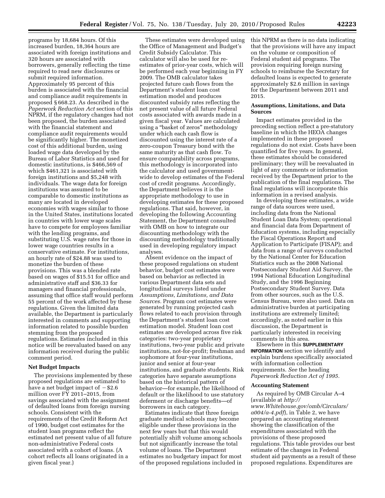programs by 18,684 hours. Of this increased burden, 18,364 hours are associated with foreign institutions and 320 hours are associated with borrowers, generally reflecting the time required to read new disclosures or submit required information. Approximately 95 percent of this burden is associated with the financial and compliance audit requirements in proposed § 668.23. As described in the *Paperwork Reduction Act* section of this NPRM, if the regulatory changes had not been proposed, the burden associated with the financial statement and compliance audit requirements would be significantly higher. The monetized cost of this additional burden, using loaded wage data developed by the Bureau of Labor Statistics and used for domestic institutions, is \$466,569 of which \$461,321 is associated with foreign institutions and \$5,248 with individuals. The wage data for foreign institutions was assumed to be comparable to domestic institutions as many are located in developed economies with wages similar to those in the United States, institutions located in countries with lower wage scales have to compete for employees familiar with the lending programs, and substituting U.S. wage rates for those in lower wage countries results in a conservative estimate. For institutions, an hourly rate of \$24.88 was used to monetize the burden of these provisions. This was a blended rate based on wages of \$15.51 for office and administrative staff and \$36.33 for managers and financial professionals, assuming that office staff would perform 55 percent of the work affected by these regulations. Given the limited data available, the Department is particularly interested in comments and supporting information related to possible burden stemming from the proposed regulations. Estimates included in this notice will be reevaluated based on any information received during the public comment period.

## **Net Budget Impacts**

The provisions implemented by these proposed regulations are estimated to have a net budget impact of  $-$  \$2.6 million over  $\overrightarrow{FY}$  2011–2015, from savings associated with the assignment of defaulted loans from foreign nursing schools. Consistent with the requirements of the Credit Reform Act of 1990, budget cost estimates for the student loan programs reflect the estimated net present value of all future non-administrative Federal costs associated with a cohort of loans. (A cohort reflects all loans originated in a given fiscal year.)

These estimates were developed using the Office of Management and Budget's Credit Subsidy Calculator. This calculator will also be used for reestimates of prior-year costs, which will be performed each year beginning in FY 2009. The OMB calculator takes projected future cash flows from the Department's student loan cost estimation model and produces discounted subsidy rates reflecting the net present value of all future Federal costs associated with awards made in a given fiscal year. Values are calculated using a "basket of zeros" methodology under which each cash flow is discounted using the interest rate of a zero-coupon Treasury bond with the same maturity as that cash flow. To ensure comparability across programs, this methodology is incorporated into the calculator and used governmentwide to develop estimates of the Federal cost of credit programs. Accordingly, the Department believes it is the appropriate methodology to use in developing estimates for these proposed regulations. That said, however, in developing the following Accounting Statement, the Department consulted with OMB on how to integrate our discounting methodology with the discounting methodology traditionally used in developing regulatory impact analyses.

Absent evidence on the impact of these proposed regulations on student behavior, budget cost estimates were based on behavior as reflected in various Department data sets and longitudinal surveys listed under *Assumptions, Limitations, and Data Sources.* Program cost estimates were generated by running projected cash flows related to each provision through the Department's student loan cost estimation model. Student loan cost estimates are developed across five risk categories: two-year proprietary institutions, two-year public and private institutions, not-for-profit; freshman and sophomore at four-year institutions, junior and senior at four-year institutions, and graduate students. Risk categories have separate assumptions based on the historical pattern of behavior—for example, the likelihood of default or the likelihood to use statutory deferment or discharge benefits—of borrowers in each category.

Estimates indicate that three foreign graduate medical schools may become eligible under these provisions in the next few years but that this would potentially shift volume among schools but not significantly increase the total volume of loans. The Department estimates no budgetary impact for most of the proposed regulations included in this NPRM as there is no data indicating that the provisions will have any impact on the volume or composition of Federal student aid programs. The provision requiring foreign nursing schools to reimburse the Secretary for defaulted loans is expected to generate approximately \$2.6 million in savings for the Department between 2011 and 2015.

#### **Assumptions, Limitations, and Data Sources**

Impact estimates provided in the preceding section reflect a pre-statutory baseline in which the HEOA changes implemented in these proposed regulations do not exist. Costs have been quantified for five years. In general, these estimates should be considered preliminary; they will be reevaluated in light of any comments or information received by the Department prior to the publication of the final regulations. The final regulations will incorporate this information in a revised analysis.

In developing these estimates, a wide range of data sources were used, including data from the National Student Loan Data System; operational and financial data from Department of Education systems, including especially the Fiscal Operations Report and Application to Participate (FISAP); and data from a range of surveys conducted by the National Center for Education Statistics such as the 2008 National Postsecondary Student Aid Survey, the 1994 National Education Longitudinal Study, and the 1996 Beginning Postsecondary Student Survey. Data from other sources, such as the U.S. Census Bureau, were also used. Data on administrative burden at participating institutions are extremely limited; accordingly, as noted earlier in this discussion, the Department is particularly interested in receiving comments in this area.

Elsewhere in this **SUPPLEMENTARY INFORMATION** section we identify and explain burdens specifically associated with information collection requirements. *See* the heading *Paperwork Reduction Act of 1995.* 

#### **Accounting Statement**

As required by OMB Circular A–4 (available at *[http://](http://www.Whitehouse.gov/omb/Circulars/a004/a-4.pdf)  [www.Whitehouse.gov/omb/Circulars/](http://www.Whitehouse.gov/omb/Circulars/a004/a-4.pdf)  [a004/a-4.pdf](http://www.Whitehouse.gov/omb/Circulars/a004/a-4.pdf)*), in Table 2, we have prepared an accounting statement showing the classification of the expenditures associated with the provisions of these proposed regulations. This table provides our best estimate of the changes in Federal student aid payments as a result of these proposed regulations. Expenditures are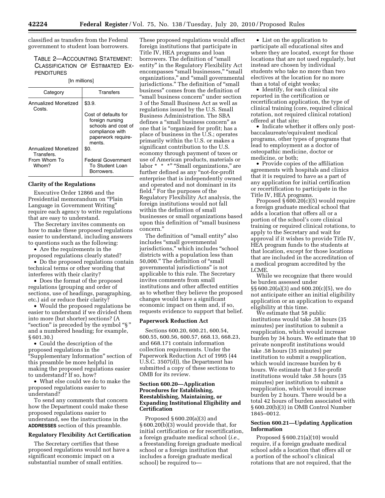classified as transfers from the Federal government to student loan borrowers.

TABLE 2—ACCOUNTING STATEMENT: CLASSIFICATION OF ESTIMATED EX-PENDITURES

#### [In millions]

| Category                           | Transfers                                                                                                         |
|------------------------------------|-------------------------------------------------------------------------------------------------------------------|
| Annualized Monetized<br>Costs.     | \$3.9.                                                                                                            |
|                                    | Cost of defaults for<br>foreign nursing<br>schools and cost of<br>compliance with<br>paperwork require-<br>ments. |
| Annualized Monetized<br>Transfers. | \$0.                                                                                                              |
| From Whom To<br>Whom?              | <b>Federal Government</b><br>To Student Loan<br>Borrowers.                                                        |

#### **Clarity of the Regulations**

Executive Order 12866 and the Presidential memorandum on ''Plain Language in Government Writing'' require each agency to write regulations that are easy to understand.

The Secretary invites comments on how to make these proposed regulations easier to understand, including answers to questions such as the following:

• Are the requirements in the proposed regulations clearly stated?

• Do the proposed regulations contain technical terms or other wording that interferes with their clarity?

• Does the format of the proposed regulations (grouping and order of sections, use of headings, paragraphing, etc.) aid or reduce their clarity?

• Would the proposed regulations be easier to understand if we divided them into more (but shorter) sections? (A "section" is preceded by the symbol "§" and a numbered heading; for example, § 601.30.)

• Could the description of the proposed regulations in the ''Supplementary Information'' section of this preamble be more helpful in making the proposed regulations easier to understand? If so, how?

• What else could we do to make the proposed regulations easier to understand?

To send any comments that concern how the Department could make these proposed regulations easier to understand, see the instructions in the **ADDRESSES** section of this preamble.

## **Regulatory Flexibility Act Certification**

The Secretary certifies that these proposed regulations would not have a significant economic impact on a substantial number of small entities.

These proposed regulations would affect foreign institutions that participate in Title IV, HEA programs and loan borrowers. The definition of ''small entity'' in the Regulatory Flexibility Act encompasses ''small businesses,'' ''small organizations,'' and ''small governmental jurisdictions." The definition of "small business'' comes from the definition of ''small business concern'' under section 3 of the Small Business Act as well as regulations issued by the U.S. Small Business Administration. The SBA defines a ''small business concern'' as one that is ''organized for profit; has a place of business in the U.S.; operates primarily within the U.S. or makes a significant contribution to the U.S. economy through payment of taxes or use of American products, materials or labor \* \* \*" "Small organizations," are further defined as any ''not-for-profit enterprise that is independently owned and operated and not dominant in its field.'' For the purposes of the Regulatory Flexibility Act analysis, the foreign institutions would not fall within the definition of small businesses or small organizations based upon this definition of "small business concern.''

The definition of ''small entity'' also includes ''small governmental jurisdictions,'' which includes ''school districts with a population less than 50,000.'' The definition of ''small governmental jurisdictions'' is not applicable to this rule. The Secretary invites comments from small institutions and other affected entities as to whether they believe the proposed changes would have a significant economic impact on them and, if so, requests evidence to support that belief.

#### **Paperwork Reduction Act**

Sections 600.20, 600.21, 600.54, 600.55, 600.56, 600.57, 668.13, 668.23, and 668.171 contain information collection requirements. Under the Paperwork Reduction Act of 1995 (44 U.S.C. 3507(d)), the Department has submitted a copy of these sections to OMB for its review.

## **Section 600.20—Application Procedures for Establishing, Reestablishing, Maintaining, or Expanding Institutional Eligibility and Certification**

Proposed § 600.20(a)(3) and § 600.20(b)(3) would provide that, for initial certification or for recertification, a foreign graduate medical school (*i.e.,*  a freestanding foreign graduate medical school or a foreign institution that includes a foreign graduate medical school) be required to—

• List on the application to participate all educational sites and where they are located, except for those locations that are not used regularly, but instead are chosen by individual students who take no more than two electives at the location for no more than a total of eight weeks;

• Identify, for each clinical site reported in the certification or recertification application, the type of clinical training (core, required clinical rotation, not required clinical rotation) offered at that site;

• Indicate whether it offers only postbaccalaureate/equivalent medical programs, other types of programs that lead to employment as a doctor of osteopathic medicine, doctor or medicine, or both;

• Provide copies of the affiliation agreements with hospitals and clinics that it is required to have as a part of any application for initial certification or recertification to participate in the Title IV, HEA programs.

Proposed § 600.20(c)(5) would require a foreign graduate medical school that adds a location that offers all or a portion of the school's core clinical training or required clinical rotations, to apply to the Secretary and wait for approval if it wishes to provide Title IV, HEA program funds to the students at that location, except for those locations that are included in the accreditation of a medical program accredited by the LCME.

While we recognize that there would be burden assessed under §§ 600.20(a)(3) and 600.20(c)(5), we do not anticipate either an initial eligibility application or an application to expand eligibility at this time.

We estimate that 58 public institutions would take .58 hours (35 minutes) per institution to submit a reapplication, which would increase burden by 34 hours. We estimate that 10 private nonprofit institutions would take .58 hours (35 minutes) per institution to submit a reapplication, which would increase burden by 6 hours. We estimate that 3 for-profit institutions would take .58 hours (35 minutes) per institution to submit a reapplication, which would increase burden by 2 hours. There would be a total 42 hours of burden associated with § 600.20(b)(3) in OMB Control Number 1845–0012.

## **Section 600.21—Updating Application Information**

Proposed § 600.21(a)(10) would require, if a foreign graduate medical school adds a location that offers all or a portion of the school's clinical rotations that are not required, that the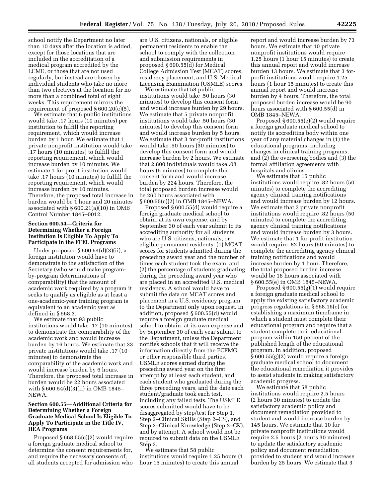school notify the Department no later than 10 days after the location is added, except for those locations that are included in the accreditation of a medical program accredited by the LCME, or those that are not used regularly, but instead are chosen by individual students who take no more than two electives at the location for no more than a combined total of eight weeks. This requirement mirrors the requirement of proposed § 600.20(c)(5).

We estimate that 6 public institutions would take .17 hours (10 minutes) per institution to fulfill the reporting requirement, which would increase burden by 1 hour. We estimate that 1 private nonprofit institution would take .17 hours (10 minutes) to fulfill the reporting requirement, which would increase burden by 10 minutes. We estimate 1 for-profit institution would take .17 hours (10 minutes) to fulfill the reporting requirement, which would increase burden by 10 minutes. Therefore, the proposed total increase in burden would be 1 hour and 20 minutes associated with § 600.21(a)(10) in OMB Control Number 1845–0012.

## **Section 600.54—Criteria for Determining Whether a Foreign Institution Is Eligible To Apply To Participate in the FFEL Programs**

Under proposed § 600.54(d)(3)(ii), a foreign institution would have to demonstrate to the satisfaction of the Secretary (who would make programby-program determinations of comparability) that the amount of academic work required by a program it seeks to qualify as eligible as at least a one-academic-year training program is equivalent to an academic year as defined in § 668.3.

We estimate that 93 public institutions would take .17 (10 minutes) to demonstrate the comparability of the academic work and would increase burden by 16 hours. We estimate that 33 private institutions would take .17 (10 minutes) to demonstrate the comparability of the academic work and would increase burden by 6 hours. Therefore, the proposed total increase in burden would be 22 hours associated with § 600.54(d)(3)(ii) in OMB 1845– NEWA.

## **Section 600.55—Additional Criteria for Determining Whether a Foreign Graduate Medical School Is Eligible To Apply To Participate in the Title IV, HEA Programs**

Proposed § 668.55(c)(2) would require a foreign graduate medical school to determine the consent requirements for, and require the necessary consents of, all students accepted for admission who

are U.S. citizens, nationals, or eligible permanent residents to enable the school to comply with the collection and submission requirements in proposed § 600.55(d) for Medical College Admission Test (MCAT) scores, residency placement, and U.S. Medical Licensing Examination (USMLE) scores.

We estimate that 58 public institutions would take .50 hours (30 minutes) to develop this consent form and would increase burden by 29 hours. We estimate that 5 private nonprofit institutions would take .50 hours (30 minutes) to develop this consent form and would increase burden by 5 hours. We estimate that 3 for-profit institutions would take .50 hours (30 minutes) to develop this consent form and would increase burden by 2 hours. We estimate that 2,800 individuals would take .08 hours (5 minutes) to complete this consent form and would increase burden by 224 hours. Therefore, the total proposed burden increase would be 260 hours associated with § 600.55(c)(2) in OMB 1845–NEWA.

Proposed § 600.55(d) would require a foreign graduate medical school to obtain, at its own expense, and by September 30 of each year submit to its accrediting authority for all students who are U.S. citizens, nationals, or eligible permanent residents: (1) MCAT scores for students admitted during the preceding award year and the number of times each student took the exam; and (2) the percentage of students graduating during the preceding award year who are placed in an accredited U.S. medical residency. A school would have to submit the data on MCAT scores and placement in a U.S. residency program to the Department only upon request. In addition, proposed § 600.55(d) would require a foreign graduate medical school to obtain, at its own expense and by September 30 of each year submit to the Department, unless the Department notifies schools that it will receive the information directly from the ECFMG, or other responsible third parties, USMLE scores earned during the preceding award year on the first attempt by at least each student, and each student who graduated during the three preceding years, and the date each student/graduate took each test, including any failed tests. The USMLE scores submitted would have to be disaggregated by step/test for Step 1, Step 2–Clinical Skills (Step 2–CS), and Step 2–Clinical Knowledge (Step 2–CK), and by attempt. A school would not be required to submit data on the USMLE Step 3.

We estimate that 58 public institutions would require 1.25 hours (1 hour 15 minutes) to create this annual

report and would increase burden by 73 hours. We estimate that 10 private nonprofit institutions would require 1.25 hours (1 hour 15 minutes) to create this annual report and would increase burden 13 hours. We estimate that 3 forprofit institutions would require 1.25 hours (1 hour 15 minutes) to create this annual report and would increase burden by 4 hours. Therefore, the total proposed burden increase would be 90 hours associated with § 600.55(d) in OMB 1845–NEWA.

Proposed § 600.55(e)(2) would require a foreign graduate medical school to notify its accrediting body within one year of any material changes in (1) the educational programs, including changes in clinical training programs; and (2) the overseeing bodies and (3) the formal affiliation agreements with hospitals and clinics.

We estimate that 15 public institutions would require .82 hours (50 minutes) to complete the accrediting agency clinical training notifications and would increase burden by 12 hours. We estimate that 3 private nonprofit institutions would require .82 hours (50 minutes) to complete the accrediting agency clinical training notifications and would increase burden by 3 hours. We estimate that 1 for-profit institution would require .82 hours (50 minutes) to complete the accrediting agency clinical training notifications and would increase burden by 1 hour. Therefore, the total proposed burden increase would be 16 hours associated with § 600.55(e) in OMB 1845–NEWA.

Proposed § 600.55(g)(1) would require a foreign graduate medical school to apply the existing satisfactory academic progress regulations in § 668.16(e) for establishing a maximum timeframe in which a student must complete their educational program and require that a student complete their educational program within 150 percent of the published length of the educational program. In addition, proposed § 600.55(g)(2) would require a foreign graduate medical school to document the educational remediation it provides to assist students in making satisfactory academic progress.

We estimate that 58 public institutions would require 2.5 hours (2 hours 30 minutes) to update the satisfactory academic policy and document remediation provided to student and would increase burden by 145 hours. We estimate that 10 for private nonprofit institutions would require 2.5 hours (2 hours 30 minutes) to update the satisfactory academic policy and document remediation provided to student and would increase burden by 25 hours. We estimate that 3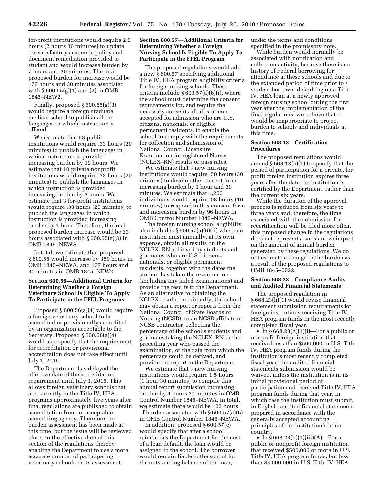for-profit institutions would require 2.5 hours (2 hours 30 minutes) to update the satisfactory academic policy and document remediation provided to student and would increase burden by 7 hours and 30 minutes. The total proposed burden for increase would be 177 hours and 30 minutes associated with § 600.55(g)(1) and (2) in OMB 1845–NEW2.

Finally, proposed § 600.55(g)(3) would require a foreign graduate medical school to publish all the languages in which instruction is offered.

We estimate that 58 public institutions would require .33 hours (20 minutes) to publish the languages in which instruction is provided increasing burden by 19 hours. We estimate that 10 private nonprofit institutions would require .33 hours (20 minutes) to publish the languages in which instruction is provided increasing burden by 3 hours. We estimate that 3 for-profit institutions would require .33 hours (20 minutes) to publish the languages in which instruction is provided increasing burden by 1 hour. Therefore, the total proposed burden increase would be 23 hours associated with § 600.55(g)(3) in OMB 1845–NEWA.

In total, we estimate that proposed § 600.55 would increase by 389 hours in OMB 1845–NEWA, and 177 hours and 30 minutes in OMB 1845–NEW2.

## **Section 600.56—Additional Criteria for Determining Whether a Foreign Veterinary School Is Eligible To Apply To Participate in the FFEL Programs**

Proposed § 600.56(a)(4) would require a foreign veterinary school to be accredited or provisionally accredited by an organization acceptable to the Secretary. Proposed § 600.56(a)(4) would also specify that the requirement for accreditation or provisional accreditation does not take effect until July 1, 2015.

The Department has delayed the effective date of the accreditation requirement until July 1, 2015. This allows foreign veterinary schools that are currently in the Title IV, HEA programs approximately five years after final regulations are published to obtain accreditation from an acceptable accrediting agency. Therefore, no burden assessment has been made at this time, but the issue will be reviewed closer to the effective date of this section of the regulations thereby enabling the Department to use a more accurate number of participating veterinary schools in its assessment.

## **Section 600.57—Additional Criteria for Determining Whether a Foreign Nursing School Is Eligible To Apply To Participate in the FFEL Program**

The proposed regulations would add a new § 600.57 specifying additional Title IV, HEA program eligibility criteria for foreign nursing schools. These criteria include § 600.57(a)(6)(i), where the school must determine the consent requirements for, and require the necessary consents of, all students accepted for admission who are U.S. citizens, nationals, or eligible permanent residents, to enable the school to comply with the requirements for collection and submission of National Council Licensure Examination for registered Nurses (NCLEX–RN) results or pass rates.

We estimate that 3 new nursing institutions would require .50 hours (30 minutes) to develop the consent form increasing burden by 1 hour and 30 minutes. We estimate that 1,200 individuals would require .08 hours (10 minutes) to respond to this consent form and increasing burden by 96 hours in OMB Control Number 1845–NEWA.

The foreign nursing school eligibility also includes § 600.57(a)(6)(ii) where an institution must annually, at its own expense, obtain all results on the NCLEX–RN achieved by students and graduates who are U.S. citizens, nationals, or eligible permanent residents, together with the dates the student has taken the examination (including any failed examinations) and provide the results to the Department. As an alternative to obtaining the NCLEX results individually, the school may obtain a report or reports from the National Council of State Boards of Nursing (NCSB), or an NCSB affiliate or NCSB contractor, reflecting the percentage of the school's students and graduates taking the NCLEX–RN in the preceding year who passed the examination, or the data from which the percentage could be derived, and provide the report to the Department.

We estimate that 3 new nursing institutions would require 1.5 hours (1 hour 30 minutes) to compile this annual report submission increasing burden by 4 hours 30 minutes in OMB Control Number 1845–NEWA. In total, we estimate there would be 102 hours of burden associated with § 600.57(a)(6) in OMB Control Number 1845–NEWA.

In addition, proposed § 600.57(c) would specify that after a school reimburses the Department for the cost of a loan default, the loan would be assigned to the school. The borrower would remain liable to the school for the outstanding balance of the loan,

under the terms and conditions specified in the promissory note.

While burden would normally be associated with notification and collection activity, because there is no history of Federal borrowing for attendance at these schools and due to the extended period of time prior to a student borrower defaulting on a Title IV, HEA loan at a newly approved foreign nursing school during the first year after the implementation of the final regulations, we believe that it would be inappropriate to project burden to schools and individuals at this time.

## **Section 668.13—Certification Procedures**

The proposed regulations would amend § 668.13(b)(1) to specify that the period of participation for a private, forprofit foreign institution expires three years after the date the institution is certified by the Department, rather than the current six years.

While the duration of the approval process is reduced from six years to three years and, therefore, the time associated with the submission for recertification will be filed more often, this proposed change in the regulations does not represent a substantive impact on the amount of annual burden generated by these regulations. We do not estimate a change in the burden as a result of the proposed regulations to OMB 1845–0022.

## **Section 668.23—Compliance Audits and Audited Financial Statements**

The proposed regulation in § 668.23(h)(1) would revise financial statement submission requirements for foreign institutions receiving Title IV, HEA program funds in the most recently completed fiscal year.

• In  $\S 668.23(h)(1)(i)$ —For a public or nonprofit foreign institution that received less than \$500,000 in U.S. Title IV, HEA program funds during the institution's most recently completed fiscal year, the audited financial statements submission would be waived, unless the institution is in its initial provisional period of participation and received Title IV, HEA program funds during that year, in which case the institution must submit, in English, audited financial statements prepared in accordance with the generally accepted accounting principles of the institution's home country.

• In  $\S 668.23(h)(1)(iii)(A)$ —For a public or nonprofit foreign institution that received \$500,000 or more in U.S. Title IV, HEA program funds, but less than \$3,000,000 in U.S. Title IV, HEA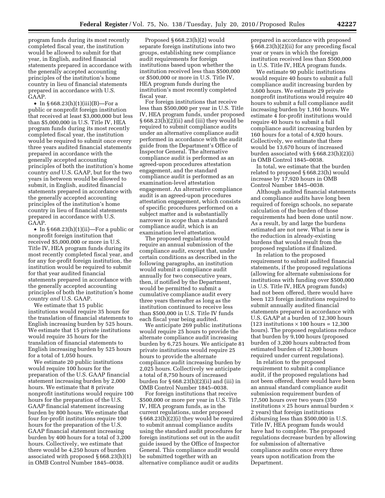program funds during its most recently completed fiscal year, the institution would be allowed to submit for that year, in English, audited financial statements prepared in accordance with the generally accepted accounting principles of the institution's home country in lieu of financial statements prepared in accordance with U.S. GAAP.

• In  $§ 668.23(h)(1)(iii)(B)$ —For a public or nonprofit foreign institution that received at least \$3,000,000 but less than \$5,000,000 in U.S. Title IV, HEA program funds during its most recently completed fiscal year, the institution would be required to submit once every three years audited financial statements prepared in accordance with the generally accepted accounting principles of both the institution's home country *and* U.S. GAAP, but for the two years in between would be allowed to submit, in English, audited financial statements prepared in accordance with the generally accepted accounting principles of the institution's home country in lieu of financial statements prepared in accordance with U.S. GAAP.

• In § 668.23(h)(1)(ii)—For a public or nonprofit foreign institution that received \$5,000,000 or more in U.S. Title IV, HEA program funds during its most recently completed fiscal year, and for any for-profit foreign institution, the institution would be required to submit for that year audited financial statements prepared in accordance with the generally accepted accounting principles of both the institution's home country *and* U.S. GAAP.

We estimate that 15 public institutions would require 35 hours for the translation of financial statements to English increasing burden by 525 hours. We estimate that 15 private institutions would require 35 hours for the translation of financial statements to English increasing burden by 525 hours for a total of 1,050 hours.

We estimate 20 public institutions would require 100 hours for the preparation of the U.S. GAAP financial statement increasing burden by 2,000 hours. We estimate that 8 private nonprofit institutions would require 100 hours for the preparation of the U.S. GAAP financial statement increasing burden by 800 hours. We estimate that four for-profit institutions require 100 hours for the preparation of the U.S. GAAP financial statement increasing burden by 400 hours for a total of 3,200 hours. Collectively, we estimate that there would be 4,250 hours of burden associated with proposed § 668.23(h)(1) in OMB Control Number 1845–0038.

Proposed § 668.23(h)(2) would separate foreign institutions into two groups, establishing new compliance audit requirements for foreign institutions based upon whether the institution received less than \$500,000 or \$500,000 or more in U.S. Title IV, HEA program funds during the institution's most recently completed fiscal year.

For foreign institutions that receive less than \$500,000 per year in U.S. Title IV, HEA program funds, under proposed § 668.23(h)(2)(ii) and (iii) they would be required to submit compliance audits under an alternative compliance audit performed in accordance with the audit guide from the Department's Office of Inspector General. The alternative compliance audit is performed as an agreed-upon procedures attestation engagement, and the standard compliance audit is performed as an examination-level attestation engagement. An alternative compliance audit is an agreed-upon procedures attestation engagement, which consists of specific procedures performed on a subject matter and is substantially narrower in scope than a standard compliance audit, which is an examination level attestation.

The proposed regulations would require an annual submission of the compliance audit, except that, under certain conditions as described in the following paragraphs, an institution would submit a compliance audit annually for two consecutive years, then, if notified by the Department, would be permitted to submit a cumulative compliance audit every three years thereafter as long as the institution continued to receive less than \$500,000 in U.S. Title IV funds each fiscal year being audited.

We anticipate 269 public institutions would require 25 hours to provide the alternate compliance audit increasing burden by 6,725 hours. We anticipate 81 private institutions would require 25 hours to provide the alternate compliance audit increasing burden by 2,025 hours. Collectively we anticipate a total of 8,750 hours of increased burden for  $\S 668.23(h)(2)(ii)$  and (iii) in OMB Control Number 1845–0038.

For foreign institutions that receive \$500,000 or more per year in U.S. Title IV, HEA program funds, as in the current regulations, under proposed § 668.23(h)(2)(i) they would be required to submit annual compliance audits using the standard audit procedures for foreign institutions set out in the audit guide issued by the Office of Inspector General. This compliance audit would be submitted together with an alternative compliance audit or audits

prepared in accordance with proposed § 668.23(h)(2)(ii) for any preceding fiscal year or years in which the foreign institution received less than \$500,000 in U.S. Title IV, HEA program funds.

We estimate 90 public institutions would require 40 hours to submit a full compliance audit increasing burden by 3,600 hours. We estimate 29 private nonprofit institutions would require 40 hours to submit a full compliance audit increasing burden by 1,160 hours. We estimate 4 for-profit institutions would require 40 hours to submit a full compliance audit increasing burden by 160 hours for a total of 4,920 hours. Collectively, we estimate that there would be 13,670 hours of increased burden associated with § 668.23(h)(2)(i) in OMB Control 1845–0038.

In total, we estimate that the burden related to proposed § 668.23(h) would increase by 17,920 hours in OMB Control Number 1845–0038.

Although audited financial statements and compliance audits have long been required of foreign schools, no separate calculation of the burden of those requirements had been done until now. As a result, by and large the burdens estimated are not new. What is new is the reduction in already-existing burdens that would result from the proposed regulations if finalized.

In relation to the proposed requirement to submit audited financial statements, if the proposed regulations (allowing for alternate submissions for institutions with funding over \$500,000 in U.S. Title IV, HEA program funds) had not been offered, there would have been 123 foreign institutions required to submit annually audited financial statements prepared in accordance with U.S. GAAP at a burden of 12,300 hours  $(123$  institutions  $\times$  100 hours = 12,300 hours). The proposed regulations reduce that burden by 9,100 hours (proposed burden of 3,200 hours subtracted from estimated burden of 12,300 hours required under current regulations).

In relation to the proposed requirement to submit a compliance audit, if the proposed regulations had not been offered, there would have been an annual standard compliance audit submission requirement burden of 17,500 hours over two years (350 institutions  $\times$  25 hours annual burden  $\times$ 2 years) that foreign institutions disbursing less than \$500,000 in U.S. Title IV, HEA program funds would have had to complete. The proposed regulations decrease burden by allowing for submission of alternative compliance audits once every three years upon notification from the Department.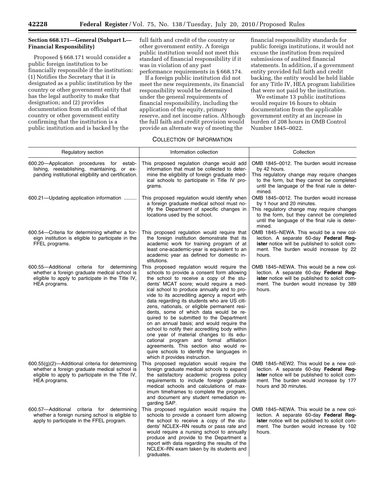## **Section 668.171—General (Subpart L— Financial Responsibility)**

Proposed § 668.171 would consider a public foreign institution to be financially responsible if the institution: (1) Notifies the Secretary that it is designated as a public institution by the country or other government entity that has the legal authority to make that designation; and (2) provides documentation from an official of that country or other government entity confirming that the institution is a public institution and is backed by the

full faith and credit of the country or other government entity. A foreign public institution would not meet this standard of financial responsibility if it was in violation of any past performance requirements in § 668.174.

If a foreign public institution did not meet the new requirements, its financial responsibility would be determined under the general requirements of financial responsibility, including the application of the equity, primary reserve, and net income ratios. Although the full faith and credit provision would provide an alternate way of meeting the

financial responsibility standards for public foreign institutions, it would not excuse the institution from required submissions of audited financial statements. In addition, if a government entity provided full faith and credit backing, the entity would be held liable for any Title IV, HEA program liabilities that were not paid by the institution.

We estimate 13 public institutions would require 16 hours to obtain documentation from the applicable government entity at an increase in burden of 208 hours in OMB Control Number 1845–0022.

## COLLECTION OF INFORMATION

| Regulatory section                                                                                                                                                        | Information collection                                                                                                                                                                                                                                                                                                                                                                                                                                                                                                                                                                                                                                                                                                                                                                | Collection                                                                                                                                                                                                                   |
|---------------------------------------------------------------------------------------------------------------------------------------------------------------------------|---------------------------------------------------------------------------------------------------------------------------------------------------------------------------------------------------------------------------------------------------------------------------------------------------------------------------------------------------------------------------------------------------------------------------------------------------------------------------------------------------------------------------------------------------------------------------------------------------------------------------------------------------------------------------------------------------------------------------------------------------------------------------------------|------------------------------------------------------------------------------------------------------------------------------------------------------------------------------------------------------------------------------|
| 600.20 Application procedures for estab-<br>lishing, reestablishing, maintaining, or ex-<br>panding institutional eligibility and certification.                          | This proposed regulation change would add<br>information that must be collected to deter-<br>mine the eligibility of foreign graduate med-<br>ical schools to participate in Title IV pro-<br>grams.                                                                                                                                                                                                                                                                                                                                                                                                                                                                                                                                                                                  | OMB 1845-0012. The burden would increase<br>by 42 hours.<br>This regulatory change may require changes<br>to the form, but they cannot be completed<br>until the language of the final rule is deter-<br>mined.              |
| 600.21-Updating application information                                                                                                                                   | This proposed regulation would identify when<br>a foreign graduate medical school must no-<br>tify the Department of specific changes in<br>locations used by the school.                                                                                                                                                                                                                                                                                                                                                                                                                                                                                                                                                                                                             | OMB 1845-0012. The burden would increase<br>by 1 hour and 20 minutes.<br>This regulatory change may require changes<br>to the form, but they cannot be completed<br>until the language of the final rule is deter-<br>mined. |
| 600.54—Criteria for determining whether a for-<br>eign institution is eligible to participate in the<br>FFEL programs.                                                    | This proposed regulation would require that<br>the foreign institution demonstrate that its<br>academic work for training program of at<br>least one-academic-year is equivalent to an<br>academic year as defined for domestic in-<br>stitutions.                                                                                                                                                                                                                                                                                                                                                                                                                                                                                                                                    | OMB 1845-NEWA. This would be a new col-<br>lection. A separate 60-day Federal Reg-<br>ister notice will be published to solicit com-<br>ment. The burden would increase by 22<br>hours.                                      |
| 600.55-Additional criteria for determining<br>whether a foreign graduate medical school is<br>eligible to apply to participate in the Title IV,<br>HEA programs.          | This proposed regulation would require the<br>schools to provide a consent form allowing<br>the school to receive a copy of the stu-<br>dents' MCAT score; would require a med-<br>ical school to produce annually and to pro-<br>vide to its accrediting agency a report with<br>data regarding its students who are US citi-<br>zens, nationals, or eligible permanent resi-<br>dents, some of which data would be re-<br>quired to be submitted to the Department<br>on an annual basis; and would require the<br>school to notify their accrediting body within<br>one year of material changes to its edu-<br>cational program and formal affiliation<br>agreements. This section also would re-<br>quire schools to identify the languages in<br>which it provides instruction. | OMB 1845-NEWA. This would be a new col-<br>lection. A separate 60-day Federal Reg-<br>ister notice will be published to solicit com-<br>ment. The burden would increase by 389<br>hours.                                     |
| $600.55(g)(2)$ —Additional criteria for determining<br>whether a foreign graduate medical school is<br>eligible to apply to participate in the Title IV,<br>HEA programs. | This proposed regulation would require the<br>foreign graduate medical schools to expand<br>the satisfactory academic progress policy<br>requirements to include foreign graduate<br>medical schools and calculations of max-<br>imum timeframes to complete the program,<br>and document any student remediation re-<br>garding SAP.                                                                                                                                                                                                                                                                                                                                                                                                                                                 | OMB 1845-NEW2. This would be a new col-<br>lection. A separate 60-day Federal Reg-<br>ister notice will be published to solicit com-<br>ment. The burden would increase by 177<br>hours and 30 minutes.                      |
| 600.57-Additional criteria for determining<br>whether a foreign nursing school is eligible to<br>apply to participate in the FFEL program.                                | This proposed regulation would require the<br>schools to provide a consent form allowing<br>the school to receive a copy of the stu-<br>dents' NCLEX-RN results or pass rate and<br>would require a nursing school to annually<br>produce and provide to the Department a<br>report with data regarding the results of the<br>NCLEX-RN exam taken by its students and<br>graduates.                                                                                                                                                                                                                                                                                                                                                                                                   | OMB 1845–NEWA. This would be a new col-<br>lection. A separate 60-day Federal Reg-<br>ister notice will be published to solicit com-<br>ment. The burden would increase by 102<br>hours.                                     |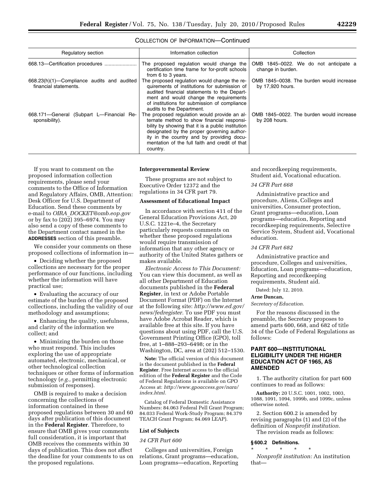## COLLECTION OF INFORMATION—Continued

| Regulatory section                                                     | Information collection                                                                                                                                                                                                                                                                                   | Collection                                                   |
|------------------------------------------------------------------------|----------------------------------------------------------------------------------------------------------------------------------------------------------------------------------------------------------------------------------------------------------------------------------------------------------|--------------------------------------------------------------|
|                                                                        | The proposed regulation would change the<br>certification time frame for for-profit schools<br>from 6 to 3 years.                                                                                                                                                                                        | OMB 1845-0022. We do not anticipate a<br>change in burden.   |
| $668.23(h)(1)$ -Compliance audits and audited<br>financial statements. | The proposed regulation would change the re-<br>quirements of institutions for submission of<br>audited financial statements to the Depart-<br>ment and would change the requirements<br>of institutions for submission of compliance<br>audits to the Department.                                       | OMB 1845-0038. The burden would increase<br>by 17,920 hours. |
| 668.171-General (Subpart L-Financial Re-<br>sponsibility).             | The proposed regulation would provide an al-<br>ternate method to show financial responsi-<br>bility by showing that it is a public institution<br>designated by the proper governing author-<br>ity in the country and by providing docu-<br>mentation of the full faith and credit of that<br>country. | OMB 1845-0022. The burden would increase<br>by 208 hours.    |

If you want to comment on the proposed information collection requirements, please send your comments to the Office of Information and Regulatory Affairs, OMB, Attention: Desk Officer for U.S. Department of Education. Send these comments by e-mail to *OIRA*\_*[DOCKET@omb.eop.gov](mailto:OIRA_DOCKET@omb.eop.gov)*  or by fax to (202) 395–6974. You may also send a copy of these comments to the Department contact named in the **ADDRESSES** section of this preamble.

We consider your comments on these proposed collections of information in—

• Deciding whether the proposed collections are necessary for the proper performance of our functions, including whether the information will have practical use;

• Evaluating the accuracy of our estimate of the burden of the proposed collections, including the validity of our methodology and assumptions;

• Enhancing the quality, usefulness, and clarity of the information we collect; and

• Minimizing the burden on those who must respond. This includes exploring the use of appropriate automated, electronic, mechanical, or other technological collection techniques or other forms of information technology (*e.g.,* permitting electronic submission of responses).

OMB is required to make a decision concerning the collections of information contained in these proposed regulations between 30 and 60 days after publication of this document in the **Federal Register**. Therefore, to ensure that OMB gives your comments full consideration, it is important that OMB receives the comments within 30 days of publication. This does not affect the deadline for your comments to us on the proposed regulations.

#### **Intergovernmental Review**

These programs are not subject to Executive Order 12372 and the regulations in 34 CFR part 79.

#### **Assessment of Educational Impact**

In accordance with section 411 of the General Education Provisions Act, 20 U.S.C. 1221e–4, the Secretary particularly requests comments on whether these proposed regulations would require transmission of information that any other agency or authority of the United States gathers or makes available.

*Electronic Access to This Document:*  You can view this document, as well as all other Department of Education documents published in the **Federal Register**, in text or Adobe Portable Document Format (PDF) on the Internet at the following site: *[http://www.ed.gov/](http://www.ed.gov/news/fedregister) [news/fedregister.](http://www.ed.gov/news/fedregister)* To use PDF you must have Adobe Acrobat Reader, which is available free at this site. If you have questions about using PDF, call the U.S. Government Printing Office (GPO), toll free, at 1–888–293–6498; or in the Washington, DC, area at (202) 512–1530.

**Note:** The official version of this document is the document published in the **Federal Register**. Free Internet access to the official edition of the **Federal Register** and the Code of Federal Regulations is available on GPO Access at: *[http://www.gpoaccess.gov/nara/](http://www.gpoaccess.gov/nara/index.html) [index.html.](http://www.gpoaccess.gov/nara/index.html)* 

Catalog of Federal Domestic Assistance Numbers: 84.063 Federal Pell Grant Program; 84.033 Federal Work-Study Program; 84.379 TEACH Grant Program; 84.069 LEAP).

#### **List of Subjects**

#### *34 CFR Part 600*

Colleges and universities, Foreign relations, Grant programs—education, Loan programs—education, Reporting and recordkeeping requirements, Student aid, Vocational education.

#### *34 CFR Part 668*

Administrative practice and procedure, Aliens, Colleges and universities, Consumer protection, Grant programs—education, Loan programs—education, Reporting and recordkeeping requirements, Selective Service System, Student aid, Vocational education.

#### *34 CFR Part 682*

Administrative practice and procedure, Colleges and universities, Education, Loan programs—education, Reporting and recordkeeping requirements, Student aid.

#### Dated: July 12, 2010.

#### **Arne Duncan,**

*Secretary of Education.* 

For the reasons discussed in the preamble, the Secretary proposes to amend parts 600, 668, and 682 of title 34 of the Code of Federal Regulations as follows:

## **PART 600—INSTITUTIONAL ELIGIBILITY UNDER THE HIGHER EDUCATION ACT OF 1965, AS AMENDED**

1. The authority citation for part 600 continues to read as follows:

**Authority:** 20 U.S.C. 1001, 1002, 1003, 1088, 1091, 1094, 1099b, and 1099c, unless otherwise noted.

2. Section 600.2 is amended by revising paragraphs (1) and (2) of the definition of *Nonprofit institution.*  The revision reads as follows:

#### **§ 600.2 Definitions.**

\* \* \* \* \*

*Nonprofit institution:* An institution that—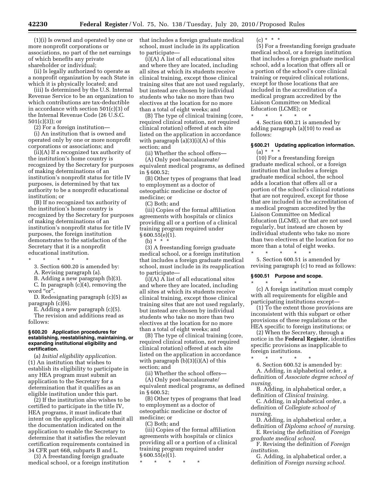(1)(i) Is owned and operated by one or more nonprofit corporations or associations, no part of the net earnings of which benefits any private shareholder or individual;

(ii) Is legally authorized to operate as a nonprofit organization by each State in which it is physically located; and

(iii) Is determined by the U.S. Internal Revenue Service to be an organization to which contributions are tax-deductible in accordance with section 501(c)(3) of the Internal Revenue Code (26 U.S.C. 501(c)(3)); or

(2) For a foreign institution—

(i) An institution that is owned and operated only by one or more nonprofit corporations or associations; and

(ii)(A) If a recognized tax authority of the institution's home country is recognized by the Secretary for purposes of making determinations of an institution's nonprofit status for title IV purposes, is determined by that tax authority to be a nonprofit educational institution; or

(B) If no recognized tax authority of the institution's home country is recognized by the Secretary for purposes of making determinations of an institution's nonprofit status for title IV purposes, the foreign institution demonstrates to the satisfaction of the Secretary that it is a nonprofit educational institution.

\* \* \* \* \* 3. Section 600.20 is amended by:

A. Revising paragraph (a).

B. Adding a new paragraph (b)(3).

C. In paragraph (c)(4), removing the word "or".

D. Redesignating paragraph (c)(5) as paragraph (c)(6).

E. Adding a new paragraph (c)(5).

The revision and additions read as follows:

#### **§ 600.20 Application procedures for establishing, reestablishing, maintaining, or expanding institutional eligibility and certification.**

(a) *Initial eligibility application.*  (1) An institution that wishes to establish its eligibility to participate in any HEA program must submit an application to the Secretary for a determination that it qualifies as an eligible institution under this part.

(2) If the institution also wishes to be certified to participate in the title IV, HEA programs, it must indicate that intent on the application, and submit all the documentation indicated on the application to enable the Secretary to determine that it satisfies the relevant certification requirements contained in 34 CFR part 668, subparts B and L.

(3) A freestanding foreign graduate medical school, or a foreign institution that includes a foreign graduate medical school, must include in its application to participate—

(i)(A) A list of all educational sites and where they are located, including all sites at which its students receive clinical training, except those clinical training sites that are not used regularly, but instead are chosen by individual students who take no more than two electives at the location for no more than a total of eight weeks; and

(B) The type of clinical training (core, required clinical rotation, not required clinical rotation) offered at each site listed on the application in accordance with paragraph  $(a)(3)(i)(A)$  of this section; and

(ii) Whether the school offers—

(A) Only post-baccalaureate/ equivalent medical programs, as defined in § 600.52;

(B) Other types of programs that lead to employment as a doctor of osteopathic medicine or doctor of medicine; or

(C) Both; and

(iii) Copies of the formal affiliation agreements with hospitals or clinics providing all or a portion of a clinical training program required under § 600.55(e)(1).

(b) \* \* \*

(3) A freestanding foreign graduate medical school, or a foreign institution that includes a foreign graduate medical school, must include in its reapplication to participate—

 $(i)(A)$  A list of all educational sites and where they are located, including all sites at which its students receive clinical training, except those clinical training sites that are not used regularly, but instead are chosen by individual students who take no more than two electives at the location for no more than a total of eight weeks; and

(B) The type of clinical training (core, required clinical rotation, not required clinical rotation) offered at each site listed on the application in accordance with paragraph (b)(3)(i)(A) of this section; and

(ii) Whether the school offers—

(A) Only post-baccalaureate/ equivalent medical programs, as defined in § 600.52;

(B) Other types of programs that lead to employment as a doctor of osteopathic medicine or doctor of medicine; or

(C) Both; and

(iii) Copies of the formal affiliation agreements with hospitals or clinics providing all or a portion of a clinical training program required under § 600.55(e)(1).

\* \* \* \* \*

 $(c) * * * *$ 

(5) For a freestanding foreign graduate medical school, or a foreign institution that includes a foreign graduate medical school, add a location that offers all or a portion of the school's core clinical training or required clinical rotations, except for those locations that are included in the accreditation of a medical program accredited by the Liaison Committee on Medical Education (LCME); or

\* \* \* \* \* 4. Section 600.21 is amended by adding paragraph (a)(10) to read as follows:

## **§ 600.21 Updating application information.**

 $(a) * * *$ (10) For a freestanding foreign graduate medical school, or a foreign institution that includes a foreign graduate medical school, the school adds a location that offers all or a portion of the school's clinical rotations that are not required, except for those that are included in the accreditation of a medical program accredited by the Liaison Committee on Medical Education (LCME), or that are not used regularly, but instead are chosen by individual students who take no more than two electives at the location for no more than a total of eight weeks.

\* \* \* \* \* 5. Section 600.51 is amended by revising paragraph (c) to read as follows:

## **§ 600.51 Purpose and scope.**

\* \* \* \* \*

(c) A foreign institution must comply with all requirements for eligible and participating institutions except—

(1) To the extent those provisions are inconsistent with this subpart or other provisions of these regulations or the HEA specific to foreign institutions; or

(2) When the Secretary, through a notice in the **Federal Register**, identifies specific provisions as inapplicable to foreign institutions.

\* \* \* \* \* 6. Section 600.52 is amended by: A. Adding, in alphabetical order, a definition of *Associate degree school of nursing.* 

B. Adding, in alphabetical order, a definition of *Clinical training.* 

C. Adding, in alphabetical order, a definition of *Collegiate school of nursing.* 

D. Adding, in alphabetical order, a definition of *Diploma school of nursing.* 

E. Revising the definition of *Foreign graduate medical school.* 

F. Revising the definition of *Foreign institution.* 

G. Adding, in alphabetical order, a definition of *Foreign nursing school.*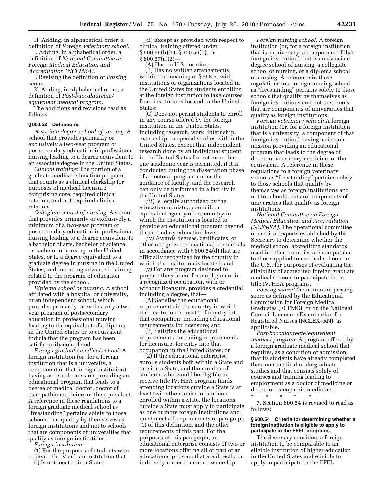H. Adding, in alphabetical order, a definition of *Foreign veterinary school.* 

I. Adding, in alphabetical order, a definition of *National Committee on Foreign Medical Education and Accreditation (NCFMEA).* 

J. Revising the definition of *Passing score.* 

K. Adding, in alphabetical order, a definition of *Post-baccalaureate/ equivalent medical program.* 

The additions and revisions read as follows:

#### **§ 600.52 Definitions.**

*Associate degree school of nursing:* A school that provides primarily or exclusively a two-year program of postsecondary education in professional nursing leading to a degree equivalent to an associate degree in the United States.

*Clinical training:* The portion of a graduate medical education program that counts as a clinical clerkship for purposes of medical licensure comprising core, required clinical rotation, and not required clinical rotation.

*Collegiate school of nursing:* A school that provides primarily or exclusively a minimum of a two-year program of postsecondary education in professional nursing leading to a degree equivalent to a bachelor of arts, bachelor of science, or bachelor of nursing in the United States, or to a degree equivalent to a graduate degree in nursing in the United States, and including advanced training related to the program of education provided by the school.

*Diploma school of nursing:* A school affiliated with a hospital or university, or an independent school, which provides primarily or exclusively a twoyear program of postsecondary education in professional nursing leading to the equivalent of a diploma in the United States or to equivalent indicia that the program has been satisfactorily completed.

*Foreign graduate medical school:* A foreign institution (or, for a foreign institution that is a university, a component of that foreign institution) having as its sole mission providing an educational program that leads to a degree of medical doctor, doctor of osteopathic medicine, or the equivalent. A reference in these regulations to a foreign graduate medical school as ''freestanding'' pertains solely to those schools that qualify by themselves as foreign institutions and not to schools that are components of universities that qualify as foreign institutions.

*Foreign institution:* 

(1) For the purposes of students who receive title IV aid, an institution that-

(i) Is not located in a State;

(ii) Except as provided with respect to clinical training offered under § 600.55(h)(1), § 600.56(b), or § 600.57(a)(2)—

(A) Has no U.S. location;

(B) Has no written arrangements, within the meaning of § 668.5, with institutions or organizations located in the United States for students enrolling at the foreign institution to take courses from institutions located in the United States;

(C) Does not permit students to enroll in any course offered by the foreign institution in the United States, including research, work, internship, externship, or special studies within the United States, except that independent research done by an individual student in the United States for not more than one academic year is permitted, if it is conducted during the dissertation phase of a doctoral program under the guidance of faculty, and the research can only be performed in a facility in the United States;

(iii) Is legally authorized by the education ministry, council, or equivalent agency of the country in which the institution is located to provide an educational program beyond the secondary education level;

(iv) Awards degrees, certificates, or other recognized educational credentials in accordance with § 600.54(d) that are officially recognized by the country in which the institution is located; and

(v) For any program designed to prepare the student for employment in a recognized occupation, with or without licensure, provides a credential, including a degree, that—

(A) Satisfies the educational requirements in the country in which the institution is located for entry into that occupation, including educational requirements for licensure; and

(B) Satisfies the educational requirements, including requirements for licensure, for entry into that occupation in the United States; or

(2) If the educational enterprise enrolls students both within a State and outside a State, and the number of students who would be eligible to receive title IV, HEA program funds attending locations outside a State is at least twice the number of students enrolled within a State, the locations outside a State must apply to participate as one or more foreign institutions and must meet all requirements of paragraph (1) of this definition, and the other requirements of this part. For the purposes of this paragraph, an educational enterprise consists of two or more locations offering all or part of an educational program that are directly or indirectly under common ownership.

*Foreign nursing school:* A foreign institution (or, for a foreign institution that is a university, a component of that foreign institution) that is an associate degree school of nursing, a collegiate school of nursing, or a diploma school of nursing. A reference in these regulations to a foreign nursing school as ''freestanding'' pertains solely to those schools that qualify by themselves as foreign institutions and not to schools that are components of universities that qualify as foreign institutions.

*Foreign veterinary school:* A foreign institution (or, for a foreign institution that is a university, a component of that foreign institution) having as its sole mission providing an educational program that leads to the degree of doctor of veterinary medicine, or the equivalent. A reference in these regulations to a foreign veterinary school as "freestanding" pertains solely to those schools that qualify by themselves as foreign institutions and not to schools that are components of universities that qualify as foreign institutions.

*National Committee on Foreign Medical Education and Accreditation (NCFMEA):* The operational committee of medical experts established by the Secretary to determine whether the medical school accrediting standards used in other countries are comparable to those applied to medical schools in the U.S., for purposes of evaluating the eligibility of accredited foreign graduate medical schools to participate in the title IV, HEA programs.

*Passing score:* The minimum passing score as defined by the Educational Commission for Foreign Medical Graduates (ECFMG), or on the National Council Licensure Examination for Registered Nurses (NCLEX–RN), as applicable.

*Post-baccalaureate/equivalent medical program:* A program offered by a foreign graduate medical school that requires, as a condition of admission, that its students have already completed their non-medical undergraduate studies and that consists solely of courses and training leading to employment as a doctor of medicine or doctor of osteopathic medicine.

\* \* \* \* \* 7. Section 600.54 is revised to read as follows:

#### **§ 600.54 Criteria for determining whether a foreign institution is eligible to apply to participate in the FFEL programs.**

The Secretary considers a foreign institution to be comparable to an eligible institution of higher education in the United States and eligible to apply to participate in the FFEL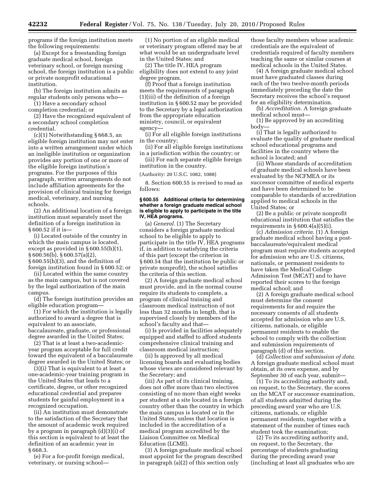programs if the foreign institution meets the following requirements:

(a) Except for a freestanding foreign graduate medical school, foreign veterinary school, or foreign nursing school, the foreign institution is a public or private nonprofit educational institution.

(b) The foreign institution admits as regular students only persons who—

(1) Have a secondary school completion credential; or

(2) Have the recognized equivalent of a secondary school completion credential.

(c)(1) Notwithstanding § 668.5, an eligible foreign institution may not enter into a written arrangement under which an ineligible institution or organization provides any portion of one or more of the eligible foreign institution's programs. For the purposes of this paragraph, written arrangements do not include affiliation agreements for the provision of clinical training for foreign medical, veterinary, and nursing schools.

(2) An additional location of a foreign institution must separately meet the definition of a foreign institution in § 600.52 if it is—

(i) Located outside of the country in which the main campus is located, except as provided in § 600.55(h)(1), § 600.56(b), § 600.57(a)(2), § 600.55(h)(3), and the definition of foreign institution found in § 600.52; or

(ii) Located within the same country as the main campus, but is not covered by the legal authorization of the main campus.

(d) The foreign institution provides an eligible education program—

(1) For which the institution is legally authorized to award a degree that is equivalent to an associate, baccalaureate, graduate, or professional degree awarded in the United States;

(2) That is at least a two-academicyear program acceptable for full credit toward the equivalent of a baccalaureate degree awarded in the United States; or

(3)(i) That is equivalent to at least a one-academic-year training program in the United States that leads to a certificate, degree, or other recognized educational credential and prepares students for gainful employment in a recognized occupation.

(ii) An institution must demonstrate to the satisfaction of the Secretary that the amount of academic work required by a program in paragraph (d)(3)(i) of this section is equivalent to at least the definition of an academic year in § 668.3.

(e) For a for-profit foreign medical, veterinary, or nursing school—

(1) No portion of an eligible medical or veterinary program offered may be at what would be an undergraduate level in the United States; and

(2) The title IV, HEA program eligibility does not extend to any joint degree program.

(f) Proof that a foreign institution meets the requirements of paragraph (1)(iii) of the definition of a foreign institution in § 600.52 may be provided to the Secretary by a legal authorization from the appropriate education ministry, council, or equivalent agency—

(i) For all eligible foreign institutions in the country;

(ii) For all eligible foreign institutions in a jurisdiction within the country; or

(iii) For each separate eligible foreign institution in the country.

(Authority: 20 U.S.C. 1082, 1088)

8. Section 600.55 is revised to read as follows:

#### **§ 600.55 Additional criteria for determining whether a foreign graduate medical school is eligible to apply to participate in the title IV, HEA programs.**

(a) *General.* (1) The Secretary considers a foreign graduate medical school to be eligible to apply to participate in the title IV, HEA programs if, in addition to satisfying the criteria of this part (except the criterion in § 600.54 that the institution be public or private nonprofit), the school satisfies the criteria of this section.

(2) A foreign graduate medical school must provide, and in the normal course require its students to complete, a program of clinical training and classroom medical instruction of not less than 32 months in length, that is supervised closely by members of the school's faculty and that—

(i) Is provided in facilities adequately equipped and staffed to afford students comprehensive clinical training and classroom medical instruction;

(ii) Is approved by all medical licensing boards and evaluating bodies whose views are considered relevant by the Secretary; and

(iii) As part of its clinical training, does not offer more than two electives consisting of no more than eight weeks per student at a site located in a foreign country other than the country in which the main campus is located or in the United States, unless that location is included in the accreditation of a medical program accredited by the Liaison Committee on Medical Education (LCME).

(3) A foreign graduate medical school must appoint for the program described in paragraph (a)(2) of this section only

those faculty members whose academic credentials are the equivalent of credentials required of faculty members teaching the same or similar courses at medical schools in the United States.

(4) A foreign graduate medical school must have graduated classes during each of the two twelve-month periods immediately preceding the date the Secretary receives the school's request for an eligibility determination.

(b) *Accreditation.* A foreign graduate medical school must—

(1) Be approved by an accrediting body—

(i) That is legally authorized to evaluate the quality of graduate medical school educational programs and facilities in the country where the school is located; and

(ii) Whose standards of accreditation of graduate medical schools have been evaluated by the NCFMEA or its successor committee of medical experts and have been determined to be comparable to standards of accreditation applied to medical schools in the United States; or

(2) Be a public or private nonprofit educational institution that satisfies the requirements in  $\S 600.4(a)(5)(i)$ .

(c) *Admission criteria.* (1) A foreign graduate medical school having a postbaccalaureate/equivalent medical program must require students accepted for admission who are U.S. citizens, nationals, or permanent residents to have taken the Medical College Admission Test (MCAT) and to have reported their scores to the foreign medical school; and

(2) A foreign graduate medical school must determine the consent requirements for and require the necessary consents of all students accepted for admission who are U.S. citizens, nationals, or eligible permanent residents to enable the school to comply with the collection and submission requirements of paragraph (d) of this section.

(d) *Collection and submission of data.*  A foreign graduate medical school must obtain, at its own expense, and by September 30 of each year, submit—

(1) To its accrediting authority and, on request, to the Secretary, the scores on the MCAT or successor examination, of all students admitted during the preceding award year who are U.S. citizens, nationals, or eligible permanent residents, together with a statement of the number of times each student took the examination;

(2) To its accrediting authority and, on request, to the Secretary, the percentage of students graduating during the preceding award year (including at least all graduates who are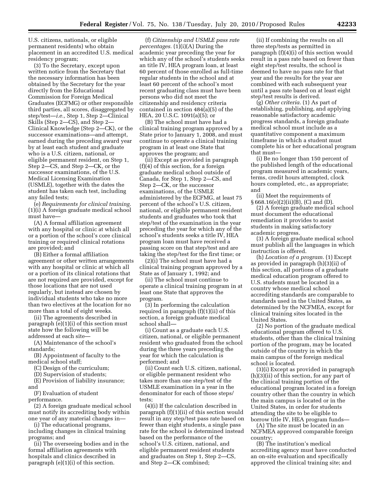U.S. citizens, nationals, or eligible permanent residents) who obtain placement in an accredited U.S. medical residency program;

(3) To the Secretary, except upon written notice from the Secretary that the necessary information has been obtained by the Secretary for the year directly from the Educational Commission for Foreign Medical Graduates (ECFMG) or other responsible third parties, all scores, disaggregated by step/test—*i.e.,* Step 1, Step 2—Clinical Skills (Step 2—CS), and Step 2— Clinical Knowledge (Step 2—CK), or the successor examinations—and attempt, earned during the preceding award year by at least each student and graduate who is a U.S. citizen, national, or eligible permanent resident, on Step 1, Step 2—CS, and Step 2—CK, or the successor examinations, of the U.S. Medical Licensing Examination (USMLE), together with the dates the student has taken each test, including any failed tests;

(e) *Requirements for clinical training.*  (1)(i) A foreign graduate medical school must have—

(A) A formal affiliation agreement with any hospital or clinic at which all or a portion of the school's core clinical training or required clinical rotations are provided; and

(B) Either a formal affiliation agreement or other written arrangements with any hospital or clinic at which all or a portion of its clinical rotations that are not required are provided, except for those locations that are not used regularly, but instead are chosen by individual students who take no more than two electives at the location for no more than a total of eight weeks.

(ii) The agreements described in paragraph (e)(1)(i) of this section must state how the following will be addressed at each site—

(A) Maintenance of the school's standards;

(B) Appointment of faculty to the medical school staff;

(C) Design of the curriculum;

(D) Supervision of students;

(E) Provision of liability insurance; and

(F) Evaluation of student

performance.

(2) A foreign graduate medical school must notify its accrediting body within one year of any material changes in—

(i) The educational programs, including changes in clinical training programs; and

(ii) The overseeing bodies and in the formal affiliation agreements with hospitals and clinics described in paragraph (e)(1)(i) of this section.

(f) *Citizenship and USMLE pass rate percentages.* (1)(i)(A) During the academic year preceding the year for which any of the school's students seeks an title IV, HEA program loan, at least 60 percent of those enrolled as full-time regular students in the school and at least 60 percent of the school's most recent graduating class must have been persons who did not meet the citizenship and residency criteria contained in section 484(a)(5) of the HEA, 20 U.S.C. 1091(a)(5); or

(B) The school must have had a clinical training program approved by a State prior to January 1, 2008, and must continue to operate a clinical training program in at least one State that approves the program; and

(ii) Except as provided in paragraph (f)(4) of this section, for a foreign graduate medical school outside of Canada, for Step 1, Step 2—CS, and Step 2—CK, or the successor examinations, of the USMLE administered by the ECFMG, at least 75 percent of the school's U.S. citizen, national, or eligible permanent resident students and graduates who took that step/test of the examination in the year preceding the year for which any of the school's students seeks a title IV, HEA program loan must have received a passing score on that step/test and are taking the step/test for the first time; or

(2)(i) The school must have had a clinical training program approved by a State as of January 1, 1992; and

(ii) The school must continue to operate a clinical training program in at least one State that approves the program.

(3) In performing the calculation required in paragraph (f)(1)(ii) of this section, a foreign graduate medical school shall—

(i) Count as a graduate each U.S. citizen, national, or eligible permanent resident who graduated from the school during the three years preceding the year for which the calculation is performed; and

(ii) Count each U.S. citizen, national, or eligible permanent resident who takes more than one step/test of the USMLE examination in a year in the denominator for each of those steps/ tests;

(4)(i) If the calculation described in paragraph (f)(1)(ii) of this section would result in any step/test pass rate based on fewer than eight students, a single pass rate for the school is determined instead based on the performance of the school's U.S. citizen, national, and eligible permanent resident students and graduates on Step 1, Step 2—CS, and Step 2—CK combined;

(ii) If combining the results on all three step/tests as permitted in paragraph (f)(4)(i) of this section would result in a pass rate based on fewer than eight step/test results, the school is deemed to have no pass rate for that year and the results for the year are combined with each subsequent year until a pass rate based on at least eight step/test results is derived.

(g) *Other criteria.* (1) As part of establishing, publishing, and applying reasonable satisfactory academic progress standards, a foreign graduate medical school must include as a quantitative component a maximum timeframe in which a student must complete his or her educational program that must—

(i) Be no longer than 150 percent of the published length of the educational program measured in academic years, terms, credit hours attempted, clock hours completed, etc., as appropriate; and

(ii) Meet the requirements of  $\S 668.16(e)(2)(ii)(B)$ , (C) and (D).

(2) A foreign graduate medical school must document the educational remediation it provides to assist students in making satisfactory academic progress.

(3) A foreign graduate medical school must publish all the languages in which instruction is offered.

(h) *Location of a program.* (1) Except as provided in paragraph (h)(3)(ii) of this section, all portions of a graduate medical education program offered to U.S. students must be located in a country whose medical school accrediting standards are comparable to standards used in the United States, as determined by the NCFMEA, except for clinical training sites located in the United States.

(2) No portion of the graduate medical educational program offered to U.S. students, other than the clinical training portion of the program, may be located outside of the country in which the main campus of the foreign medical school is located.

(3)(i) Except as provided in paragraph (h)(3)(ii) of this section, for any part of the clinical training portion of the educational program located in a foreign country other than the country in which the main campus is located or in the United States, in order for students attending the site to be eligible to borrow title IV, HEA program funds—

(A) The site must be located in an NCFMEA approved comparable foreign country;

(B) The institution's medical accrediting agency must have conducted an on-site evaluation and specifically approved the clinical training site; and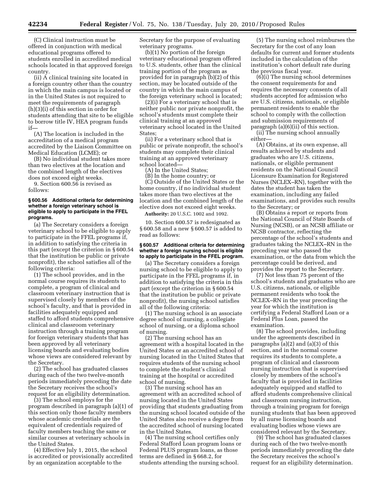(C) Clinical instruction must be offered in conjunction with medical educational programs offered to students enrolled in accredited medical schools located in that approved foreign country.

(ii) A clinical training site located in a foreign country other than the country in which the main campus is located or in the United States is not required to meet the requirements of paragraph (h)(3)(i) of this section in order for students attending that site to be eligible to borrow title IV, HEA program funds if—

(A) The location is included in the accreditation of a medical program accredited by the Liaison Committee on Medical Education (LCME); or

(B) No individual student takes more than two electives at the location and the combined length of the electives does not exceed eight weeks.

9. Section 600.56 is revised as follows:

#### **§ 600.56 Additional criteria for determining whether a foreign veterinary school is eligible to apply to participate in the FFEL programs.**

(a) The Secretary considers a foreign veterinary school to be eligible to apply to participate in the FFEL programs if, in addition to satisfying the criteria in this part (except the criterion in § 600.54 that the institution be public or private nonprofit), the school satisfies all of the following criteria:

(1) The school provides, and in the normal course requires its students to complete, a program of clinical and classroom veterinary instruction that is supervised closely by members of the school's faculty, and that is provided in facilities adequately equipped and staffed to afford students comprehensive clinical and classroom veterinary instruction through a training program for foreign veterinary students that has been approved by all veterinary licensing boards and evaluating bodies whose views are considered relevant by the Secretary.

(2) The school has graduated classes during each of the two twelve-month periods immediately preceding the date the Secretary receives the school's request for an eligibility determination.

(3) The school employs for the program described in paragraph (a)(1) of this section only those faculty members whose academic credentials are the equivalent of credentials required of faculty members teaching the same or similar courses at veterinary schools in the United States.

(4) Effective July 1, 2015, the school is accredited or provisionally accredited by an organization acceptable to the

Secretary for the purpose of evaluating veterinary programs.

(b)(1) No portion of the foreign veterinary educational program offered to U.S. students, other than the clinical training portion of the program as provided for in paragraph (b)(2) of this section, may be located outside of the country in which the main campus of the foreign veterinary school is located;

(2)(i) For a veterinary school that is neither public nor private nonprofit, the school's students must complete their clinical training at an approved veterinary school located in the United States;

(ii) For a veterinary school that is public or private nonprofit, the school's students may complete their clinical training at an approved veterinary school located—

(A) In the United States;

(B) In the home country; or (C) Outside of the United States or the home country, if no individual student takes more than two electives at the location and the combined length of the elective does not exceed eight weeks.

**Authority:** 20 U.S.C. 1002 and 1092.

10. Section 600.57 is redesignated as § 600.58 and a new § 600.57 is added to read as follows:

## **§ 600.57 Additional criteria for determining whether a foreign nursing school is eligible to apply to participate in the FFEL program.**

(a) The Secretary considers a foreign nursing school to be eligible to apply to participate in the FFEL programs if, in addition to satisfying the criteria in this part (except the criterion in § 600.54 that the institution be public or private nonprofit), the nursing school satisfies all of the following criteria:

(1) The nursing school is an associate degree school of nursing, a collegiate school of nursing, or a diploma school of nursing.

(2) The nursing school has an agreement with a hospital located in the United States or an accredited school of nursing located in the United States that requires students of the nursing school to complete the student's clinical training at the hospital or accredited school of nursing.

(3) The nursing school has an agreement with an accredited school of nursing located in the United States providing that students graduating from the nursing school located outside of the United States also receive a degree from the accredited school of nursing located in the United States.

(4) The nursing school certifies only Federal Stafford Loan program loans or Federal PLUS program loans, as those terms are defined in § 668.2, for students attending the nursing school.

(5) The nursing school reimburses the Secretary for the cost of any loan defaults for current and former students included in the calculation of the institution's cohort default rate during the previous fiscal year.

(6)(i) The nursing school determines the consent requirements for and requires the necessary consents of all students accepted for admission who are U.S. citizens, nationals, or eligible permanent residents to enable the school to comply with the collection and submission requirements of paragraph (a)(6)(ii) of this section.

(ii) The nursing school annually either—

(A) Obtains, at its own expense, all results achieved by students and graduates who are U.S. citizens, nationals, or eligible permanent residents on the National Council Licensure Examination for Registered Nurses (NCLEX–RN), together with the dates the student has taken the examination, including any failed examinations, and provides such results to the Secretary; or

(B) Obtains a report or reports from the National Council of State Boards of Nursing (NCSB), or an NCSB affiliate or NCSB contractor, reflecting the percentage of the school's students and graduates taking the NCLEX–RN in the preceding year who passed the examination, or the data from which the percentage could be derived, and provides the report to the Secretary.

(7) Not less than 75 percent of the school's students and graduates who are U.S. citizens, nationals, or eligible permanent residents who took the NCLEX–RN in the year preceding the year for which the institution is certifying a Federal Stafford Loan or a Federal Plus Loan, passed the examination.

(8) The school provides, including under the agreements described in paragraphs (a)(2) and (a)(3) of this section, and in the normal course requires its students to complete, a program of clinical and classroom nursing instruction that is supervised closely by members of the school's faculty that is provided in facilities adequately equipped and staffed to afford students comprehensive clinical and classroom nursing instruction, through a training program for foreign nursing students that has been approved by all nurse licensing boards and evaluating bodies whose views are considered relevant by the Secretary.

(9) The school has graduated classes during each of the two twelve-month periods immediately preceding the date the Secretary receives the school's request for an eligibility determination.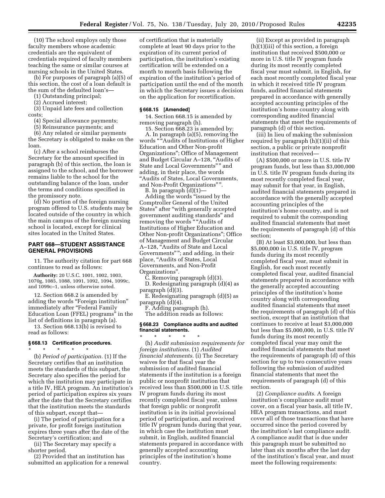(10) The school employs only those faculty members whose academic credentials are the equivalent of credentials required of faculty members teaching the same or similar courses at nursing schools in the United States.

(b) For purposes of paragraph (a)(5) of this section, the cost of a loan default is the sum of the defaulted loan's—

(1) Outstanding principal;

(2) Accrued interest;

(3) Unpaid late fees and collection costs;

(4) Special allowance payments;

(5) Reinsurance payments; and

(6) Any related or similar payments the Secretary is obligated to make on the loan.

(c) After a school reimburses the Secretary for the amount specified in paragraph (b) of this section, the loan is assigned to the school, and the borrower remains liable to the school for the outstanding balance of the loan, under the terms and conditions specified in the promissory note.

(d) No portion of the foreign nursing program offered to U.S. students may be located outside of the country in which the main campus of the foreign nursing school is located, except for clinical sites located in the United States.

## **PART 668—STUDENT ASSISTANCE GENERAL PROVISIONS**

11. The authority citation for part 668 continues to read as follows:

**Authority:** 20 U.S.C. 1001, 1002, 1003, 1070g, 1085, 1088, 1091, 1092, 1094, 1099c, and 1099c–1, unless otherwise noted.

12. Section 668.2 is amended by adding the words ''Foreign institution'' immediately after "Federal Family Education Loan (FFEL) programs'' in the list of definitions in paragraph (a).

13. Section 668.13(b) is revised to read as follows:

## **§ 668.13 Certification procedures.**

\* \* \* \* \* (b) *Period of participation.* (1) If the Secretary certifies that an institution meets the standards of this subpart, the Secretary also specifies the period for which the institution may participate in a title IV, HEA program. An institution's period of participation expires six years after the date that the Secretary certifies that the institution meets the standards of this subpart, except that—

(i) The period of participation for a private, for profit foreign institution expires three years after the date of the Secretary's certification; and

(ii) The Secretary may specify a shorter period.

(2) Provided that an institution has submitted an application for a renewal

of certification that is materially complete at least 90 days prior to the expiration of its current period of participation, the institution's existing certification will be extended on a month to month basis following the expiration of the institution's period of participation until the end of the month in which the Secretary issues a decision on the application for recertification.

#### **§ 668.15 [Amended]**

14. Section 668.15 is amended by removing paragraph (h).

15. Section 668.23 is amended by: A. In paragraph (a)(5), removing the words '' ''Audits of Institutions of Higher Education and Other Non-profit Organizations''; Office of Management and Budget Circular A–128, ''Audits of State and Local Governments"" and adding, in their place, the words ''Audits of States, Local Governments, and Non-Profit Organizations'' ''.

B. In paragraph (d)(1)—

Adding the words ''issued by the Comptroller General of the United States'' after ''with generally accepted government auditing standards'' and removing the words ""Audits of Institutions of Higher Education and Other Non-profit Organizations''; Office of Management and Budget Circular A–128, ''Audits of State and Local Governments""; and adding, in their place, "Audits of States, Local Governments, and Non-Profit Organizations''.

C. Removing paragraph (d)(3).

D. Redesignating paragraph (d)(4) as paragraph (d)(3).

E. Redesignating paragraph (d)(5) as paragraph (d)(4).

F. Adding paragraph (h).

The addition reads as follows:

## **§ 668.23 Compliance audits and audited financial statements.**

\* \* \* \* \* (h) *Audit submission requirements for foreign institutions.* (1) *Audited financial statements.* (i) The Secretary waives for that fiscal year the submission of audited financial statements if the institution is a foreign public or nonprofit institution that received less than \$500,000 in U.S. title IV program funds during its most recently completed fiscal year, unless that foreign public or nonprofit institution is in its initial provisional period of participation, and received title IV program funds during that year, in which case the institution must submit, in English, audited financial statements prepared in accordance with generally accepted accounting principles of the institution's home country.

(ii) Except as provided in paragraph (h)(1)(iii) of this section, a foreign institution that received \$500,000 or more in U.S. title IV program funds during its most recently completed fiscal year must submit, in English, for each most recently completed fiscal year in which it received title IV program funds, audited financial statements prepared in accordance with generally accepted accounting principles of the institution's home country along with corresponding audited financial statements that meet the requirements of paragraph (d) of this section.

(iii) In lieu of making the submission required by paragraph (h)(1)(ii) of this section, a public or private nonprofit institution that received—

(A) \$500,000 or more in U.S. title IV program funds, but less than \$3,000,000 in U.S. title IV program funds during its most recently completed fiscal year, may submit for that year, in English, audited financial statements prepared in accordance with the generally accepted accounting principles of the institution's home country, and is not required to submit the corresponding audited financial statements that meet the requirements of paragraph (d) of this section;

(B) At least \$3,000,000, but less than \$5,000,000 in U.S. title IV, program funds during its most recently completed fiscal year, must submit in English, for each most recently completed fiscal year, audited financial statements prepared in accordance with the generally accepted accounting principles of the institution's home country along with corresponding audited financial statements that meet the requirements of paragraph (d) of this section, except that an institution that continues to receive at least \$3,000,000 but less than \$5,000,000, in U.S. title IV funds during its most recently completed fiscal year may omit the audited financial statements that meet the requirements of paragraph (d) of this section for up to two consecutive years following the submission of audited financial statements that meet the requirements of paragraph (d) of this section.

(2) *Compliance audits.* A foreign institution's compliance audit must cover, on a fiscal year basis, all title IV, HEA program transactions, and must cover all of those transactions that have occurred since the period covered by the institution's last compliance audit. A compliance audit that is due under this paragraph must be submitted no later than six months after the last day of the institution's fiscal year, and must meet the following requirements: